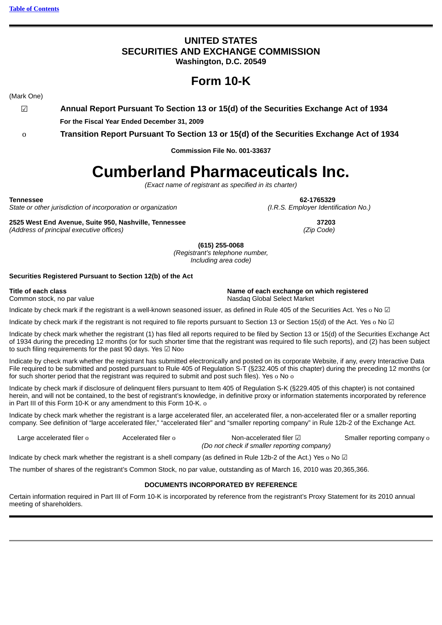# **UNITED STATES SECURITIES AND EXCHANGE COMMISSION Washington, D.C. 20549**

# **Form 10-K**

(Mark One)

☑ **Annual Report Pursuant To Section 13 or 15(d) of the Securities Exchange Act of 1934**

**For the Fiscal Year Ended December 31, 2009**

o **Transition Report Pursuant To Section 13 or 15(d) of the Securities Exchange Act of 1934**

**Commission File No. 001-33637**

# **Cumberland Pharmaceuticals Inc.**

*(Exact name of registrant as specified in its charter)*

**Tennessee 62-1765329**

*State or other jurisdiction of incorporation or organization (I.R.S. Employer Identification No.)*

**2525 West End Avenue, Suite 950, Nashville, Tennessee 37203** *(Address of principal executive offices) (Zip Code)*

**(615) 255-0068**

*(Registrant's telephone number, Including area code)*

# **Securities Registered Pursuant to Section 12(b) of the Act**

**Title of each class Name of each exchange on which registered** Common stock, no par value  $\overline{\phantom{0}}$  Nasdaq Global Select Market

Indicate by check mark if the registrant is a well-known seasoned issuer, as defined in Rule 405 of the Securities Act. Yes o No  $\boxtimes$ 

Indicate by check mark if the registrant is not required to file reports pursuant to Section 13 or Section 15(d) of the Act. Yes o No  $\boxtimes$ 

Indicate by check mark whether the registrant (1) has filed all reports required to be filed by Section 13 or 15(d) of the Securities Exchange Act of 1934 during the preceding 12 months (or for such shorter time that the registrant was required to file such reports), and (2) has been subject to such filing requirements for the past 90 days. Yes  $\boxtimes$  Noo

Indicate by check mark whether the registrant has submitted electronically and posted on its corporate Website, if any, every Interactive Data File required to be submitted and posted pursuant to Rule 405 of Regulation S-T (§232.405 of this chapter) during the preceding 12 months (or for such shorter period that the registrant was required to submit and post such files). Yes o No o

Indicate by check mark if disclosure of delinquent filers pursuant to Item 405 of Regulation S-K (§229.405 of this chapter) is not contained herein, and will not be contained, to the best of registrant's knowledge, in definitive proxy or information statements incorporated by reference in Part III of this Form 10-K or any amendment to this Form 10-K. o

Indicate by check mark whether the registrant is a large accelerated filer, an accelerated filer, a non-accelerated filer or a smaller reporting company. See definition of "large accelerated filer," "accelerated filer" and "smaller reporting company" in Rule 12b-2 of the Exchange Act.

Large accelerated filer o Accelerated filer o Non-accelerated filer **v** Smaller reporting company o *(Do not check if smaller reporting company)*

Indicate by check mark whether the registrant is a shell company (as defined in Rule 12b-2 of the Act.) Yes o No  $\Box$ 

The number of shares of the registrant's Common Stock, no par value, outstanding as of March 16, 2010 was 20,365,366.

# **DOCUMENTS INCORPORATED BY REFERENCE**

Certain information required in Part III of Form 10-K is incorporated by reference from the registrant's Proxy Statement for its 2010 annual meeting of shareholders.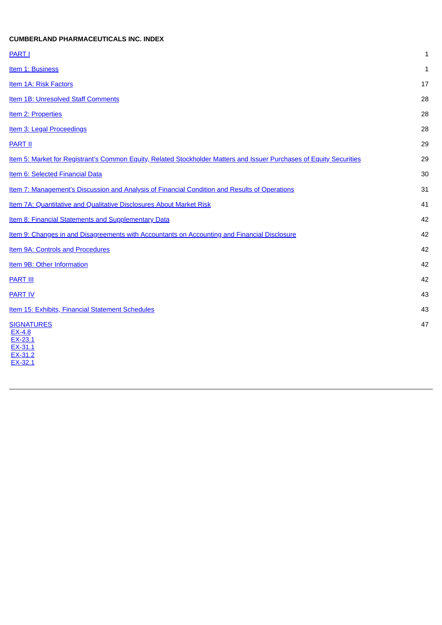# <span id="page-2-0"></span>**CUMBERLAND PHARMACEUTICALS INC. INDEX**

| <b>PART I</b>                                                                                                        | 1            |
|----------------------------------------------------------------------------------------------------------------------|--------------|
| Item 1: Business                                                                                                     | $\mathbf{1}$ |
| Item 1A: Risk Factors                                                                                                | 17           |
| <b>Item 1B: Unresolved Staff Comments</b>                                                                            | 28           |
| <b>Item 2: Properties</b>                                                                                            | 28           |
| <b>Item 3: Legal Proceedings</b>                                                                                     | 28           |
| <b>PART II</b>                                                                                                       | 29           |
| Item 5: Market for Registrant's Common Equity, Related Stockholder Matters and Issuer Purchases of Equity Securities | 29           |
| <b>Item 6: Selected Financial Data</b>                                                                               | 30           |
| Item 7: Management's Discussion and Analysis of Financial Condition and Results of Operations                        | 31           |
| Item 7A: Quantitative and Qualitative Disclosures About Market Risk                                                  | 41           |
| Item 8: Financial Statements and Supplementary Data                                                                  | 42           |
| Item 9: Changes in and Disagreements with Accountants on Accounting and Financial Disclosure                         | 42           |
| <b>Item 9A: Controls and Procedures</b>                                                                              | 42           |
| Item 9B: Other Information                                                                                           | 42           |
| <b>PART III</b>                                                                                                      | 42           |
| <b>PART IV</b>                                                                                                       | 43           |
| Item 15: Exhibits, Financial Statement Schedules                                                                     | 43           |
| <b>SIGNATURES</b><br>EX-4.8                                                                                          | 47           |
| EX-23.1<br>EX-31.1                                                                                                   |              |
| EX-31.2<br>EX-32.1                                                                                                   |              |
|                                                                                                                      |              |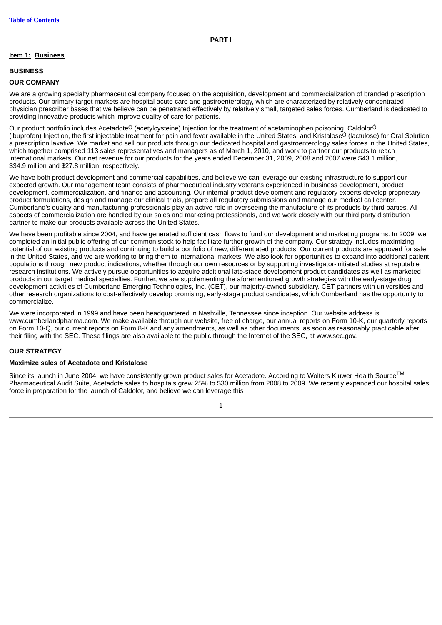#### <span id="page-3-1"></span><span id="page-3-0"></span>**Item 1: Business**

#### **BUSINESS**

#### **OUR COMPANY**

We are a growing specialty pharmaceutical company focused on the acquisition, development and commercialization of branded prescription products. Our primary target markets are hospital acute care and gastroenterology, which are characterized by relatively concentrated physician prescriber bases that we believe can be penetrated effectively by relatively small, targeted sales forces. Cumberland is dedicated to providing innovative products which improve quality of care for patients.

Our product portfolio includes AcetadoteÒ (acetylcysteine) Injection for the treatment of acetaminophen poisoning, CaldolorÒ (ibuprofen) Injection, the first injectable treatment for pain and fever available in the United States, and KristaloseÒ (lactulose) for Oral Solution, a prescription laxative. We market and sell our products through our dedicated hospital and gastroenterology sales forces in the United States, which together comprised 113 sales representatives and managers as of March 1, 2010, and work to partner our products to reach international markets. Our net revenue for our products for the years ended December 31, 2009, 2008 and 2007 were \$43.1 million, \$34.9 million and \$27.8 million, respectively.

We have both product development and commercial capabilities, and believe we can leverage our existing infrastructure to support our expected growth. Our management team consists of pharmaceutical industry veterans experienced in business development, product development, commercialization, and finance and accounting. Our internal product development and regulatory experts develop proprietary product formulations, design and manage our clinical trials, prepare all regulatory submissions and manage our medical call center. Cumberland's quality and manufacturing professionals play an active role in overseeing the manufacture of its products by third parties. All aspects of commercialization are handled by our sales and marketing professionals, and we work closely with our third party distribution partner to make our products available across the United States.

We have been profitable since 2004, and have generated sufficient cash flows to fund our development and marketing programs. In 2009, we completed an initial public offering of our common stock to help facilitate further growth of the company. Our strategy includes maximizing potential of our existing products and continuing to build a portfolio of new, differentiated products. Our current products are approved for sale in the United States, and we are working to bring them to international markets. We also look for opportunities to expand into additional patient populations through new product indications, whether through our own resources or by supporting investigator-initiated studies at reputable research institutions. We actively pursue opportunities to acquire additional late-stage development product candidates as well as marketed products in our target medical specialties. Further, we are supplementing the aforementioned growth strategies with the early-stage drug development activities of Cumberland Emerging Technologies, Inc. (CET), our majority-owned subsidiary. CET partners with universities and other research organizations to cost-effectively develop promising, early-stage product candidates, which Cumberland has the opportunity to commercialize.

We were incorporated in 1999 and have been headquartered in Nashville, Tennessee since inception. Our website address is www.cumberlandpharma.com. We make available through our website, free of charge, our annual reports on Form 10-K, our quarterly reports on Form 10-Q, our current reports on Form 8-K and any amendments, as well as other documents, as soon as reasonably practicable after their filing with the SEC. These filings are also available to the public through the Internet of the SEC, at www.sec.gov.

# **OUR STRATEGY**

# **Maximize sales of Acetadote and Kristalose**

Since its launch in June 2004, we have consistently grown product sales for Acetadote. According to Wolters Kluwer Health Source<sup>TM</sup> Pharmaceutical Audit Suite, Acetadote sales to hospitals grew 25% to \$30 million from 2008 to 2009. We recently expanded our hospital sales force in preparation for the launch of Caldolor, and believe we can leverage this

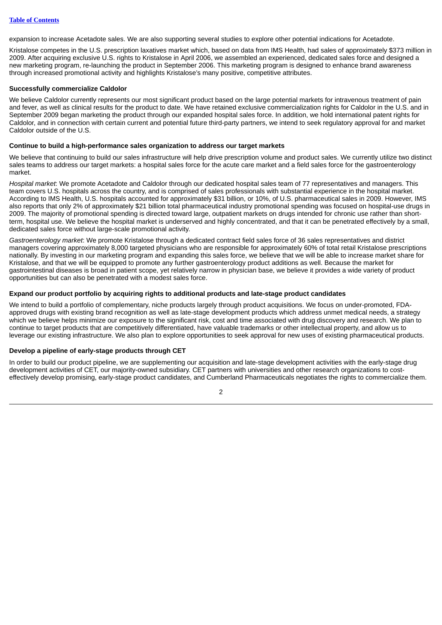expansion to increase Acetadote sales. We are also supporting several studies to explore other potential indications for Acetadote.

Kristalose competes in the U.S. prescription laxatives market which, based on data from IMS Health, had sales of approximately \$373 million in 2009. After acquiring exclusive U.S. rights to Kristalose in April 2006, we assembled an experienced, dedicated sales force and designed a new marketing program, re-launching the product in September 2006. This marketing program is designed to enhance brand awareness through increased promotional activity and highlights Kristalose's many positive, competitive attributes.

#### **Successfully commercialize Caldolor**

We believe Caldolor currently represents our most significant product based on the large potential markets for intravenous treatment of pain and fever, as well as clinical results for the product to date. We have retained exclusive commercialization rights for Caldolor in the U.S. and in September 2009 began marketing the product through our expanded hospital sales force. In addition, we hold international patent rights for Caldolor, and in connection with certain current and potential future third-party partners, we intend to seek regulatory approval for and market Caldolor outside of the U.S.

#### **Continue to build a high-performance sales organization to address our target markets**

We believe that continuing to build our sales infrastructure will help drive prescription volume and product sales. We currently utilize two distinct sales teams to address our target markets: a hospital sales force for the acute care market and a field sales force for the gastroenterology market.

*Hospital market*: We promote Acetadote and Caldolor through our dedicated hospital sales team of 77 representatives and managers. This team covers U.S. hospitals across the country, and is comprised of sales professionals with substantial experience in the hospital market. According to IMS Health, U.S. hospitals accounted for approximately \$31 billion, or 10%, of U.S. pharmaceutical sales in 2009. However, IMS also reports that only 2% of approximately \$21 billion total pharmaceutical industry promotional spending was focused on hospital-use drugs in 2009. The majority of promotional spending is directed toward large, outpatient markets on drugs intended for chronic use rather than shortterm, hospital use. We believe the hospital market is underserved and highly concentrated, and that it can be penetrated effectively by a small, dedicated sales force without large-scale promotional activity.

*Gastroenterology market*: We promote Kristalose through a dedicated contract field sales force of 36 sales representatives and district managers covering approximately 8,000 targeted physicians who are responsible for approximately 60% of total retail Kristalose prescriptions nationally. By investing in our marketing program and expanding this sales force, we believe that we will be able to increase market share for Kristalose, and that we will be equipped to promote any further gastroenterology product additions as well. Because the market for gastrointestinal diseases is broad in patient scope, yet relatively narrow in physician base, we believe it provides a wide variety of product opportunities but can also be penetrated with a modest sales force.

#### **Expand our product portfolio by acquiring rights to additional products and late-stage product candidates**

We intend to build a portfolio of complementary, niche products largely through product acquisitions. We focus on under-promoted, FDAapproved drugs with existing brand recognition as well as late-stage development products which address unmet medical needs, a strategy which we believe helps minimize our exposure to the significant risk, cost and time associated with drug discovery and research. We plan to continue to target products that are competitively differentiated, have valuable trademarks or other intellectual property, and allow us to leverage our existing infrastructure. We also plan to explore opportunities to seek approval for new uses of existing pharmaceutical products.

#### **Develop a pipeline of early-stage products through CET**

In order to build our product pipeline, we are supplementing our acquisition and late-stage development activities with the early-stage drug development activities of CET, our majority-owned subsidiary. CET partners with universities and other research organizations to costeffectively develop promising, early-stage product candidates, and Cumberland Pharmaceuticals negotiates the rights to commercialize them.

 $\mathfrak{p}$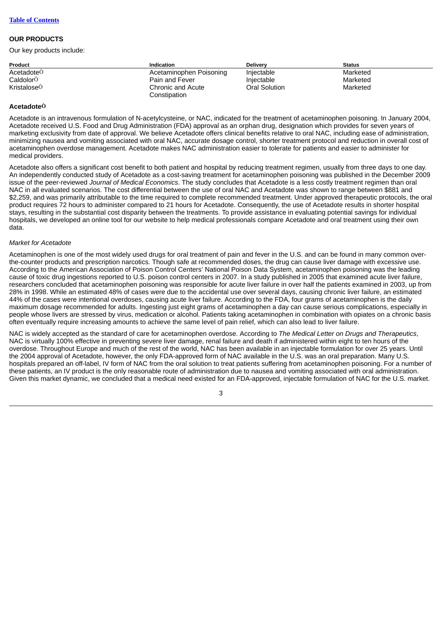# **OUR PRODUCTS**

Our key products include:

| <b>Product</b>        | Indication              | <b>Delivery</b> | <b>Status</b> |
|-----------------------|-------------------------|-----------------|---------------|
| AcetadoteO            | Acetaminophen Poisoning | Injectable      | Marketed      |
| Caldolor <sup>O</sup> | Pain and Fever          | Injectable      | Marketed      |
| KristaloseÓ           | Chronic and Acute       | Oral Solution   | Marketed      |
|                       | Constipation            |                 |               |

#### **AcetadoteÒ**

Acetadote is an intravenous formulation of N-acetylcysteine, or NAC, indicated for the treatment of acetaminophen poisoning. In January 2004, Acetadote received U.S. Food and Drug Administration (FDA) approval as an orphan drug, designation which provides for seven years of marketing exclusivity from date of approval. We believe Acetadote offers clinical benefits relative to oral NAC, including ease of administration, minimizing nausea and vomiting associated with oral NAC, accurate dosage control, shorter treatment protocol and reduction in overall cost of acetaminophen overdose management. Acetadote makes NAC administration easier to tolerate for patients and easier to administer for medical providers.

Acetadote also offers a significant cost benefit to both patient and hospital by reducing treatment regimen, usually from three days to one day. An independently conducted study of Acetadote as a cost-saving treatment for acetaminophen poisoning was published in the December 2009 issue of the peer-reviewed *Journal of Medical Economics*. The study concludes that Acetadote is a less costly treatment regimen than oral NAC in all evaluated scenarios. The cost differential between the use of oral NAC and Acetadote was shown to range between \$881 and \$2,259, and was primarily attributable to the time required to complete recommended treatment. Under approved therapeutic protocols, the oral product requires 72 hours to administer compared to 21 hours for Acetadote. Consequently, the use of Acetadote results in shorter hospital stays, resulting in the substantial cost disparity between the treatments. To provide assistance in evaluating potential savings for individual hospitals, we developed an online tool for our website to help medical professionals compare Acetadote and oral treatment using their own data.

#### *Market for Acetadote*

Acetaminophen is one of the most widely used drugs for oral treatment of pain and fever in the U.S. and can be found in many common overthe-counter products and prescription narcotics. Though safe at recommended doses, the drug can cause liver damage with excessive use. According to the American Association of Poison Control Centers' National Poison Data System, acetaminophen poisoning was the leading cause of toxic drug ingestions reported to U.S. poison control centers in 2007. In a study published in 2005 that examined acute liver failure, researchers concluded that acetaminophen poisoning was responsible for acute liver failure in over half the patients examined in 2003, up from 28% in 1998. While an estimated 48% of cases were due to the accidental use over several days, causing chronic liver failure, an estimated 44% of the cases were intentional overdoses, causing acute liver failure. According to the FDA, four grams of acetaminophen is the daily maximum dosage recommended for adults. Ingesting just eight grams of acetaminophen a day can cause serious complications, especially in people whose livers are stressed by virus, medication or alcohol. Patients taking acetaminophen in combination with opiates on a chronic basis often eventually require increasing amounts to achieve the same level of pain relief, which can also lead to liver failure.

NAC is widely accepted as the standard of care for acetaminophen overdose. According to *The Medical Letter on Drugs and Therapeutics*, NAC is virtually 100% effective in preventing severe liver damage, renal failure and death if administered within eight to ten hours of the overdose. Throughout Europe and much of the rest of the world, NAC has been available in an injectable formulation for over 25 years. Until the 2004 approval of Acetadote, however, the only FDA-approved form of NAC available in the U.S. was an oral preparation. Many U.S. hospitals prepared an off-label, IV form of NAC from the oral solution to treat patients suffering from acetaminophen poisoning. For a number of these patients, an IV product is the only reasonable route of administration due to nausea and vomiting associated with oral administration. Given this market dynamic, we concluded that a medical need existed for an FDA-approved, injectable formulation of NAC for the U.S. market.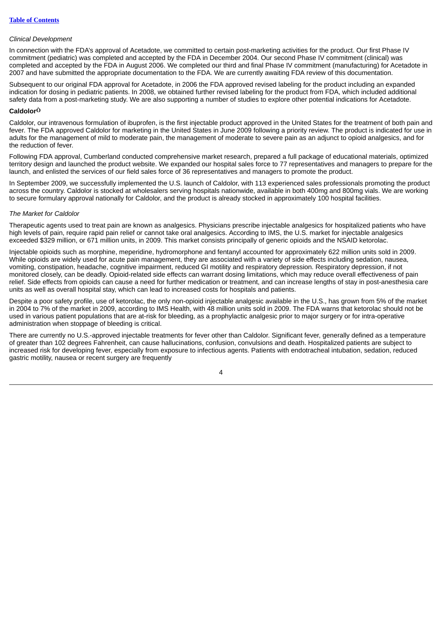#### *Clinical Development*

In connection with the FDA's approval of Acetadote, we committed to certain post-marketing activities for the product. Our first Phase IV commitment (pediatric) was completed and accepted by the FDA in December 2004. Our second Phase IV commitment (clinical) was completed and accepted by the FDA in August 2006. We completed our third and final Phase IV commitment (manufacturing) for Acetadote in 2007 and have submitted the appropriate documentation to the FDA. We are currently awaiting FDA review of this documentation.

Subsequent to our original FDA approval for Acetadote, in 2006 the FDA approved revised labeling for the product including an expanded indication for dosing in pediatric patients. In 2008, we obtained further revised labeling for the product from FDA, which included additional safety data from a post-marketing study. We are also supporting a number of studies to explore other potential indications for Acetadote.

#### **CaldolorÒ**

Caldolor, our intravenous formulation of ibuprofen, is the first injectable product approved in the United States for the treatment of both pain and fever. The FDA approved Caldolor for marketing in the United States in June 2009 following a priority review. The product is indicated for use in adults for the management of mild to moderate pain, the management of moderate to severe pain as an adjunct to opioid analgesics, and for the reduction of fever.

Following FDA approval, Cumberland conducted comprehensive market research, prepared a full package of educational materials, optimized territory design and launched the product website. We expanded our hospital sales force to 77 representatives and managers to prepare for the launch, and enlisted the services of our field sales force of 36 representatives and managers to promote the product.

In September 2009, we successfully implemented the U.S. launch of Caldolor, with 113 experienced sales professionals promoting the product across the country. Caldolor is stocked at wholesalers serving hospitals nationwide, available in both 400mg and 800mg vials. We are working to secure formulary approval nationally for Caldolor, and the product is already stocked in approximately 100 hospital facilities.

#### *The Market for Caldolor*

Therapeutic agents used to treat pain are known as analgesics. Physicians prescribe injectable analgesics for hospitalized patients who have high levels of pain, require rapid pain relief or cannot take oral analgesics. According to IMS, the U.S. market for injectable analgesics exceeded \$329 million, or 671 million units, in 2009. This market consists principally of generic opioids and the NSAID ketorolac.

Injectable opioids such as morphine, meperidine, hydromorphone and fentanyl accounted for approximately 622 million units sold in 2009. While opioids are widely used for acute pain management, they are associated with a variety of side effects including sedation, nausea, vomiting, constipation, headache, cognitive impairment, reduced GI motility and respiratory depression. Respiratory depression, if not monitored closely, can be deadly. Opioid-related side effects can warrant dosing limitations, which may reduce overall effectiveness of pain relief. Side effects from opioids can cause a need for further medication or treatment, and can increase lengths of stay in post-anesthesia care units as well as overall hospital stay, which can lead to increased costs for hospitals and patients.

Despite a poor safety profile, use of ketorolac, the only non-opioid injectable analgesic available in the U.S., has grown from 5% of the market in 2004 to 7% of the market in 2009, according to IMS Health, with 48 million units sold in 2009. The FDA warns that ketorolac should not be used in various patient populations that are at-risk for bleeding, as a prophylactic analgesic prior to major surgery or for intra-operative administration when stoppage of bleeding is critical.

There are currently no U.S.-approved injectable treatments for fever other than Caldolor. Significant fever, generally defined as a temperature of greater than 102 degrees Fahrenheit, can cause hallucinations, confusion, convulsions and death. Hospitalized patients are subject to increased risk for developing fever, especially from exposure to infectious agents. Patients with endotracheal intubation, sedation, reduced gastric motility, nausea or recent surgery are frequently

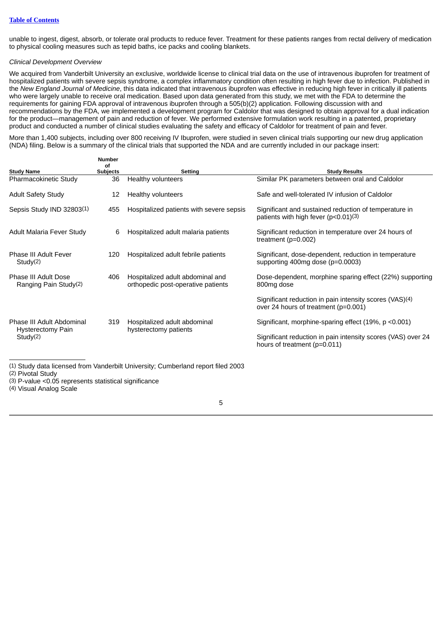unable to ingest, digest, absorb, or tolerate oral products to reduce fever. Treatment for these patients ranges from rectal delivery of medication to physical cooling measures such as tepid baths, ice packs and cooling blankets.

#### *Clinical Development Overview*

We acquired from Vanderbilt University an exclusive, worldwide license to clinical trial data on the use of intravenous ibuprofen for treatment of hospitalized patients with severe sepsis syndrome, a complex inflammatory condition often resulting in high fever due to infection. Published in the *New England Journal of Medicine*, this data indicated that intravenous ibuprofen was effective in reducing high fever in critically ill patients who were largely unable to receive oral medication. Based upon data generated from this study, we met with the FDA to determine the requirements for gaining FDA approval of intravenous ibuprofen through a 505(b)(2) application. Following discussion with and recommendations by the FDA, we implemented a development program for Caldolor that was designed to obtain approval for a dual indication for the product—management of pain and reduction of fever. We performed extensive formulation work resulting in a patented, proprietary product and conducted a number of clinical studies evaluating the safety and efficacy of Caldolor for treatment of pain and fever.

More than 1,400 subjects, including over 800 receiving IV Ibuprofen, were studied in seven clinical trials supporting our new drug application (NDA) filing. Below is a summary of the clinical trials that supported the NDA and are currently included in our package insert:

|                                                           | <b>Number</b><br>Οf |                                                                                  |                                                                                                 |
|-----------------------------------------------------------|---------------------|----------------------------------------------------------------------------------|-------------------------------------------------------------------------------------------------|
| <b>Study Name</b>                                         | <b>Subjects</b>     | Setting                                                                          | <b>Study Results</b>                                                                            |
| Pharmacokinetic Study                                     | 36                  | Healthy volunteers                                                               | Similar PK parameters between oral and Caldolor                                                 |
| <b>Adult Safety Study</b>                                 | 12                  | Healthy volunteers                                                               | Safe and well-tolerated IV infusion of Caldolor                                                 |
| Sepsis Study IND 32803(1)                                 | 455                 | Hospitalized patients with severe sepsis                                         | Significant and sustained reduction of temperature in<br>patients with high fever $(p<0.01)(3)$ |
| Adult Malaria Fever Study                                 | 6                   | Hospitalized adult malaria patients                                              | Significant reduction in temperature over 24 hours of<br>treatment ( $p=0.002$ )                |
| Phase III Adult Fever<br>Study(2)                         | 120                 | Hospitalized adult febrile patients                                              | Significant, dose-dependent, reduction in temperature<br>supporting 400mg dose ( $p=0.0003$ )   |
| Phase III Adult Dose<br>Ranging Pain Study <sup>(2)</sup> | 406                 | Hospitalized adult abdominal and<br>orthopedic post-operative patients           | Dose-dependent, morphine sparing effect (22%) supporting<br>800mg dose                          |
|                                                           |                     |                                                                                  | Significant reduction in pain intensity scores (VAS)(4)<br>over 24 hours of treatment (p=0.001) |
| Phase III Adult Abdominal<br><b>Hysterectomy Pain</b>     | 319                 | Hospitalized adult abdominal<br>hysterectomy patients                            | Significant, morphine-sparing effect (19%, p < 0.001)                                           |
| Study(2)                                                  |                     |                                                                                  | Significant reduction in pain intensity scores (VAS) over 24<br>hours of treatment (p=0.011)    |
|                                                           |                     | (1) Study data licensed from Vanderbilt University; Cumberland report filed 2003 |                                                                                                 |

(2) Pivotal Study

(3) P-value <0.05 represents statistical significance

(4) Visual Analog Scale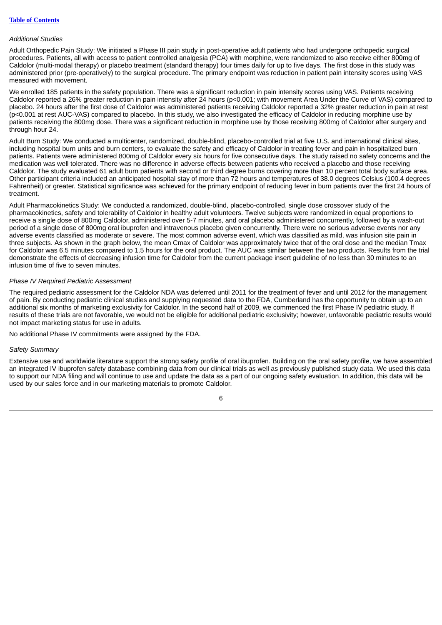#### *Additional Studies*

Adult Orthopedic Pain Study: We initiated a Phase III pain study in post-operative adult patients who had undergone orthopedic surgical procedures. Patients, all with access to patient controlled analgesia (PCA) with morphine, were randomized to also receive either 800mg of Caldolor (multi-modal therapy) or placebo treatment (standard therapy) four times daily for up to five days. The first dose in this study was administered prior (pre-operatively) to the surgical procedure. The primary endpoint was reduction in patient pain intensity scores using VAS measured with movement.

We enrolled 185 patients in the safety population. There was a significant reduction in pain intensity scores using VAS. Patients receiving Caldolor reported a 26% greater reduction in pain intensity after 24 hours (p<0.001; with movement Area Under the Curve of VAS) compared to placebo. 24 hours after the first dose of Caldolor was administered patients receiving Caldolor reported a 32% greater reduction in pain at rest (p<0.001 at rest AUC-VAS) compared to placebo. In this study, we also investigated the efficacy of Caldolor in reducing morphine use by patients receiving the 800mg dose. There was a significant reduction in morphine use by those receiving 800mg of Caldolor after surgery and through hour 24.

Adult Burn Study: We conducted a multicenter, randomized, double-blind, placebo-controlled trial at five U.S. and international clinical sites, including hospital burn units and burn centers, to evaluate the safety and efficacy of Caldolor in treating fever and pain in hospitalized burn patients. Patients were administered 800mg of Caldolor every six hours for five consecutive days. The study raised no safety concerns and the medication was well tolerated. There was no difference in adverse effects between patients who received a placebo and those receiving Caldolor. The study evaluated 61 adult burn patients with second or third degree burns covering more than 10 percent total body surface area. Other participant criteria included an anticipated hospital stay of more than 72 hours and temperatures of 38.0 degrees Celsius (100.4 degrees Fahrenheit) or greater. Statistical significance was achieved for the primary endpoint of reducing fever in burn patients over the first 24 hours of treatment.

Adult Pharmacokinetics Study: We conducted a randomized, double-blind, placebo-controlled, single dose crossover study of the pharmacokinetics, safety and tolerability of Caldolor in healthy adult volunteers. Twelve subjects were randomized in equal proportions to receive a single dose of 800mg Caldolor, administered over 5-7 minutes, and oral placebo administered concurrently, followed by a wash-out period of a single dose of 800mg oral ibuprofen and intravenous placebo given concurrently. There were no serious adverse events nor any adverse events classified as moderate or severe. The most common adverse event, which was classified as mild, was infusion site pain in three subjects. As shown in the graph below, the mean Cmax of Caldolor was approximately twice that of the oral dose and the median Tmax for Caldolor was 6.5 minutes compared to 1.5 hours for the oral product. The AUC was similar between the two products. Results from the trial demonstrate the effects of decreasing infusion time for Caldolor from the current package insert guideline of no less than 30 minutes to an infusion time of five to seven minutes.

#### *Phase IV Required Pediatric Assessment*

The required pediatric assessment for the Caldolor NDA was deferred until 2011 for the treatment of fever and until 2012 for the management of pain. By conducting pediatric clinical studies and supplying requested data to the FDA, Cumberland has the opportunity to obtain up to an additional six months of marketing exclusivity for Caldolor. In the second half of 2009, we commenced the first Phase IV pediatric study. If results of these trials are not favorable, we would not be eligible for additional pediatric exclusivity; however, unfavorable pediatric results would not impact marketing status for use in adults.

No additional Phase IV commitments were assigned by the FDA.

#### *Safety Summary*

Extensive use and worldwide literature support the strong safety profile of oral ibuprofen. Building on the oral safety profile, we have assembled an integrated IV ibuprofen safety database combining data from our clinical trials as well as previously published study data. We used this data to support our NDA filing and will continue to use and update the data as a part of our ongoing safety evaluation. In addition, this data will be used by our sales force and in our marketing materials to promote Caldolor.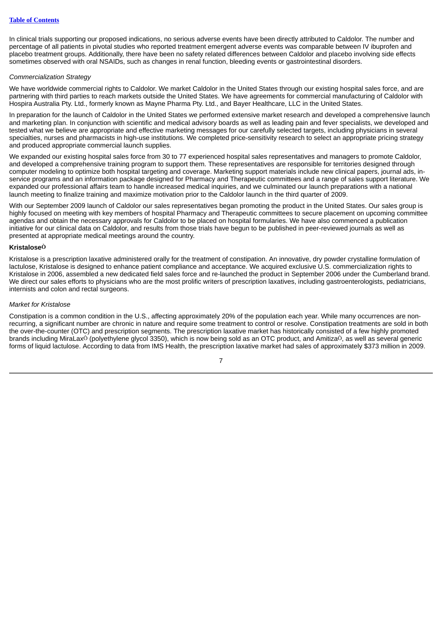In clinical trials supporting our proposed indications, no serious adverse events have been directly attributed to Caldolor. The number and percentage of all patients in pivotal studies who reported treatment emergent adverse events was comparable between IV ibuprofen and placebo treatment groups. Additionally, there have been no safety related differences between Caldolor and placebo involving side effects sometimes observed with oral NSAIDs, such as changes in renal function, bleeding events or gastrointestinal disorders.

#### *Commercialization Strategy*

We have worldwide commercial rights to Caldolor. We market Caldolor in the United States through our existing hospital sales force, and are partnering with third parties to reach markets outside the United States. We have agreements for commercial manufacturing of Caldolor with Hospira Australia Pty. Ltd., formerly known as Mayne Pharma Pty. Ltd., and Bayer Healthcare, LLC in the United States.

In preparation for the launch of Caldolor in the United States we performed extensive market research and developed a comprehensive launch and marketing plan. In conjunction with scientific and medical advisory boards as well as leading pain and fever specialists, we developed and tested what we believe are appropriate and effective marketing messages for our carefully selected targets, including physicians in several specialties, nurses and pharmacists in high-use institutions. We completed price-sensitivity research to select an appropriate pricing strategy and produced appropriate commercial launch supplies.

We expanded our existing hospital sales force from 30 to 77 experienced hospital sales representatives and managers to promote Caldolor, and developed a comprehensive training program to support them. These representatives are responsible for territories designed through computer modeling to optimize both hospital targeting and coverage. Marketing support materials include new clinical papers, journal ads, inservice programs and an information package designed for Pharmacy and Therapeutic committees and a range of sales support literature. We expanded our professional affairs team to handle increased medical inquiries, and we culminated our launch preparations with a national launch meeting to finalize training and maximize motivation prior to the Caldolor launch in the third quarter of 2009.

With our September 2009 launch of Caldolor our sales representatives began promoting the product in the United States. Our sales group is highly focused on meeting with key members of hospital Pharmacy and Therapeutic committees to secure placement on upcoming committee agendas and obtain the necessary approvals for Caldolor to be placed on hospital formularies. We have also commenced a publication initiative for our clinical data on Caldolor, and results from those trials have begun to be published in peer-reviewed journals as well as presented at appropriate medical meetings around the country.

#### **KristaloseÒ**

Kristalose is a prescription laxative administered orally for the treatment of constipation. An innovative, dry powder crystalline formulation of lactulose, Kristalose is designed to enhance patient compliance and acceptance. We acquired exclusive U.S. commercialization rights to Kristalose in 2006, assembled a new dedicated field sales force and re-launched the product in September 2006 under the Cumberland brand. We direct our sales efforts to physicians who are the most prolific writers of prescription laxatives, including gastroenterologists, pediatricians, internists and colon and rectal surgeons.

#### *Market for Kristalose*

Constipation is a common condition in the U.S., affecting approximately 20% of the population each year. While many occurrences are nonrecurring, a significant number are chronic in nature and require some treatment to control or resolve. Constipation treatments are sold in both the over-the-counter (OTC) and prescription segments. The prescription laxative market has historically consisted of a few highly promoted brands including MiraLax<sup>O</sup> (polyethylene glycol 3350), which is now being sold as an OTC product, and Amitiza<sup>O</sup>, as well as several generic forms of liquid lactulose. According to data from IMS Health, the prescription laxative market had sales of approximately \$373 million in 2009.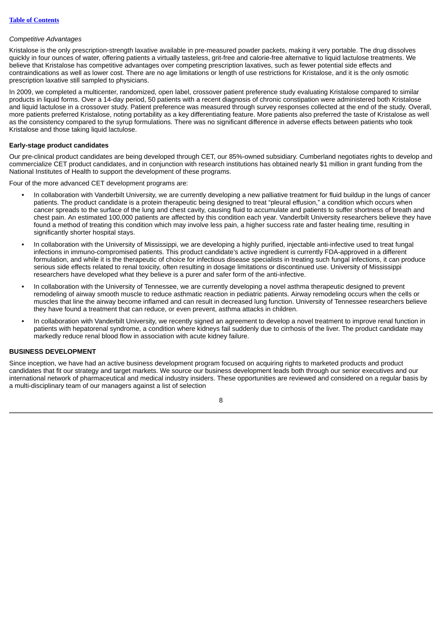#### *Competitive Advantages*

Kristalose is the only prescription-strength laxative available in pre-measured powder packets, making it very portable. The drug dissolves quickly in four ounces of water, offering patients a virtually tasteless, grit-free and calorie-free alternative to liquid lactulose treatments. We believe that Kristalose has competitive advantages over competing prescription laxatives, such as fewer potential side effects and contraindications as well as lower cost. There are no age limitations or length of use restrictions for Kristalose, and it is the only osmotic prescription laxative still sampled to physicians.

In 2009, we completed a multicenter, randomized, open label, crossover patient preference study evaluating Kristalose compared to similar products in liquid forms. Over a 14-day period, 50 patients with a recent diagnosis of chronic constipation were administered both Kristalose and liquid lactulose in a crossover study. Patient preference was measured through survey responses collected at the end of the study. Overall, more patients preferred Kristalose, noting portability as a key differentiating feature. More patients also preferred the taste of Kristalose as well as the consistency compared to the syrup formulations. There was no significant difference in adverse effects between patients who took Kristalose and those taking liquid lactulose.

#### **Early-stage product candidates**

Our pre-clinical product candidates are being developed through CET, our 85%-owned subsidiary. Cumberland negotiates rights to develop and commercialize CET product candidates, and in conjunction with research institutions has obtained nearly \$1 million in grant funding from the National Institutes of Health to support the development of these programs.

Four of the more advanced CET development programs are:

- **•** In collaboration with Vanderbilt University, we are currently developing a new palliative treatment for fluid buildup in the lungs of cancer patients. The product candidate is a protein therapeutic being designed to treat "pleural effusion," a condition which occurs when cancer spreads to the surface of the lung and chest cavity, causing fluid to accumulate and patients to suffer shortness of breath and chest pain. An estimated 100,000 patients are affected by this condition each year. Vanderbilt University researchers believe they have found a method of treating this condition which may involve less pain, a higher success rate and faster healing time, resulting in significantly shorter hospital stays.
- **•** In collaboration with the University of Mississippi, we are developing a highly purified, injectable anti-infective used to treat fungal infections in immuno-compromised patients. This product candidate's active ingredient is currently FDA-approved in a different formulation, and while it is the therapeutic of choice for infectious disease specialists in treating such fungal infections, it can produce serious side effects related to renal toxicity, often resulting in dosage limitations or discontinued use. University of Mississippi researchers have developed what they believe is a purer and safer form of the anti-infective.
- **•** In collaboration with the University of Tennessee, we are currently developing a novel asthma therapeutic designed to prevent remodeling of airway smooth muscle to reduce asthmatic reaction in pediatric patients. Airway remodeling occurs when the cells or muscles that line the airway become inflamed and can result in decreased lung function. University of Tennessee researchers believe they have found a treatment that can reduce, or even prevent, asthma attacks in children.
- **•** In collaboration with Vanderbilt University, we recently signed an agreement to develop a novel treatment to improve renal function in patients with hepatorenal syndrome, a condition where kidneys fail suddenly due to cirrhosis of the liver. The product candidate may markedly reduce renal blood flow in association with acute kidney failure.

#### **BUSINESS DEVELOPMENT**

Since inception, we have had an active business development program focused on acquiring rights to marketed products and product candidates that fit our strategy and target markets. We source our business development leads both through our senior executives and our international network of pharmaceutical and medical industry insiders. These opportunities are reviewed and considered on a regular basis by a multi-disciplinary team of our managers against a list of selection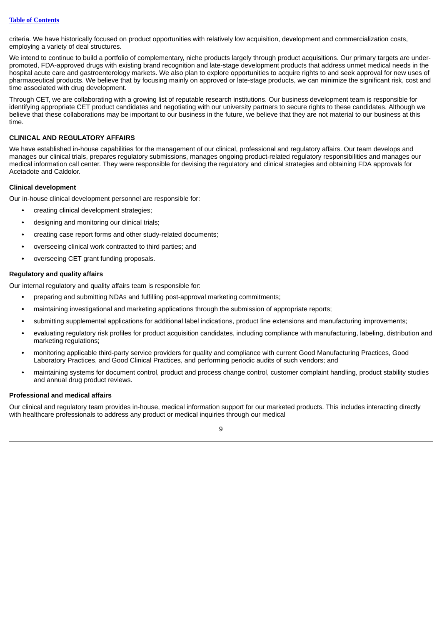criteria. We have historically focused on product opportunities with relatively low acquisition, development and commercialization costs, employing a variety of deal structures.

We intend to continue to build a portfolio of complementary, niche products largely through product acquisitions. Our primary targets are underpromoted, FDA-approved drugs with existing brand recognition and late-stage development products that address unmet medical needs in the hospital acute care and gastroenterology markets. We also plan to explore opportunities to acquire rights to and seek approval for new uses of pharmaceutical products. We believe that by focusing mainly on approved or late-stage products, we can minimize the significant risk, cost and time associated with drug development.

Through CET, we are collaborating with a growing list of reputable research institutions. Our business development team is responsible for identifying appropriate CET product candidates and negotiating with our university partners to secure rights to these candidates. Although we believe that these collaborations may be important to our business in the future, we believe that they are not material to our business at this time.

#### **CLINICAL AND REGULATORY AFFAIRS**

We have established in-house capabilities for the management of our clinical, professional and regulatory affairs. Our team develops and manages our clinical trials, prepares regulatory submissions, manages ongoing product-related regulatory responsibilities and manages our medical information call center. They were responsible for devising the regulatory and clinical strategies and obtaining FDA approvals for Acetadote and Caldolor.

# **Clinical development**

Our in-house clinical development personnel are responsible for:

- **•** creating clinical development strategies;
- **•** designing and monitoring our clinical trials;
- **•** creating case report forms and other study-related documents;
- **•** overseeing clinical work contracted to third parties; and
- **•** overseeing CET grant funding proposals.

# **Regulatory and quality affairs**

Our internal regulatory and quality affairs team is responsible for:

- **•** preparing and submitting NDAs and fulfilling post-approval marketing commitments;
- **•** maintaining investigational and marketing applications through the submission of appropriate reports;
- **•** submitting supplemental applications for additional label indications, product line extensions and manufacturing improvements;
- **•** evaluating regulatory risk profiles for product acquisition candidates, including compliance with manufacturing, labeling, distribution and marketing regulations;
- **•** monitoring applicable third-party service providers for quality and compliance with current Good Manufacturing Practices, Good Laboratory Practices, and Good Clinical Practices, and performing periodic audits of such vendors; and
- **•** maintaining systems for document control, product and process change control, customer complaint handling, product stability studies and annual drug product reviews.

#### **Professional and medical affairs**

Our clinical and regulatory team provides in-house, medical information support for our marketed products. This includes interacting directly with healthcare professionals to address any product or medical inquiries through our medical

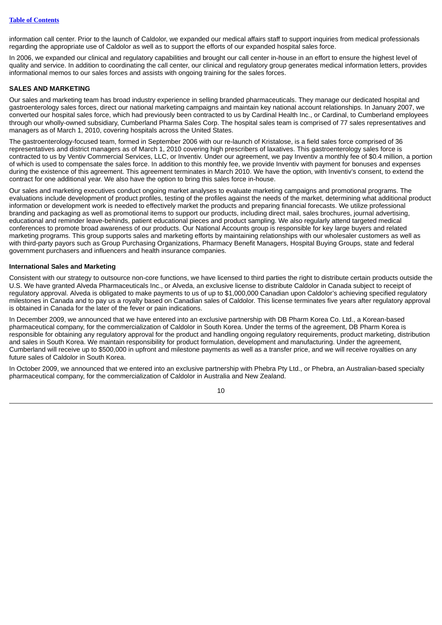information call center. Prior to the launch of Caldolor, we expanded our medical affairs staff to support inquiries from medical professionals regarding the appropriate use of Caldolor as well as to support the efforts of our expanded hospital sales force.

In 2006, we expanded our clinical and regulatory capabilities and brought our call center in-house in an effort to ensure the highest level of quality and service. In addition to coordinating the call center, our clinical and regulatory group generates medical information letters, provides informational memos to our sales forces and assists with ongoing training for the sales forces.

#### **SALES AND MARKETING**

Our sales and marketing team has broad industry experience in selling branded pharmaceuticals. They manage our dedicated hospital and gastroenterology sales forces, direct our national marketing campaigns and maintain key national account relationships. In January 2007, we converted our hospital sales force, which had previously been contracted to us by Cardinal Health Inc., or Cardinal, to Cumberland employees through our wholly-owned subsidiary, Cumberland Pharma Sales Corp. The hospital sales team is comprised of 77 sales representatives and managers as of March 1, 2010, covering hospitals across the United States.

The gastroenterology-focused team, formed in September 2006 with our re-launch of Kristalose, is a field sales force comprised of 36 representatives and district managers as of March 1, 2010 covering high prescribers of laxatives. This gastroenterology sales force is contracted to us by Ventiv Commercial Services, LLC, or Inventiv. Under our agreement, we pay Inventiv a monthly fee of \$0.4 million, a portion of which is used to compensate the sales force. In addition to this monthly fee, we provide Inventiv with payment for bonuses and expenses during the existence of this agreement. This agreement terminates in March 2010. We have the option, with Inventiv's consent, to extend the contract for one additional year. We also have the option to bring this sales force in-house.

Our sales and marketing executives conduct ongoing market analyses to evaluate marketing campaigns and promotional programs. The evaluations include development of product profiles, testing of the profiles against the needs of the market, determining what additional product information or development work is needed to effectively market the products and preparing financial forecasts. We utilize professional branding and packaging as well as promotional items to support our products, including direct mail, sales brochures, journal advertising, educational and reminder leave-behinds, patient educational pieces and product sampling. We also regularly attend targeted medical conferences to promote broad awareness of our products. Our National Accounts group is responsible for key large buyers and related marketing programs. This group supports sales and marketing efforts by maintaining relationships with our wholesaler customers as well as with third-party payors such as Group Purchasing Organizations, Pharmacy Benefit Managers, Hospital Buying Groups, state and federal government purchasers and influencers and health insurance companies.

#### **International Sales and Marketing**

Consistent with our strategy to outsource non-core functions, we have licensed to third parties the right to distribute certain products outside the U.S. We have granted Alveda Pharmaceuticals Inc., or Alveda, an exclusive license to distribute Caldolor in Canada subject to receipt of regulatory approval. Alveda is obligated to make payments to us of up to \$1,000,000 Canadian upon Caldolor's achieving specified regulatory milestones in Canada and to pay us a royalty based on Canadian sales of Caldolor. This license terminates five years after regulatory approval is obtained in Canada for the later of the fever or pain indications.

In December 2009, we announced that we have entered into an exclusive partnership with DB Pharm Korea Co. Ltd., a Korean-based pharmaceutical company, for the commercialization of Caldolor in South Korea. Under the terms of the agreement, DB Pharm Korea is responsible for obtaining any regulatory approval for the product and handling ongoing regulatory requirements, product marketing, distribution and sales in South Korea. We maintain responsibility for product formulation, development and manufacturing. Under the agreement, Cumberland will receive up to \$500,000 in upfront and milestone payments as well as a transfer price, and we will receive royalties on any future sales of Caldolor in South Korea.

In October 2009, we announced that we entered into an exclusive partnership with Phebra Pty Ltd., or Phebra, an Australian-based specialty pharmaceutical company, for the commercialization of Caldolor in Australia and New Zealand.

 $1<sub>0</sub>$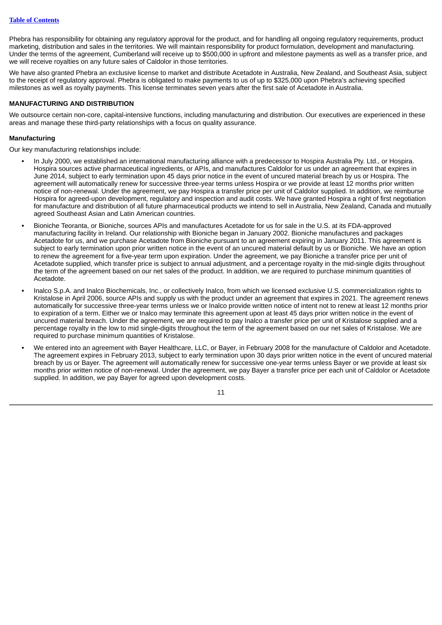Phebra has responsibility for obtaining any regulatory approval for the product, and for handling all ongoing regulatory requirements, product marketing, distribution and sales in the territories. We will maintain responsibility for product formulation, development and manufacturing. Under the terms of the agreement, Cumberland will receive up to \$500,000 in upfront and milestone payments as well as a transfer price, and we will receive royalties on any future sales of Caldolor in those territories.

We have also granted Phebra an exclusive license to market and distribute Acetadote in Australia, New Zealand, and Southeast Asia, subject to the receipt of regulatory approval. Phebra is obligated to make payments to us of up to \$325,000 upon Phebra's achieving specified milestones as well as royalty payments. This license terminates seven years after the first sale of Acetadote in Australia.

# **MANUFACTURING AND DISTRIBUTION**

We outsource certain non-core, capital-intensive functions, including manufacturing and distribution. Our executives are experienced in these areas and manage these third-party relationships with a focus on quality assurance.

#### **Manufacturing**

Our key manufacturing relationships include:

- **•** In July 2000, we established an international manufacturing alliance with a predecessor to Hospira Australia Pty. Ltd., or Hospira. Hospira sources active pharmaceutical ingredients, or APIs, and manufactures Caldolor for us under an agreement that expires in June 2014, subject to early termination upon 45 days prior notice in the event of uncured material breach by us or Hospira. The agreement will automatically renew for successive three-year terms unless Hospira or we provide at least 12 months prior written notice of non-renewal. Under the agreement, we pay Hospira a transfer price per unit of Caldolor supplied. In addition, we reimburse Hospira for agreed-upon development, regulatory and inspection and audit costs. We have granted Hospira a right of first negotiation for manufacture and distribution of all future pharmaceutical products we intend to sell in Australia, New Zealand, Canada and mutually agreed Southeast Asian and Latin American countries.
- **•** Bioniche Teoranta, or Bioniche, sources APIs and manufactures Acetadote for us for sale in the U.S. at its FDA-approved manufacturing facility in Ireland. Our relationship with Bioniche began in January 2002. Bioniche manufactures and packages Acetadote for us, and we purchase Acetadote from Bioniche pursuant to an agreement expiring in January 2011. This agreement is subject to early termination upon prior written notice in the event of an uncured material default by us or Bioniche. We have an option to renew the agreement for a five-year term upon expiration. Under the agreement, we pay Bioniche a transfer price per unit of Acetadote supplied, which transfer price is subject to annual adjustment, and a percentage royalty in the mid-single digits throughout the term of the agreement based on our net sales of the product. In addition, we are required to purchase minimum quantities of Acetadote.
- **•** Inalco S.p.A. and Inalco Biochemicals, Inc., or collectively Inalco, from which we licensed exclusive U.S. commercialization rights to Kristalose in April 2006, source APIs and supply us with the product under an agreement that expires in 2021. The agreement renews automatically for successive three-year terms unless we or Inalco provide written notice of intent not to renew at least 12 months prior to expiration of a term. Either we or Inalco may terminate this agreement upon at least 45 days prior written notice in the event of uncured material breach. Under the agreement, we are required to pay Inalco a transfer price per unit of Kristalose supplied and a percentage royalty in the low to mid single-digits throughout the term of the agreement based on our net sales of Kristalose. We are required to purchase minimum quantities of Kristalose.
- **•** We entered into an agreement with Bayer Healthcare, LLC, or Bayer, in February 2008 for the manufacture of Caldolor and Acetadote. The agreement expires in February 2013, subject to early termination upon 30 days prior written notice in the event of uncured material breach by us or Bayer. The agreement will automatically renew for successive one-year terms unless Bayer or we provide at least six months prior written notice of non-renewal. Under the agreement, we pay Bayer a transfer price per each unit of Caldolor or Acetadote supplied. In addition, we pay Bayer for agreed upon development costs.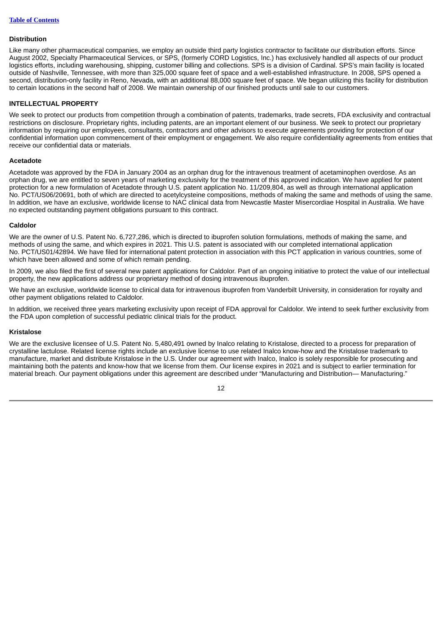#### **Distribution**

Like many other pharmaceutical companies, we employ an outside third party logistics contractor to facilitate our distribution efforts. Since August 2002, Specialty Pharmaceutical Services, or SPS, (formerly CORD Logistics, Inc.) has exclusively handled all aspects of our product logistics efforts, including warehousing, shipping, customer billing and collections. SPS is a division of Cardinal. SPS's main facility is located outside of Nashville, Tennessee, with more than 325,000 square feet of space and a well-established infrastructure. In 2008, SPS opened a second, distribution-only facility in Reno, Nevada, with an additional 88,000 square feet of space. We began utilizing this facility for distribution to certain locations in the second half of 2008. We maintain ownership of our finished products until sale to our customers.

#### **INTELLECTUAL PROPERTY**

We seek to protect our products from competition through a combination of patents, trademarks, trade secrets, FDA exclusivity and contractual restrictions on disclosure. Proprietary rights, including patents, are an important element of our business. We seek to protect our proprietary information by requiring our employees, consultants, contractors and other advisors to execute agreements providing for protection of our confidential information upon commencement of their employment or engagement. We also require confidentiality agreements from entities that receive our confidential data or materials.

#### **Acetadote**

Acetadote was approved by the FDA in January 2004 as an orphan drug for the intravenous treatment of acetaminophen overdose. As an orphan drug, we are entitled to seven years of marketing exclusivity for the treatment of this approved indication. We have applied for patent protection for a new formulation of Acetadote through U.S. patent application No. 11/209,804, as well as through international application No. PCT/US06/20691, both of which are directed to acetylcysteine compositions, methods of making the same and methods of using the same. In addition, we have an exclusive, worldwide license to NAC clinical data from Newcastle Master Misercordiae Hospital in Australia. We have no expected outstanding payment obligations pursuant to this contract.

#### **Caldolor**

We are the owner of U.S. Patent No. 6,727,286, which is directed to ibuprofen solution formulations, methods of making the same, and methods of using the same, and which expires in 2021. This U.S. patent is associated with our completed international application No. PCT/US01/42894. We have filed for international patent protection in association with this PCT application in various countries, some of which have been allowed and some of which remain pending.

In 2009, we also filed the first of several new patent applications for Caldolor. Part of an ongoing initiative to protect the value of our intellectual property, the new applications address our proprietary method of dosing intravenous ibuprofen.

We have an exclusive, worldwide license to clinical data for intravenous ibuprofen from Vanderbilt University, in consideration for royalty and other payment obligations related to Caldolor.

In addition, we received three years marketing exclusivity upon receipt of FDA approval for Caldolor. We intend to seek further exclusivity from the FDA upon completion of successful pediatric clinical trials for the product.

#### **Kristalose**

We are the exclusive licensee of U.S. Patent No. 5,480,491 owned by Inalco relating to Kristalose, directed to a process for preparation of crystalline lactulose. Related license rights include an exclusive license to use related Inalco know-how and the Kristalose trademark to manufacture, market and distribute Kristalose in the U.S. Under our agreement with Inalco, Inalco is solely responsible for prosecuting and maintaining both the patents and know-how that we license from them. Our license expires in 2021 and is subject to earlier termination for material breach. Our payment obligations under this agreement are described under "Manufacturing and Distribution— Manufacturing."

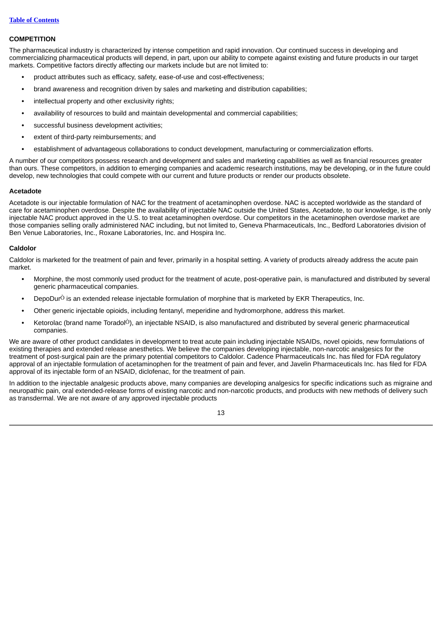#### **COMPETITION**

The pharmaceutical industry is characterized by intense competition and rapid innovation. Our continued success in developing and commercializing pharmaceutical products will depend, in part, upon our ability to compete against existing and future products in our target markets. Competitive factors directly affecting our markets include but are not limited to:

- **•** product attributes such as efficacy, safety, ease-of-use and cost-effectiveness;
- **•** brand awareness and recognition driven by sales and marketing and distribution capabilities;
- **•** intellectual property and other exclusivity rights;
- **•** availability of resources to build and maintain developmental and commercial capabilities;
- **•** successful business development activities;
- **•** extent of third-party reimbursements; and
- **•** establishment of advantageous collaborations to conduct development, manufacturing or commercialization efforts.

A number of our competitors possess research and development and sales and marketing capabilities as well as financial resources greater than ours. These competitors, in addition to emerging companies and academic research institutions, may be developing, or in the future could develop, new technologies that could compete with our current and future products or render our products obsolete.

#### **Acetadote**

Acetadote is our injectable formulation of NAC for the treatment of acetaminophen overdose. NAC is accepted worldwide as the standard of care for acetaminophen overdose. Despite the availability of injectable NAC outside the United States, Acetadote, to our knowledge, is the only injectable NAC product approved in the U.S. to treat acetaminophen overdose. Our competitors in the acetaminophen overdose market are those companies selling orally administered NAC including, but not limited to, Geneva Pharmaceuticals, Inc., Bedford Laboratories division of Ben Venue Laboratories, Inc., Roxane Laboratories, Inc. and Hospira Inc.

#### **Caldolor**

Caldolor is marketed for the treatment of pain and fever, primarily in a hospital setting. A variety of products already address the acute pain market.

- **•** Morphine, the most commonly used product for the treatment of acute, post-operative pain, is manufactured and distributed by several generic pharmaceutical companies.
- **•** DepoDurÒ is an extended release injectable formulation of morphine that is marketed by EKR Therapeutics, Inc.
- **•** Other generic injectable opioids, including fentanyl, meperidine and hydromorphone, address this market.
- **•** Ketorolac (brand name ToradolÒ), an injectable NSAID, is also manufactured and distributed by several generic pharmaceutical companies.

We are aware of other product candidates in development to treat acute pain including injectable NSAIDs, novel opioids, new formulations of existing therapies and extended release anesthetics. We believe the companies developing injectable, non-narcotic analgesics for the treatment of post-surgical pain are the primary potential competitors to Caldolor. Cadence Pharmaceuticals Inc. has filed for FDA regulatory approval of an injectable formulation of acetaminophen for the treatment of pain and fever, and Javelin Pharmaceuticals Inc. has filed for FDA approval of its injectable form of an NSAID, diclofenac, for the treatment of pain.

In addition to the injectable analgesic products above, many companies are developing analgesics for specific indications such as migraine and neuropathic pain, oral extended-release forms of existing narcotic and non-narcotic products, and products with new methods of delivery such as transdermal. We are not aware of any approved injectable products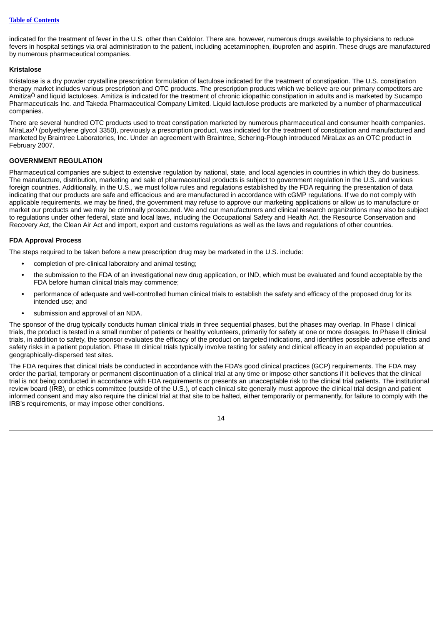indicated for the treatment of fever in the U.S. other than Caldolor. There are, however, numerous drugs available to physicians to reduce fevers in hospital settings via oral administration to the patient, including acetaminophen, ibuprofen and aspirin. These drugs are manufactured by numerous pharmaceutical companies.

#### **Kristalose**

Kristalose is a dry powder crystalline prescription formulation of lactulose indicated for the treatment of constipation. The U.S. constipation therapy market includes various prescription and OTC products. The prescription products which we believe are our primary competitors are AmitizaÒ and liquid lactuloses. Amitiza is indicated for the treatment of chronic idiopathic constipation in adults and is marketed by Sucampo Pharmaceuticals Inc. and Takeda Pharmaceutical Company Limited. Liquid lactulose products are marketed by a number of pharmaceutical companies.

There are several hundred OTC products used to treat constipation marketed by numerous pharmaceutical and consumer health companies. MiraLaxÒ (polyethylene glycol 3350), previously a prescription product, was indicated for the treatment of constipation and manufactured and marketed by Braintree Laboratories, Inc. Under an agreement with Braintree, Schering-Plough introduced MiraLax as an OTC product in February 2007.

# **GOVERNMENT REGULATION**

Pharmaceutical companies are subject to extensive regulation by national, state, and local agencies in countries in which they do business. The manufacture, distribution, marketing and sale of pharmaceutical products is subject to government regulation in the U.S. and various foreign countries. Additionally, in the U.S., we must follow rules and regulations established by the FDA requiring the presentation of data indicating that our products are safe and efficacious and are manufactured in accordance with cGMP regulations. If we do not comply with applicable requirements, we may be fined, the government may refuse to approve our marketing applications or allow us to manufacture or market our products and we may be criminally prosecuted. We and our manufacturers and clinical research organizations may also be subject to regulations under other federal, state and local laws, including the Occupational Safety and Health Act, the Resource Conservation and Recovery Act, the Clean Air Act and import, export and customs regulations as well as the laws and regulations of other countries.

# **FDA Approval Process**

The steps required to be taken before a new prescription drug may be marketed in the U.S. include:

- **•** completion of pre-clinical laboratory and animal testing;
- **•** the submission to the FDA of an investigational new drug application, or IND, which must be evaluated and found acceptable by the FDA before human clinical trials may commence;
- **•** performance of adequate and well-controlled human clinical trials to establish the safety and efficacy of the proposed drug for its intended use; and
- **•** submission and approval of an NDA.

The sponsor of the drug typically conducts human clinical trials in three sequential phases, but the phases may overlap. In Phase I clinical trials, the product is tested in a small number of patients or healthy volunteers, primarily for safety at one or more dosages. In Phase II clinical trials, in addition to safety, the sponsor evaluates the efficacy of the product on targeted indications, and identifies possible adverse effects and safety risks in a patient population. Phase III clinical trials typically involve testing for safety and clinical efficacy in an expanded population at geographically-dispersed test sites.

The FDA requires that clinical trials be conducted in accordance with the FDA's good clinical practices (GCP) requirements. The FDA may order the partial, temporary or permanent discontinuation of a clinical trial at any time or impose other sanctions if it believes that the clinical trial is not being conducted in accordance with FDA requirements or presents an unacceptable risk to the clinical trial patients. The institutional review board (IRB), or ethics committee (outside of the U.S.), of each clinical site generally must approve the clinical trial design and patient informed consent and may also require the clinical trial at that site to be halted, either temporarily or permanently, for failure to comply with the IRB's requirements, or may impose other conditions.

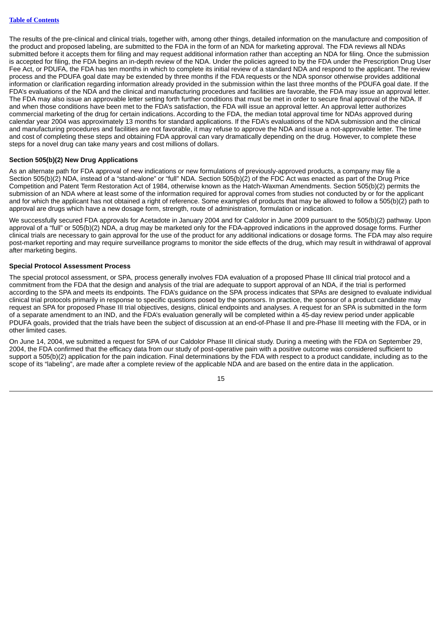The results of the pre-clinical and clinical trials, together with, among other things, detailed information on the manufacture and composition of the product and proposed labeling, are submitted to the FDA in the form of an NDA for marketing approval. The FDA reviews all NDAs submitted before it accepts them for filing and may request additional information rather than accepting an NDA for filing. Once the submission is accepted for filing, the FDA begins an in-depth review of the NDA. Under the policies agreed to by the FDA under the Prescription Drug User Fee Act, or PDUFA, the FDA has ten months in which to complete its initial review of a standard NDA and respond to the applicant. The review process and the PDUFA goal date may be extended by three months if the FDA requests or the NDA sponsor otherwise provides additional information or clarification regarding information already provided in the submission within the last three months of the PDUFA goal date. If the FDA's evaluations of the NDA and the clinical and manufacturing procedures and facilities are favorable, the FDA may issue an approval letter. The FDA may also issue an approvable letter setting forth further conditions that must be met in order to secure final approval of the NDA. If and when those conditions have been met to the FDA's satisfaction, the FDA will issue an approval letter. An approval letter authorizes commercial marketing of the drug for certain indications. According to the FDA, the median total approval time for NDAs approved during calendar year 2004 was approximately 13 months for standard applications. If the FDA's evaluations of the NDA submission and the clinical and manufacturing procedures and facilities are not favorable, it may refuse to approve the NDA and issue a not-approvable letter. The time and cost of completing these steps and obtaining FDA approval can vary dramatically depending on the drug. However, to complete these steps for a novel drug can take many years and cost millions of dollars.

#### **Section 505(b)(2) New Drug Applications**

As an alternate path for FDA approval of new indications or new formulations of previously-approved products, a company may file a Section 505(b)(2) NDA, instead of a "stand-alone" or "full" NDA. Section 505(b)(2) of the FDC Act was enacted as part of the Drug Price Competition and Patent Term Restoration Act of 1984, otherwise known as the Hatch-Waxman Amendments. Section 505(b)(2) permits the submission of an NDA where at least some of the information required for approval comes from studies not conducted by or for the applicant and for which the applicant has not obtained a right of reference. Some examples of products that may be allowed to follow a 505(b)(2) path to approval are drugs which have a new dosage form, strength, route of administration, formulation or indication.

We successfully secured FDA approvals for Acetadote in January 2004 and for Caldolor in June 2009 pursuant to the 505(b)(2) pathway. Upon approval of a "full" or 505(b)(2) NDA, a drug may be marketed only for the FDA-approved indications in the approved dosage forms. Further clinical trials are necessary to gain approval for the use of the product for any additional indications or dosage forms. The FDA may also require post-market reporting and may require surveillance programs to monitor the side effects of the drug, which may result in withdrawal of approval after marketing begins.

#### **Special Protocol Assessment Process**

The special protocol assessment, or SPA, process generally involves FDA evaluation of a proposed Phase III clinical trial protocol and a commitment from the FDA that the design and analysis of the trial are adequate to support approval of an NDA, if the trial is performed according to the SPA and meets its endpoints. The FDA's guidance on the SPA process indicates that SPAs are designed to evaluate individual clinical trial protocols primarily in response to specific questions posed by the sponsors. In practice, the sponsor of a product candidate may request an SPA for proposed Phase III trial objectives, designs, clinical endpoints and analyses. A request for an SPA is submitted in the form of a separate amendment to an IND, and the FDA's evaluation generally will be completed within a 45-day review period under applicable PDUFA goals, provided that the trials have been the subject of discussion at an end-of-Phase II and pre-Phase III meeting with the FDA, or in other limited cases.

On June 14, 2004, we submitted a request for SPA of our Caldolor Phase III clinical study. During a meeting with the FDA on September 29, 2004, the FDA confirmed that the efficacy data from our study of post-operative pain with a positive outcome was considered sufficient to support a 505(b)(2) application for the pain indication. Final determinations by the FDA with respect to a product candidate, including as to the scope of its "labeling", are made after a complete review of the applicable NDA and are based on the entire data in the application.

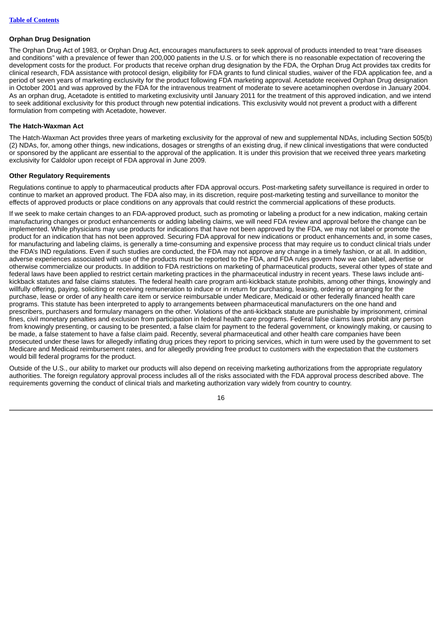#### **Orphan Drug Designation**

The Orphan Drug Act of 1983, or Orphan Drug Act, encourages manufacturers to seek approval of products intended to treat "rare diseases and conditions" with a prevalence of fewer than 200,000 patients in the U.S. or for which there is no reasonable expectation of recovering the development costs for the product. For products that receive orphan drug designation by the FDA, the Orphan Drug Act provides tax credits for clinical research, FDA assistance with protocol design, eligibility for FDA grants to fund clinical studies, waiver of the FDA application fee, and a period of seven years of marketing exclusivity for the product following FDA marketing approval. Acetadote received Orphan Drug designation in October 2001 and was approved by the FDA for the intravenous treatment of moderate to severe acetaminophen overdose in January 2004. As an orphan drug, Acetadote is entitled to marketing exclusivity until January 2011 for the treatment of this approved indication, and we intend to seek additional exclusivity for this product through new potential indications. This exclusivity would not prevent a product with a different formulation from competing with Acetadote, however.

#### **The Hatch-Waxman Act**

The Hatch-Waxman Act provides three years of marketing exclusivity for the approval of new and supplemental NDAs, including Section 505(b) (2) NDAs, for, among other things, new indications, dosages or strengths of an existing drug, if new clinical investigations that were conducted or sponsored by the applicant are essential to the approval of the application. It is under this provision that we received three years marketing exclusivity for Caldolor upon receipt of FDA approval in June 2009.

#### **Other Regulatory Requirements**

Regulations continue to apply to pharmaceutical products after FDA approval occurs. Post-marketing safety surveillance is required in order to continue to market an approved product. The FDA also may, in its discretion, require post-marketing testing and surveillance to monitor the effects of approved products or place conditions on any approvals that could restrict the commercial applications of these products.

If we seek to make certain changes to an FDA-approved product, such as promoting or labeling a product for a new indication, making certain manufacturing changes or product enhancements or adding labeling claims, we will need FDA review and approval before the change can be implemented. While physicians may use products for indications that have not been approved by the FDA, we may not label or promote the product for an indication that has not been approved. Securing FDA approval for new indications or product enhancements and, in some cases, for manufacturing and labeling claims, is generally a time-consuming and expensive process that may require us to conduct clinical trials under the FDA's IND regulations. Even if such studies are conducted, the FDA may not approve any change in a timely fashion, or at all. In addition, adverse experiences associated with use of the products must be reported to the FDA, and FDA rules govern how we can label, advertise or otherwise commercialize our products. In addition to FDA restrictions on marketing of pharmaceutical products, several other types of state and federal laws have been applied to restrict certain marketing practices in the pharmaceutical industry in recent years. These laws include antikickback statutes and false claims statutes. The federal health care program anti-kickback statute prohibits, among other things, knowingly and willfully offering, paying, soliciting or receiving remuneration to induce or in return for purchasing, leasing, ordering or arranging for the purchase, lease or order of any health care item or service reimbursable under Medicare, Medicaid or other federally financed health care programs. This statute has been interpreted to apply to arrangements between pharmaceutical manufacturers on the one hand and prescribers, purchasers and formulary managers on the other. Violations of the anti-kickback statute are punishable by imprisonment, criminal fines, civil monetary penalties and exclusion from participation in federal health care programs. Federal false claims laws prohibit any person from knowingly presenting, or causing to be presented, a false claim for payment to the federal government, or knowingly making, or causing to be made, a false statement to have a false claim paid. Recently, several pharmaceutical and other health care companies have been prosecuted under these laws for allegedly inflating drug prices they report to pricing services, which in turn were used by the government to set Medicare and Medicaid reimbursement rates, and for allegedly providing free product to customers with the expectation that the customers would bill federal programs for the product.

Outside of the U.S., our ability to market our products will also depend on receiving marketing authorizations from the appropriate regulatory authorities. The foreign regulatory approval process includes all of the risks associated with the FDA approval process described above. The requirements governing the conduct of clinical trials and marketing authorization vary widely from country to country.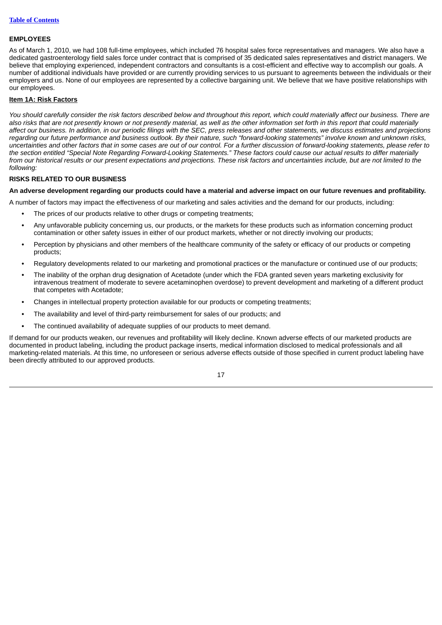# **EMPLOYEES**

As of March 1, 2010, we had 108 full-time employees, which included 76 hospital sales force representatives and managers. We also have a dedicated gastroenterology field sales force under contract that is comprised of 35 dedicated sales representatives and district managers. We believe that employing experienced, independent contractors and consultants is a cost-efficient and effective way to accomplish our goals. A number of additional individuals have provided or are currently providing services to us pursuant to agreements between the individuals or their employers and us. None of our employees are represented by a collective bargaining unit. We believe that we have positive relationships with our employees.

#### <span id="page-19-0"></span>**Item 1A: Risk Factors**

You should carefully consider the risk factors described below and throughout this report, which could materially affect our business. There are also risks that are not presently known or not presently material, as well as the other information set forth in this report that could materially affect our business. In addition, in our periodic filings with the SEC, press releases and other statements, we discuss estimates and projections regarding our future performance and business outlook. By their nature, such "forward-looking statements" involve known and unknown risks, uncertainties and other factors that in some cases are out of our control. For a further discussion of forward-looking statements, please refer to the section entitled "Special Note Regarding Forward-Looking Statements." These factors could cause our actual results to differ materially from our historical results or our present expectations and projections. These risk factors and uncertainties include, but are not limited to the *following:*

#### **RISKS RELATED TO OUR BUSINESS**

#### An adverse development regarding our products could have a material and adverse impact on our future revenues and profitability.

A number of factors may impact the effectiveness of our marketing and sales activities and the demand for our products, including:

- **•** The prices of our products relative to other drugs or competing treatments;
- **•** Any unfavorable publicity concerning us, our products, or the markets for these products such as information concerning product contamination or other safety issues in either of our product markets, whether or not directly involving our products;
- **•** Perception by physicians and other members of the healthcare community of the safety or efficacy of our products or competing products;
- **•** Regulatory developments related to our marketing and promotional practices or the manufacture or continued use of our products;
- **•** The inability of the orphan drug designation of Acetadote (under which the FDA granted seven years marketing exclusivity for intravenous treatment of moderate to severe acetaminophen overdose) to prevent development and marketing of a different product that competes with Acetadote;
- **•** Changes in intellectual property protection available for our products or competing treatments;
- **•** The availability and level of third-party reimbursement for sales of our products; and
- **•** The continued availability of adequate supplies of our products to meet demand.

If demand for our products weaken, our revenues and profitability will likely decline. Known adverse effects of our marketed products are documented in product labeling, including the product package inserts, medical information disclosed to medical professionals and all marketing-related materials. At this time, no unforeseen or serious adverse effects outside of those specified in current product labeling have been directly attributed to our approved products.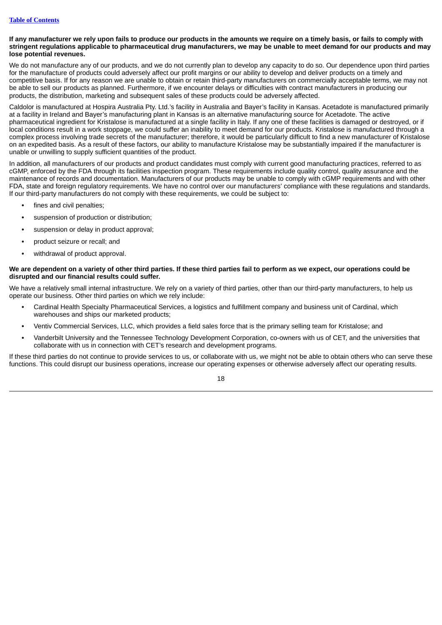#### If any manufacturer we rely upon fails to produce our products in the amounts we require on a timely basis, or fails to comply with stringent regulations applicable to pharmaceutical drug manufacturers, we may be unable to meet demand for our products and may **lose potential revenues.**

We do not manufacture any of our products, and we do not currently plan to develop any capacity to do so. Our dependence upon third parties for the manufacture of products could adversely affect our profit margins or our ability to develop and deliver products on a timely and competitive basis. If for any reason we are unable to obtain or retain third-party manufacturers on commercially acceptable terms, we may not be able to sell our products as planned. Furthermore, if we encounter delays or difficulties with contract manufacturers in producing our products, the distribution, marketing and subsequent sales of these products could be adversely affected.

Caldolor is manufactured at Hospira Australia Pty. Ltd.'s facility in Australia and Bayer's facility in Kansas. Acetadote is manufactured primarily at a facility in Ireland and Bayer's manufacturing plant in Kansas is an alternative manufacturing source for Acetadote. The active pharmaceutical ingredient for Kristalose is manufactured at a single facility in Italy. If any one of these facilities is damaged or destroyed, or if local conditions result in a work stoppage, we could suffer an inability to meet demand for our products. Kristalose is manufactured through a complex process involving trade secrets of the manufacturer; therefore, it would be particularly difficult to find a new manufacturer of Kristalose on an expedited basis. As a result of these factors, our ability to manufacture Kristalose may be substantially impaired if the manufacturer is unable or unwilling to supply sufficient quantities of the product.

In addition, all manufacturers of our products and product candidates must comply with current good manufacturing practices, referred to as cGMP, enforced by the FDA through its facilities inspection program. These requirements include quality control, quality assurance and the maintenance of records and documentation. Manufacturers of our products may be unable to comply with cGMP requirements and with other FDA, state and foreign regulatory requirements. We have no control over our manufacturers' compliance with these regulations and standards. If our third-party manufacturers do not comply with these requirements, we could be subject to:

- **•** fines and civil penalties;
- **•** suspension of production or distribution;
- **•** suspension or delay in product approval;
- **•** product seizure or recall; and
- **•** withdrawal of product approval.

#### We are dependent on a variety of other third parties. If these third parties fail to perform as we expect, our operations could be **disrupted and our financial results could suffer.**

We have a relatively small internal infrastructure. We rely on a variety of third parties, other than our third-party manufacturers, to help us operate our business. Other third parties on which we rely include:

- **•** Cardinal Health Specialty Pharmaceutical Services, a logistics and fulfillment company and business unit of Cardinal, which warehouses and ships our marketed products;
- **•** Ventiv Commercial Services, LLC, which provides a field sales force that is the primary selling team for Kristalose; and
- **•** Vanderbilt University and the Tennessee Technology Development Corporation, co-owners with us of CET, and the universities that collaborate with us in connection with CET's research and development programs.

If these third parties do not continue to provide services to us, or collaborate with us, we might not be able to obtain others who can serve these functions. This could disrupt our business operations, increase our operating expenses or otherwise adversely affect our operating results.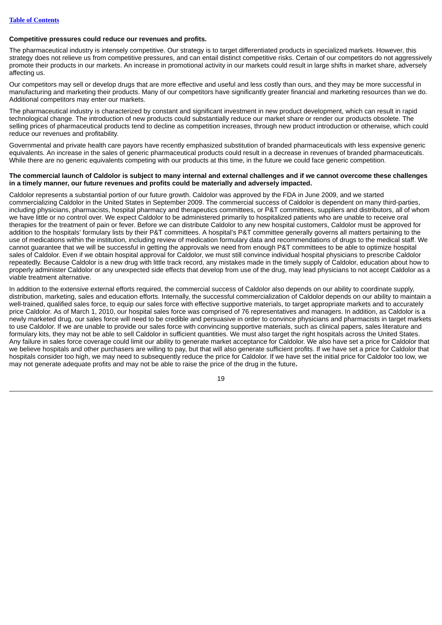# **Competitive pressures could reduce our revenues and profits.**

The pharmaceutical industry is intensely competitive. Our strategy is to target differentiated products in specialized markets. However, this strategy does not relieve us from competitive pressures, and can entail distinct competitive risks. Certain of our competitors do not aggressively promote their products in our markets. An increase in promotional activity in our markets could result in large shifts in market share, adversely affecting us.

Our competitors may sell or develop drugs that are more effective and useful and less costly than ours, and they may be more successful in manufacturing and marketing their products. Many of our competitors have significantly greater financial and marketing resources than we do. Additional competitors may enter our markets.

The pharmaceutical industry is characterized by constant and significant investment in new product development, which can result in rapid technological change. The introduction of new products could substantially reduce our market share or render our products obsolete. The selling prices of pharmaceutical products tend to decline as competition increases, through new product introduction or otherwise, which could reduce our revenues and profitability.

Governmental and private health care payors have recently emphasized substitution of branded pharmaceuticals with less expensive generic equivalents. An increase in the sales of generic pharmaceutical products could result in a decrease in revenues of branded pharmaceuticals. While there are no generic equivalents competing with our products at this time, in the future we could face generic competition.

#### The commercial launch of Caldolor is subject to many internal and external challenges and if we cannot overcome these challenges **in a timely manner, our future revenues and profits could be materially and adversely impacted.**

Caldolor represents a substantial portion of our future growth. Caldolor was approved by the FDA in June 2009, and we started commercializing Caldolor in the United States in September 2009. The commercial success of Caldolor is dependent on many third-parties, including physicians, pharmacists, hospital pharmacy and therapeutics committees, or P&T committees, suppliers and distributors, all of whom we have little or no control over. We expect Caldolor to be administered primarily to hospitalized patients who are unable to receive oral therapies for the treatment of pain or fever. Before we can distribute Caldolor to any new hospital customers, Caldolor must be approved for addition to the hospitals' formulary lists by their P&T committees. A hospital's P&T committee generally governs all matters pertaining to the use of medications within the institution, including review of medication formulary data and recommendations of drugs to the medical staff. We cannot guarantee that we will be successful in getting the approvals we need from enough P&T committees to be able to optimize hospital sales of Caldolor. Even if we obtain hospital approval for Caldolor, we must still convince individual hospital physicians to prescribe Caldolor repeatedly. Because Caldolor is a new drug with little track record, any mistakes made in the timely supply of Caldolor, education about how to properly administer Caldolor or any unexpected side effects that develop from use of the drug, may lead physicians to not accept Caldolor as a viable treatment alternative.

In addition to the extensive external efforts required, the commercial success of Caldolor also depends on our ability to coordinate supply, distribution, marketing, sales and education efforts. Internally, the successful commercialization of Caldolor depends on our ability to maintain a well-trained, qualified sales force, to equip our sales force with effective supportive materials, to target appropriate markets and to accurately price Caldolor. As of March 1, 2010, our hospital sales force was comprised of 76 representatives and managers. In addition, as Caldolor is a newly marketed drug, our sales force will need to be credible and persuasive in order to convince physicians and pharmacists in target markets to use Caldolor. If we are unable to provide our sales force with convincing supportive materials, such as clinical papers, sales literature and formulary kits, they may not be able to sell Caldolor in sufficient quantities. We must also target the right hospitals across the United States. Any failure in sales force coverage could limit our ability to generate market acceptance for Caldolor. We also have set a price for Caldolor that we believe hospitals and other purchasers are willing to pay, but that will also generate sufficient profits. If we have set a price for Caldolor that hospitals consider too high, we may need to subsequently reduce the price for Caldolor. If we have set the initial price for Caldolor too low, we may not generate adequate profits and may not be able to raise the price of the drug in the future**.**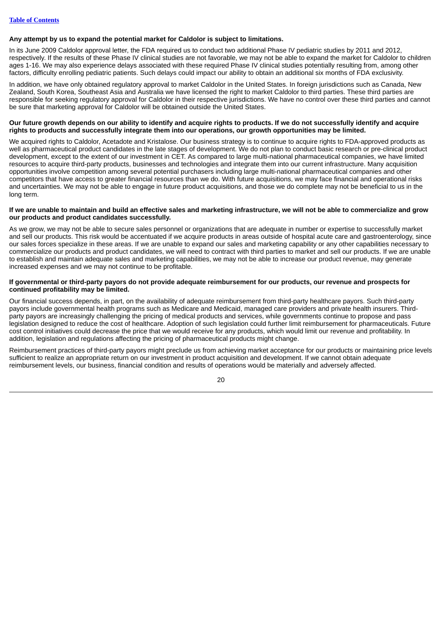#### **Any attempt by us to expand the potential market for Caldolor is subject to limitations.**

In its June 2009 Caldolor approval letter, the FDA required us to conduct two additional Phase IV pediatric studies by 2011 and 2012, respectively. If the results of these Phase IV clinical studies are not favorable, we may not be able to expand the market for Caldolor to children ages 1-16. We may also experience delays associated with these required Phase IV clinical studies potentially resulting from, among other factors, difficulty enrolling pediatric patients. Such delays could impact our ability to obtain an additional six months of FDA exclusivity.

In addition, we have only obtained regulatory approval to market Caldolor in the United States. In foreign jurisdictions such as Canada, New Zealand, South Korea, Southeast Asia and Australia we have licensed the right to market Caldolor to third parties. These third parties are responsible for seeking regulatory approval for Caldolor in their respective jurisdictions. We have no control over these third parties and cannot be sure that marketing approval for Caldolor will be obtained outside the United States.

#### Our future growth depends on our ability to identify and acquire rights to products. If we do not successfully identify and acquire **rights to products and successfully integrate them into our operations, our growth opportunities may be limited.**

We acquired rights to Caldolor, Acetadote and Kristalose. Our business strategy is to continue to acquire rights to FDA-approved products as well as pharmaceutical product candidates in the late stages of development. We do not plan to conduct basic research or pre-clinical product development, except to the extent of our investment in CET. As compared to large multi-national pharmaceutical companies, we have limited resources to acquire third-party products, businesses and technologies and integrate them into our current infrastructure. Many acquisition opportunities involve competition among several potential purchasers including large multi-national pharmaceutical companies and other competitors that have access to greater financial resources than we do. With future acquisitions, we may face financial and operational risks and uncertainties. We may not be able to engage in future product acquisitions, and those we do complete may not be beneficial to us in the long term.

#### If we are unable to maintain and build an effective sales and marketing infrastructure, we will not be able to commercialize and grow **our products and product candidates successfully.**

As we grow, we may not be able to secure sales personnel or organizations that are adequate in number or expertise to successfully market and sell our products. This risk would be accentuated if we acquire products in areas outside of hospital acute care and gastroenterology, since our sales forces specialize in these areas. If we are unable to expand our sales and marketing capability or any other capabilities necessary to commercialize our products and product candidates, we will need to contract with third parties to market and sell our products. If we are unable to establish and maintain adequate sales and marketing capabilities, we may not be able to increase our product revenue, may generate increased expenses and we may not continue to be profitable.

#### If governmental or third-party payors do not provide adequate reimbursement for our products, our revenue and prospects for **continued profitability may be limited.**

Our financial success depends, in part, on the availability of adequate reimbursement from third-party healthcare payors. Such third-party payors include governmental health programs such as Medicare and Medicaid, managed care providers and private health insurers. Thirdparty payors are increasingly challenging the pricing of medical products and services, while governments continue to propose and pass legislation designed to reduce the cost of healthcare. Adoption of such legislation could further limit reimbursement for pharmaceuticals. Future cost control initiatives could decrease the price that we would receive for any products, which would limit our revenue and profitability. In addition, legislation and regulations affecting the pricing of pharmaceutical products might change.

Reimbursement practices of third-party payors might preclude us from achieving market acceptance for our products or maintaining price levels sufficient to realize an appropriate return on our investment in product acquisition and development. If we cannot obtain adequate reimbursement levels, our business, financial condition and results of operations would be materially and adversely affected.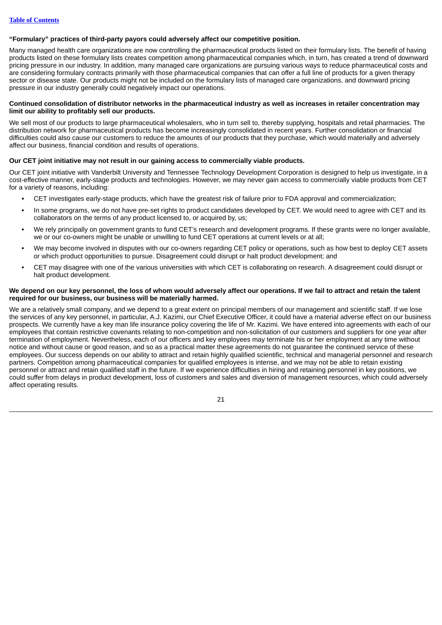#### **"Formulary" practices of third-party payors could adversely affect our competitive position.**

Many managed health care organizations are now controlling the pharmaceutical products listed on their formulary lists. The benefit of having products listed on these formulary lists creates competition among pharmaceutical companies which, in turn, has created a trend of downward pricing pressure in our industry. In addition, many managed care organizations are pursuing various ways to reduce pharmaceutical costs and are considering formulary contracts primarily with those pharmaceutical companies that can offer a full line of products for a given therapy sector or disease state. Our products might not be included on the formulary lists of managed care organizations, and downward pricing pressure in our industry generally could negatively impact our operations.

#### Continued consolidation of distributor networks in the pharmaceutical industry as well as increases in retailer concentration may **limit our ability to profitably sell our products.**

We sell most of our products to large pharmaceutical wholesalers, who in turn sell to, thereby supplying, hospitals and retail pharmacies. The distribution network for pharmaceutical products has become increasingly consolidated in recent years. Further consolidation or financial difficulties could also cause our customers to reduce the amounts of our products that they purchase, which would materially and adversely affect our business, financial condition and results of operations.

#### **Our CET joint initiative may not result in our gaining access to commercially viable products.**

Our CET joint initiative with Vanderbilt University and Tennessee Technology Development Corporation is designed to help us investigate, in a cost-effective manner, early-stage products and technologies. However, we may never gain access to commercially viable products from CET for a variety of reasons, including:

- **•** CET investigates early-stage products, which have the greatest risk of failure prior to FDA approval and commercialization;
- **•** In some programs, we do not have pre-set rights to product candidates developed by CET. We would need to agree with CET and its collaborators on the terms of any product licensed to, or acquired by, us;
- **•** We rely principally on government grants to fund CET's research and development programs. If these grants were no longer available, we or our co-owners might be unable or unwilling to fund CET operations at current levels or at all;
- **•** We may become involved in disputes with our co-owners regarding CET policy or operations, such as how best to deploy CET assets or which product opportunities to pursue. Disagreement could disrupt or halt product development; and
- **•** CET may disagree with one of the various universities with which CET is collaborating on research. A disagreement could disrupt or halt product development.

#### We depend on our key personnel, the loss of whom would adversely affect our operations. If we fail to attract and retain the talent **required for our business, our business will be materially harmed.**

We are a relatively small company, and we depend to a great extent on principal members of our management and scientific staff. If we lose the services of any key personnel, in particular, A.J. Kazimi, our Chief Executive Officer, it could have a material adverse effect on our business prospects. We currently have a key man life insurance policy covering the life of Mr. Kazimi. We have entered into agreements with each of our employees that contain restrictive covenants relating to non-competition and non-solicitation of our customers and suppliers for one year after termination of employment. Nevertheless, each of our officers and key employees may terminate his or her employment at any time without notice and without cause or good reason, and so as a practical matter these agreements do not guarantee the continued service of these employees. Our success depends on our ability to attract and retain highly qualified scientific, technical and managerial personnel and research partners. Competition among pharmaceutical companies for qualified employees is intense, and we may not be able to retain existing personnel or attract and retain qualified staff in the future. If we experience difficulties in hiring and retaining personnel in key positions, we could suffer from delays in product development, loss of customers and sales and diversion of management resources, which could adversely affect operating results.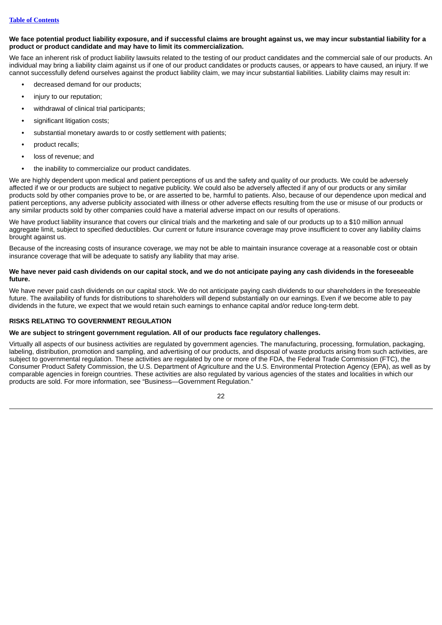#### We face potential product liability exposure, and if successful claims are brought against us, we may incur substantial liability for a **product or product candidate and may have to limit its commercialization.**

We face an inherent risk of product liability lawsuits related to the testing of our product candidates and the commercial sale of our products. An individual may bring a liability claim against us if one of our product candidates or products causes, or appears to have caused, an injury. If we cannot successfully defend ourselves against the product liability claim, we may incur substantial liabilities. Liability claims may result in:

- **•** decreased demand for our products;
- **•** injury to our reputation;
- **•** withdrawal of clinical trial participants;
- **•** significant litigation costs;
- **•** substantial monetary awards to or costly settlement with patients;
- **•** product recalls;
- **•** loss of revenue; and
- **•** the inability to commercialize our product candidates.

We are highly dependent upon medical and patient perceptions of us and the safety and quality of our products. We could be adversely affected if we or our products are subject to negative publicity. We could also be adversely affected if any of our products or any similar products sold by other companies prove to be, or are asserted to be, harmful to patients. Also, because of our dependence upon medical and patient perceptions, any adverse publicity associated with illness or other adverse effects resulting from the use or misuse of our products or any similar products sold by other companies could have a material adverse impact on our results of operations.

We have product liability insurance that covers our clinical trials and the marketing and sale of our products up to a \$10 million annual aggregate limit, subject to specified deductibles. Our current or future insurance coverage may prove insufficient to cover any liability claims brought against us.

Because of the increasing costs of insurance coverage, we may not be able to maintain insurance coverage at a reasonable cost or obtain insurance coverage that will be adequate to satisfy any liability that may arise.

#### We have never paid cash dividends on our capital stock, and we do not anticipate paying any cash dividends in the foreseeable **future.**

We have never paid cash dividends on our capital stock. We do not anticipate paying cash dividends to our shareholders in the foreseeable future. The availability of funds for distributions to shareholders will depend substantially on our earnings. Even if we become able to pay dividends in the future, we expect that we would retain such earnings to enhance capital and/or reduce long-term debt.

#### **RISKS RELATING TO GOVERNMENT REGULATION**

#### **We are subject to stringent government regulation. All of our products face regulatory challenges.**

Virtually all aspects of our business activities are regulated by government agencies. The manufacturing, processing, formulation, packaging, labeling, distribution, promotion and sampling, and advertising of our products, and disposal of waste products arising from such activities, are subject to governmental regulation. These activities are regulated by one or more of the FDA, the Federal Trade Commission (FTC), the Consumer Product Safety Commission, the U.S. Department of Agriculture and the U.S. Environmental Protection Agency (EPA), as well as by comparable agencies in foreign countries. These activities are also regulated by various agencies of the states and localities in which our products are sold. For more information, see "Business—Government Regulation."

22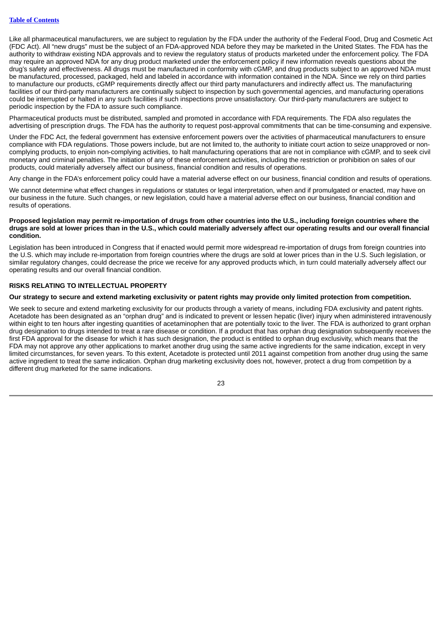Like all pharmaceutical manufacturers, we are subject to regulation by the FDA under the authority of the Federal Food, Drug and Cosmetic Act (FDC Act). All "new drugs" must be the subject of an FDA-approved NDA before they may be marketed in the United States. The FDA has the authority to withdraw existing NDA approvals and to review the regulatory status of products marketed under the enforcement policy. The FDA may require an approved NDA for any drug product marketed under the enforcement policy if new information reveals questions about the drug's safety and effectiveness. All drugs must be manufactured in conformity with cGMP, and drug products subject to an approved NDA must be manufactured, processed, packaged, held and labeled in accordance with information contained in the NDA. Since we rely on third parties to manufacture our products, cGMP requirements directly affect our third party manufacturers and indirectly affect us. The manufacturing facilities of our third-party manufacturers are continually subject to inspection by such governmental agencies, and manufacturing operations could be interrupted or halted in any such facilities if such inspections prove unsatisfactory. Our third-party manufacturers are subject to periodic inspection by the FDA to assure such compliance.

Pharmaceutical products must be distributed, sampled and promoted in accordance with FDA requirements. The FDA also regulates the advertising of prescription drugs. The FDA has the authority to request post-approval commitments that can be time-consuming and expensive.

Under the FDC Act, the federal government has extensive enforcement powers over the activities of pharmaceutical manufacturers to ensure compliance with FDA regulations. Those powers include, but are not limited to, the authority to initiate court action to seize unapproved or noncomplying products, to enjoin non-complying activities, to halt manufacturing operations that are not in compliance with cGMP, and to seek civil monetary and criminal penalties. The initiation of any of these enforcement activities, including the restriction or prohibition on sales of our products, could materially adversely affect our business, financial condition and results of operations.

Any change in the FDA's enforcement policy could have a material adverse effect on our business, financial condition and results of operations.

We cannot determine what effect changes in regulations or statutes or legal interpretation, when and if promulgated or enacted, may have on our business in the future. Such changes, or new legislation, could have a material adverse effect on our business, financial condition and results of operations.

#### Proposed legislation may permit re-importation of drugs from other countries into the U.S., including foreign countries where the drugs are sold at lower prices than in the U.S., which could materially adversely affect our operating results and our overall financial **condition.**

Legislation has been introduced in Congress that if enacted would permit more widespread re-importation of drugs from foreign countries into the U.S. which may include re-importation from foreign countries where the drugs are sold at lower prices than in the U.S. Such legislation, or similar regulatory changes, could decrease the price we receive for any approved products which, in turn could materially adversely affect our operating results and our overall financial condition.

# **RISKS RELATING TO INTELLECTUAL PROPERTY**

# Our strategy to secure and extend marketing exclusivity or patent rights may provide only limited protection from competition.

We seek to secure and extend marketing exclusivity for our products through a variety of means, including FDA exclusivity and patent rights. Acetadote has been designated as an "orphan drug" and is indicated to prevent or lessen hepatic (liver) injury when administered intravenously within eight to ten hours after ingesting quantities of acetaminophen that are potentially toxic to the liver. The FDA is authorized to grant orphan drug designation to drugs intended to treat a rare disease or condition. If a product that has orphan drug designation subsequently receives the first FDA approval for the disease for which it has such designation, the product is entitled to orphan drug exclusivity, which means that the FDA may not approve any other applications to market another drug using the same active ingredients for the same indication, except in very limited circumstances, for seven years. To this extent, Acetadote is protected until 2011 against competition from another drug using the same active ingredient to treat the same indication. Orphan drug marketing exclusivity does not, however, protect a drug from competition by a different drug marketed for the same indications.

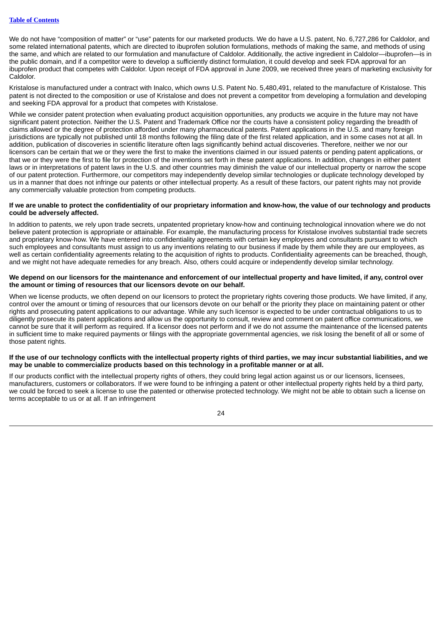We do not have "composition of matter" or "use" patents for our marketed products. We do have a U.S. patent, No. 6,727,286 for Caldolor, and some related international patents, which are directed to ibuprofen solution formulations, methods of making the same, and methods of using the same, and which are related to our formulation and manufacture of Caldolor. Additionally, the active ingredient in Caldolor—ibuprofen—is in the public domain, and if a competitor were to develop a sufficiently distinct formulation, it could develop and seek FDA approval for an ibuprofen product that competes with Caldolor. Upon receipt of FDA approval in June 2009, we received three years of marketing exclusivity for Caldolor.

Kristalose is manufactured under a contract with Inalco, which owns U.S. Patent No. 5,480,491, related to the manufacture of Kristalose. This patent is not directed to the composition or use of Kristalose and does not prevent a competitor from developing a formulation and developing and seeking FDA approval for a product that competes with Kristalose.

While we consider patent protection when evaluating product acquisition opportunities, any products we acquire in the future may not have significant patent protection. Neither the U.S. Patent and Trademark Office nor the courts have a consistent policy regarding the breadth of claims allowed or the degree of protection afforded under many pharmaceutical patents. Patent applications in the U.S. and many foreign jurisdictions are typically not published until 18 months following the filing date of the first related application, and in some cases not at all. In addition, publication of discoveries in scientific literature often lags significantly behind actual discoveries. Therefore, neither we nor our licensors can be certain that we or they were the first to make the inventions claimed in our issued patents or pending patent applications, or that we or they were the first to file for protection of the inventions set forth in these patent applications. In addition, changes in either patent laws or in interpretations of patent laws in the U.S. and other countries may diminish the value of our intellectual property or narrow the scope of our patent protection. Furthermore, our competitors may independently develop similar technologies or duplicate technology developed by us in a manner that does not infringe our patents or other intellectual property. As a result of these factors, our patent rights may not provide any commercially valuable protection from competing products.

#### If we are unable to protect the confidentiality of our proprietary information and know-how, the value of our technology and products **could be adversely affected.**

In addition to patents, we rely upon trade secrets, unpatented proprietary know-how and continuing technological innovation where we do not believe patent protection is appropriate or attainable. For example, the manufacturing process for Kristalose involves substantial trade secrets and proprietary know-how. We have entered into confidentiality agreements with certain key employees and consultants pursuant to which such employees and consultants must assign to us any inventions relating to our business if made by them while they are our employees, as well as certain confidentiality agreements relating to the acquisition of rights to products. Confidentiality agreements can be breached, though, and we might not have adequate remedies for any breach. Also, others could acquire or independently develop similar technology.

#### We depend on our licensors for the maintenance and enforcement of our intellectual property and have limited, if any, control over **the amount or timing of resources that our licensors devote on our behalf.**

When we license products, we often depend on our licensors to protect the proprietary rights covering those products. We have limited, if any, control over the amount or timing of resources that our licensors devote on our behalf or the priority they place on maintaining patent or other rights and prosecuting patent applications to our advantage. While any such licensor is expected to be under contractual obligations to us to diligently prosecute its patent applications and allow us the opportunity to consult, review and comment on patent office communications, we cannot be sure that it will perform as required. If a licensor does not perform and if we do not assume the maintenance of the licensed patents in sufficient time to make required payments or filings with the appropriate governmental agencies, we risk losing the benefit of all or some of those patent rights.

#### If the use of our technology conflicts with the intellectual property rights of third parties, we may incur substantial liabilities, and we **may be unable to commercialize products based on this technology in a profitable manner or at all.**

If our products conflict with the intellectual property rights of others, they could bring legal action against us or our licensors, licensees, manufacturers, customers or collaborators. If we were found to be infringing a patent or other intellectual property rights held by a third party, we could be forced to seek a license to use the patented or otherwise protected technology. We might not be able to obtain such a license on terms acceptable to us or at all. If an infringement

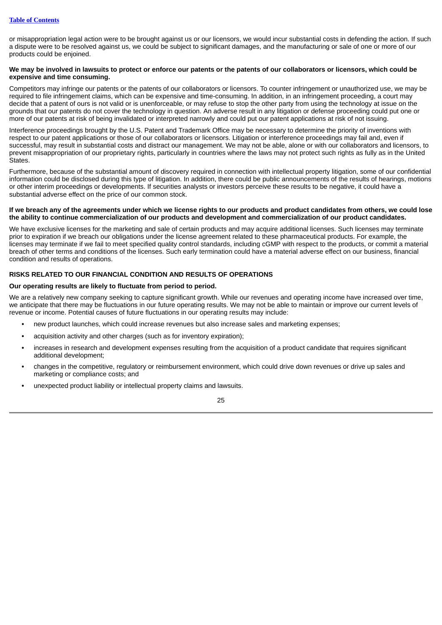or misappropriation legal action were to be brought against us or our licensors, we would incur substantial costs in defending the action. If such a dispute were to be resolved against us, we could be subject to significant damages, and the manufacturing or sale of one or more of our products could be enjoined.

#### We may be involved in lawsuits to protect or enforce our patents or the patents of our collaborators or licensors, which could be **expensive and time consuming.**

Competitors may infringe our patents or the patents of our collaborators or licensors. To counter infringement or unauthorized use, we may be required to file infringement claims, which can be expensive and time-consuming. In addition, in an infringement proceeding, a court may decide that a patent of ours is not valid or is unenforceable, or may refuse to stop the other party from using the technology at issue on the grounds that our patents do not cover the technology in question. An adverse result in any litigation or defense proceeding could put one or more of our patents at risk of being invalidated or interpreted narrowly and could put our patent applications at risk of not issuing.

Interference proceedings brought by the U.S. Patent and Trademark Office may be necessary to determine the priority of inventions with respect to our patent applications or those of our collaborators or licensors. Litigation or interference proceedings may fail and, even if successful, may result in substantial costs and distract our management. We may not be able, alone or with our collaborators and licensors, to prevent misappropriation of our proprietary rights, particularly in countries where the laws may not protect such rights as fully as in the United **States** 

Furthermore, because of the substantial amount of discovery required in connection with intellectual property litigation, some of our confidential information could be disclosed during this type of litigation. In addition, there could be public announcements of the results of hearings, motions or other interim proceedings or developments. If securities analysts or investors perceive these results to be negative, it could have a substantial adverse effect on the price of our common stock.

#### If we breach any of the agreements under which we license rights to our products and product candidates from others, we could lose the ability to continue commercialization of our products and development and commercialization of our product candidates.

We have exclusive licenses for the marketing and sale of certain products and may acquire additional licenses. Such licenses may terminate prior to expiration if we breach our obligations under the license agreement related to these pharmaceutical products. For example, the licenses may terminate if we fail to meet specified quality control standards, including cGMP with respect to the products, or commit a material breach of other terms and conditions of the licenses. Such early termination could have a material adverse effect on our business, financial condition and results of operations.

# **RISKS RELATED TO OUR FINANCIAL CONDITION AND RESULTS OF OPERATIONS**

# **Our operating results are likely to fluctuate from period to period.**

We are a relatively new company seeking to capture significant growth. While our revenues and operating income have increased over time, we anticipate that there may be fluctuations in our future operating results. We may not be able to maintain or improve our current levels of revenue or income. Potential causes of future fluctuations in our operating results may include:

- **•** new product launches, which could increase revenues but also increase sales and marketing expenses;
- **•** acquisition activity and other charges (such as for inventory expiration);
- **•** increases in research and development expenses resulting from the acquisition of a product candidate that requires significant additional development;
- **•** changes in the competitive, regulatory or reimbursement environment, which could drive down revenues or drive up sales and marketing or compliance costs; and
- **•** unexpected product liability or intellectual property claims and lawsuits.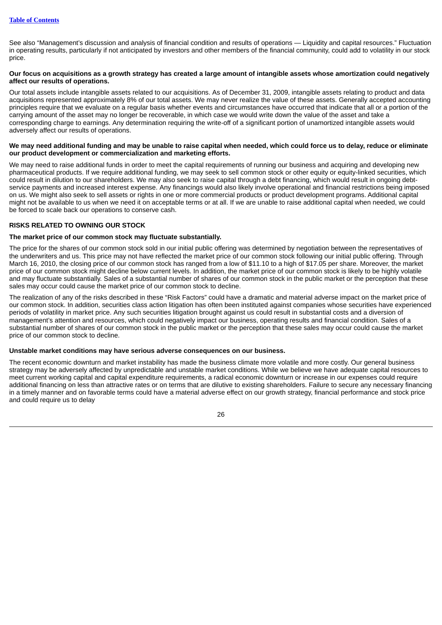See also "Management's discussion and analysis of financial condition and results of operations — Liquidity and capital resources." Fluctuation in operating results, particularly if not anticipated by investors and other members of the financial community, could add to volatility in our stock price.

#### Our focus on acquisitions as a growth strategy has created a large amount of intangible assets whose amortization could negatively **affect our results of operations.**

Our total assets include intangible assets related to our acquisitions. As of December 31, 2009, intangible assets relating to product and data acquisitions represented approximately 8% of our total assets. We may never realize the value of these assets. Generally accepted accounting principles require that we evaluate on a regular basis whether events and circumstances have occurred that indicate that all or a portion of the carrying amount of the asset may no longer be recoverable, in which case we would write down the value of the asset and take a corresponding charge to earnings. Any determination requiring the write-off of a significant portion of unamortized intangible assets would adversely affect our results of operations.

#### We may need additional funding and may be unable to raise capital when needed, which could force us to delay, reduce or eliminate **our product development or commercialization and marketing efforts.**

We may need to raise additional funds in order to meet the capital requirements of running our business and acquiring and developing new pharmaceutical products. If we require additional funding, we may seek to sell common stock or other equity or equity-linked securities, which could result in dilution to our shareholders. We may also seek to raise capital through a debt financing, which would result in ongoing debtservice payments and increased interest expense. Any financings would also likely involve operational and financial restrictions being imposed on us. We might also seek to sell assets or rights in one or more commercial products or product development programs. Additional capital might not be available to us when we need it on acceptable terms or at all. If we are unable to raise additional capital when needed, we could be forced to scale back our operations to conserve cash.

# **RISKS RELATED TO OWNING OUR STOCK**

#### **The market price of our common stock may fluctuate substantially.**

The price for the shares of our common stock sold in our initial public offering was determined by negotiation between the representatives of the underwriters and us. This price may not have reflected the market price of our common stock following our initial public offering. Through March 16, 2010, the closing price of our common stock has ranged from a low of \$11.10 to a high of \$17.05 per share. Moreover, the market price of our common stock might decline below current levels. In addition, the market price of our common stock is likely to be highly volatile and may fluctuate substantially. Sales of a substantial number of shares of our common stock in the public market or the perception that these sales may occur could cause the market price of our common stock to decline.

The realization of any of the risks described in these "Risk Factors" could have a dramatic and material adverse impact on the market price of our common stock. In addition, securities class action litigation has often been instituted against companies whose securities have experienced periods of volatility in market price. Any such securities litigation brought against us could result in substantial costs and a diversion of management's attention and resources, which could negatively impact our business, operating results and financial condition. Sales of a substantial number of shares of our common stock in the public market or the perception that these sales may occur could cause the market price of our common stock to decline.

#### **Unstable market conditions may have serious adverse consequences on our business.**

The recent economic downturn and market instability has made the business climate more volatile and more costly. Our general business strategy may be adversely affected by unpredictable and unstable market conditions. While we believe we have adequate capital resources to meet current working capital and capital expenditure requirements, a radical economic downturn or increase in our expenses could require additional financing on less than attractive rates or on terms that are dilutive to existing shareholders. Failure to secure any necessary financing in a timely manner and on favorable terms could have a material adverse effect on our growth strategy, financial performance and stock price and could require us to delay

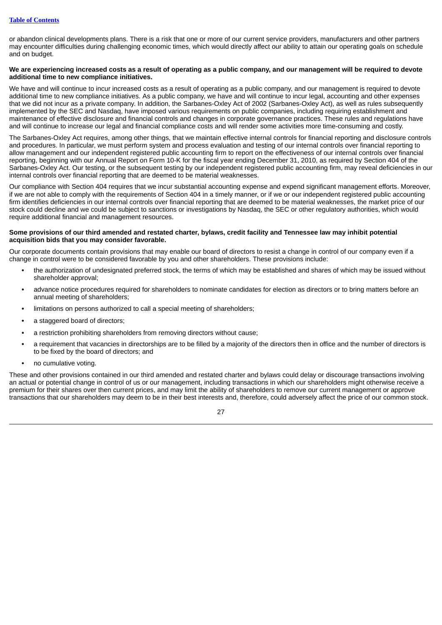or abandon clinical developments plans. There is a risk that one or more of our current service providers, manufacturers and other partners may encounter difficulties during challenging economic times, which would directly affect our ability to attain our operating goals on schedule and on budget.

#### We are experiencing increased costs as a result of operating as a public company, and our management will be required to devote **additional time to new compliance initiatives.**

We have and will continue to incur increased costs as a result of operating as a public company, and our management is required to devote additional time to new compliance initiatives. As a public company, we have and will continue to incur legal, accounting and other expenses that we did not incur as a private company. In addition, the Sarbanes-Oxley Act of 2002 (Sarbanes-Oxley Act), as well as rules subsequently implemented by the SEC and Nasdaq, have imposed various requirements on public companies, including requiring establishment and maintenance of effective disclosure and financial controls and changes in corporate governance practices. These rules and regulations have and will continue to increase our legal and financial compliance costs and will render some activities more time-consuming and costly.

The Sarbanes-Oxley Act requires, among other things, that we maintain effective internal controls for financial reporting and disclosure controls and procedures. In particular, we must perform system and process evaluation and testing of our internal controls over financial reporting to allow management and our independent registered public accounting firm to report on the effectiveness of our internal controls over financial reporting, beginning with our Annual Report on Form 10-K for the fiscal year ending December 31, 2010, as required by Section 404 of the Sarbanes-Oxley Act. Our testing, or the subsequent testing by our independent registered public accounting firm, may reveal deficiencies in our internal controls over financial reporting that are deemed to be material weaknesses.

Our compliance with Section 404 requires that we incur substantial accounting expense and expend significant management efforts. Moreover, if we are not able to comply with the requirements of Section 404 in a timely manner, or if we or our independent registered public accounting firm identifies deficiencies in our internal controls over financial reporting that are deemed to be material weaknesses, the market price of our stock could decline and we could be subject to sanctions or investigations by Nasdaq, the SEC or other regulatory authorities, which would require additional financial and management resources.

#### Some provisions of our third amended and restated charter, bylaws, credit facility and Tennessee law may inhibit potential **acquisition bids that you may consider favorable.**

Our corporate documents contain provisions that may enable our board of directors to resist a change in control of our company even if a change in control were to be considered favorable by you and other shareholders. These provisions include:

- **•** the authorization of undesignated preferred stock, the terms of which may be established and shares of which may be issued without shareholder approval;
- **•** advance notice procedures required for shareholders to nominate candidates for election as directors or to bring matters before an annual meeting of shareholders;
- **•** limitations on persons authorized to call a special meeting of shareholders;
- **•** a staggered board of directors;
- **•** a restriction prohibiting shareholders from removing directors without cause;
- **•** a requirement that vacancies in directorships are to be filled by a majority of the directors then in office and the number of directors is to be fixed by the board of directors; and
- **•** no cumulative voting.

These and other provisions contained in our third amended and restated charter and bylaws could delay or discourage transactions involving an actual or potential change in control of us or our management, including transactions in which our shareholders might otherwise receive a premium for their shares over then current prices, and may limit the ability of shareholders to remove our current management or approve transactions that our shareholders may deem to be in their best interests and, therefore, could adversely affect the price of our common stock.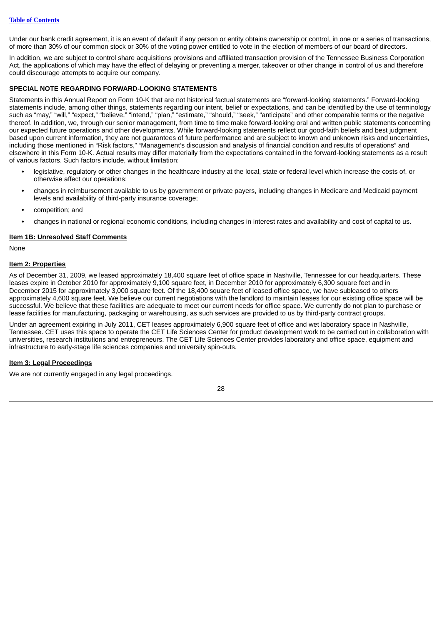Under our bank credit agreement, it is an event of default if any person or entity obtains ownership or control, in one or a series of transactions, of more than 30% of our common stock or 30% of the voting power entitled to vote in the election of members of our board of directors.

In addition, we are subject to control share acquisitions provisions and affiliated transaction provision of the Tennessee Business Corporation Act, the applications of which may have the effect of delaying or preventing a merger, takeover or other change in control of us and therefore could discourage attempts to acquire our company.

# **SPECIAL NOTE REGARDING FORWARD-LOOKING STATEMENTS**

Statements in this Annual Report on Form 10-K that are not historical factual statements are "forward-looking statements." Forward-looking statements include, among other things, statements regarding our intent, belief or expectations, and can be identified by the use of terminology such as "may," "will," "expect," "believe," "intend," "plan," "estimate," "should," "seek," "anticipate" and other comparable terms or the negative thereof. In addition, we, through our senior management, from time to time make forward-looking oral and written public statements concerning our expected future operations and other developments. While forward-looking statements reflect our good-faith beliefs and best judgment based upon current information, they are not guarantees of future performance and are subject to known and unknown risks and uncertainties, including those mentioned in "Risk factors," "Management's discussion and analysis of financial condition and results of operations" and elsewhere in this Form 10-K. Actual results may differ materially from the expectations contained in the forward-looking statements as a result of various factors. Such factors include, without limitation:

- **•** legislative, regulatory or other changes in the healthcare industry at the local, state or federal level which increase the costs of, or otherwise affect our operations;
- **•** changes in reimbursement available to us by government or private payers, including changes in Medicare and Medicaid payment levels and availability of third-party insurance coverage;
- **•** competition; and
- **•** changes in national or regional economic conditions, including changes in interest rates and availability and cost of capital to us.

#### <span id="page-30-0"></span>**Item 1B: Unresolved Staff Comments**

<span id="page-30-1"></span>None

#### **Item 2: Properties**

As of December 31, 2009, we leased approximately 18,400 square feet of office space in Nashville, Tennessee for our headquarters. These leases expire in October 2010 for approximately 9,100 square feet, in December 2010 for approximately 6,300 square feet and in December 2015 for approximately 3,000 square feet. Of the 18,400 square feet of leased office space, we have subleased to others approximately 4,600 square feet. We believe our current negotiations with the landlord to maintain leases for our existing office space will be successful. We believe that these facilities are adequate to meet our current needs for office space. We currently do not plan to purchase or lease facilities for manufacturing, packaging or warehousing, as such services are provided to us by third-party contract groups.

Under an agreement expiring in July 2011, CET leases approximately 6,900 square feet of office and wet laboratory space in Nashville, Tennessee. CET uses this space to operate the CET Life Sciences Center for product development work to be carried out in collaboration with universities, research institutions and entrepreneurs. The CET Life Sciences Center provides laboratory and office space, equipment and infrastructure to early-stage life sciences companies and university spin-outs.

# <span id="page-30-2"></span>**Item 3: Legal Proceedings**

We are not currently engaged in any legal proceedings.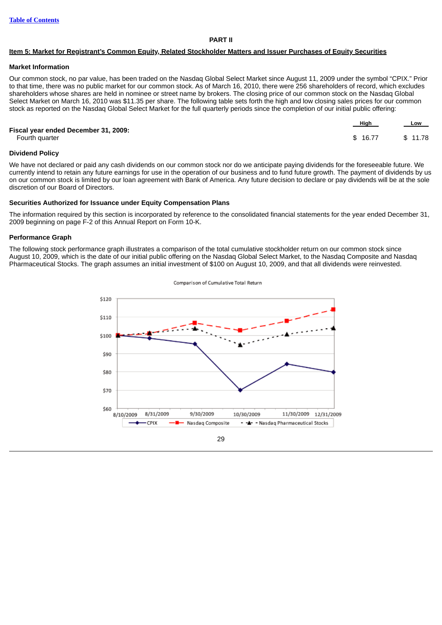# **PART II**

#### <span id="page-31-1"></span><span id="page-31-0"></span>Item 5: Market for Registrant's Common Equity, Related Stockholder Matters and Issuer Purchases of Equity Securities

#### **Market Information**

Our common stock, no par value, has been traded on the Nasdaq Global Select Market since August 11, 2009 under the symbol "CPIX." Prior to that time, there was no public market for our common stock. As of March 16, 2010, there were 256 shareholders of record, which excludes shareholders whose shares are held in nominee or street name by brokers. The closing price of our common stock on the Nasdaq Global Select Market on March 16, 2010 was \$11.35 per share. The following table sets forth the high and low closing sales prices for our common stock as reported on the Nasdaq Global Select Market for the full quarterly periods since the completion of our initial public offering:

|                                      | <u>High</u> | LOW     |
|--------------------------------------|-------------|---------|
| Fiscal year ended December 31, 2009: |             |         |
| Fourth quarter                       | \$16.77     | \$11.78 |

#### **Dividend Policy**

We have not declared or paid any cash dividends on our common stock nor do we anticipate paying dividends for the foreseeable future. We currently intend to retain any future earnings for use in the operation of our business and to fund future growth. The payment of dividends by us on our common stock is limited by our loan agreement with Bank of America. Any future decision to declare or pay dividends will be at the sole discretion of our Board of Directors.

#### **Securities Authorized for Issuance under Equity Compensation Plans**

The information required by this section is incorporated by reference to the consolidated financial statements for the year ended December 31, 2009 beginning on page F-2 of this Annual Report on Form 10-K.

#### **Performance Graph**

The following stock performance graph illustrates a comparison of the total cumulative stockholder return on our common stock since August 10, 2009, which is the date of our initial public offering on the Nasdaq Global Select Market, to the Nasdaq Composite and Nasdaq Pharmaceutical Stocks. The graph assumes an initial investment of \$100 on August 10, 2009, and that all dividends were reinvested.



Comparison of Cumulative Total Return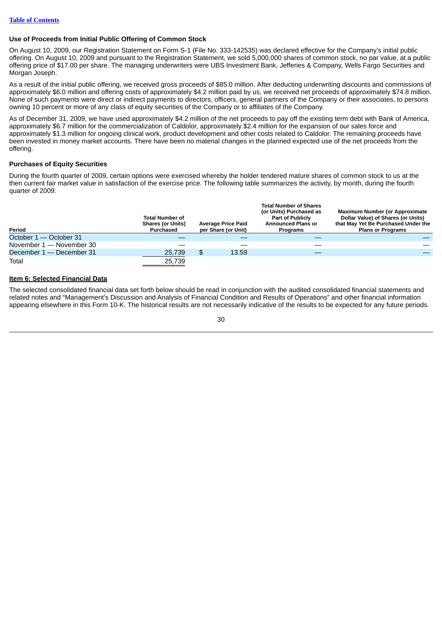#### **Use of Proceeds from Initial Public Offering of Common Stock**

On August 10, 2009, our Registration Statement on Form S-1 (File No. 333-142535) was declared effective for the Company's initial public offering. On August 10, 2009 and pursuant to the Registration Statement, we sold 5,000,000 shares of common stock, no par value, at a public offering price of \$17.00 per share. The managing underwriters were UBS Investment Bank, Jefferies & Company, Wells Fargo Securities and Morgan Joseph.

As a result of the initial public offering, we received gross proceeds of \$85.0 million. After deducting underwriting discounts and commissions of approximately \$6.0 million and offering costs of approximately \$4.2 million paid by us, we received net proceeds of approximately \$74.8 million. None of such payments were direct or indirect payments to directors, officers, general partners of the Company or their associates, to persons owning 10 percent or more of any class of equity securities of the Company or to affiliates of the Company.

As of December 31, 2009, we have used approximately \$4.2 million of the net proceeds to pay off the existing term debt with Bank of America, approximately \$6.7 million for the commercialization of Caldolor, approximately \$2.4 million for the expansion of our sales force and approximately \$1.3 million for ongoing clinical work, product development and other costs related to Caldolor. The remaining proceeds have been invested in money market accounts. There have been no material changes in the planned expected use of the net proceeds from the offering.

#### **Purchases of Equity Securities**

During the fourth quarter of 2009, certain options were exercised whereby the holder tendered mature shares of common stock to us at the then current fair market value in satisfaction of the exercise price. The following table summarizes the activity, by month, during the fourth quarter of 2009:

| Period                   | <b>Total Number of</b><br><b>Shares (or Units)</b><br>Purchased | <b>Average Price Paid</b><br>per Share (or Unit) | <b>Total Number of Shares</b><br>(or Units) Purchased as<br><b>Part of Publicly</b><br><b>Announced Plans or</b><br><b>Programs</b> | <b>Maximum Number (or Approximate</b><br>Dollar Value) of Shares (or Units)<br>that May Yet Be Purchased Under the<br><b>Plans or Programs</b> |
|--------------------------|-----------------------------------------------------------------|--------------------------------------------------|-------------------------------------------------------------------------------------------------------------------------------------|------------------------------------------------------------------------------------------------------------------------------------------------|
| October 1 — October 31   |                                                                 |                                                  |                                                                                                                                     |                                                                                                                                                |
| November 1 – November 30 |                                                                 |                                                  |                                                                                                                                     |                                                                                                                                                |
| December 1 - December 31 | 25,739                                                          | \$<br>13.59                                      |                                                                                                                                     |                                                                                                                                                |
| Total                    | 25.739                                                          |                                                  |                                                                                                                                     |                                                                                                                                                |

#### <span id="page-32-0"></span>**Item 6: Selected Financial Data**

The selected consolidated financial data set forth below should be read in conjunction with the audited consolidated financial statements and related notes and "Management's Discussion and Analysis of Financial Condition and Results of Operations" and other financial information appearing elsewhere in this Form 10-K. The historical results are not necessarily indicative of the results to be expected for any future periods.

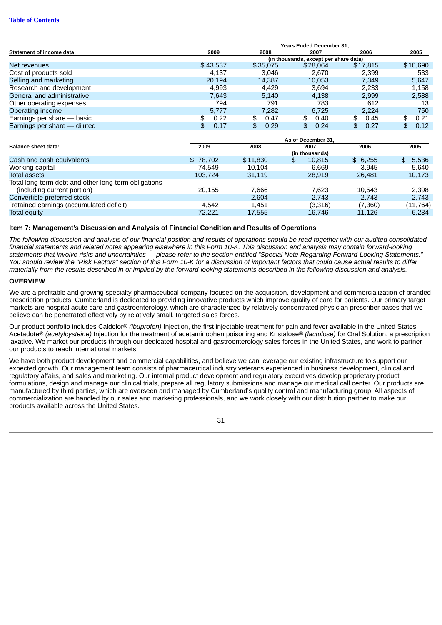#### **Table of [Contents](#page-2-0)**

|                              | <b>Years Ended December 31.</b> |                                       |            |            |            |
|------------------------------|---------------------------------|---------------------------------------|------------|------------|------------|
| Statement of income data:    | 2009                            | 2008                                  | 2007       | 2006       | 2005       |
|                              |                                 | (in thousands, except per share data) |            |            |            |
| Net revenues                 | \$43,537                        | \$35.075                              | \$28,064   | \$17,815   | \$10,690   |
| Cost of products sold        | 4.137                           | 3.046                                 | 2.670      | 2.399      | 533        |
| Selling and marketing        | 20,194                          | 14.387                                | 10,053     | 7.349      | 5,647      |
| Research and development     | 4,993                           | 4.429                                 | 3.694      | 2,233      | 1,158      |
| General and administrative   | 7.643                           | 5.140                                 | 4,138      | 2.999      | 2,588      |
| Other operating expenses     | 794                             | 791                                   | 783        | 612        | 13         |
| Operating income             | 5,777                           | 7.282                                 | 6.725      | 2.224      | 750        |
| Earnings per share — basic   | 0.22<br>\$                      | 0.47<br>\$                            | 0.40<br>\$ | 0.45<br>\$ | \$<br>0.21 |
| Earnings per share — diluted | 0.17<br>\$                      | 0.29<br>\$                            | 0.24<br>\$ | 0.27<br>\$ | 0.12<br>\$ |
|                              |                                 |                                       |            |            |            |

|                                                      | As of December 31, |          |              |         |           |
|------------------------------------------------------|--------------------|----------|--------------|---------|-----------|
| <b>Balance sheet data:</b>                           | 2009               | 2008     | 2007         | 2006    | 2005      |
|                                                      | (in thousands)     |          |              |         |           |
| Cash and cash equivalents                            | \$78,702           | \$11,830 | 10,815<br>\$ | \$6,255 | \$5,536   |
| Working capital                                      | 74.549             | 10.104   | 6.669        | 3.945   | 5.640     |
| <b>Total assets</b>                                  | 103.724            | 31,119   | 28,919       | 26.481  | 10,173    |
| Total long-term debt and other long-term obligations |                    |          |              |         |           |
| (including current portion)                          | 20.155             | 7.666    | 7.623        | 10.543  | 2,398     |
| Convertible preferred stock                          | _                  | 2.604    | 2.743        | 2.743   | 2,743     |
| Retained earnings (accumulated deficit)              | 4.542              | 1.451    | (3,316)      | (7,360) | (11, 764) |
| <b>Total equity</b>                                  | 72.221             | 17.555   | 16.746       | 11.126  | 6.234     |

#### <span id="page-33-0"></span>**Item 7: Management's Discussion and Analysis of Financial Condition and Results of Operations**

The following discussion and analysis of our financial position and results of operations should be read together with our audited consolidated financial statements and related notes appearing elsewhere in this Form 10-K. This discussion and analysis may contain forward-looking statements that involve risks and uncertainties — please refer to the section entitled "Special Note Regarding Forward-Looking Statements." You should review the "Risk Factors" section of this Form 10-K for a discussion of important factors that could cause actual results to differ materially from the results described in or implied by the forward-looking statements described in the following discussion and analysis.

# **OVERVIEW**

We are a profitable and growing specialty pharmaceutical company focused on the acquisition, development and commercialization of branded prescription products. Cumberland is dedicated to providing innovative products which improve quality of care for patients. Our primary target markets are hospital acute care and gastroenterology, which are characterized by relatively concentrated physician prescriber bases that we believe can be penetrated effectively by relatively small, targeted sales forces.

Our product portfolio includes Caldolor® *(ibuprofen)* Injection, the first injectable treatment for pain and fever available in the United States, Acetadote® *(acetylcysteine)* Injection for the treatment of acetaminophen poisoning and Kristalose® *(lactulose)* for Oral Solution, a prescription laxative. We market our products through our dedicated hospital and gastroenterology sales forces in the United States, and work to partner our products to reach international markets.

We have both product development and commercial capabilities, and believe we can leverage our existing infrastructure to support our expected growth. Our management team consists of pharmaceutical industry veterans experienced in business development, clinical and regulatory affairs, and sales and marketing. Our internal product development and regulatory executives develop proprietary product formulations, design and manage our clinical trials, prepare all regulatory submissions and manage our medical call center. Our products are manufactured by third parties, which are overseen and managed by Cumberland's quality control and manufacturing group. All aspects of commercialization are handled by our sales and marketing professionals, and we work closely with our distribution partner to make our products available across the United States.

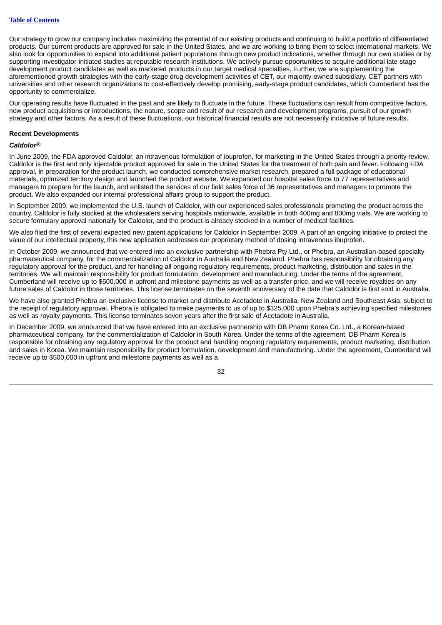Our strategy to grow our company includes maximizing the potential of our existing products and continuing to build a portfolio of differentiated products. Our current products are approved for sale in the United States, and we are working to bring them to select international markets. We also look for opportunities to expand into additional patient populations through new product indications, whether through our own studies or by supporting investigator-initiated studies at reputable research institutions. We actively pursue opportunities to acquire additional late-stage development product candidates as well as marketed products in our target medical specialties. Further, we are supplementing the aforementioned growth strategies with the early-stage drug development activities of CET, our majority-owned subsidiary. CET partners with universities and other research organizations to cost-effectively develop promising, early-stage product candidates, which Cumberland has the opportunity to commercialize.

Our operating results have fluctuated in the past and are likely to fluctuate in the future. These fluctuations can result from competitive factors, new product acquisitions or introductions, the nature, scope and result of our research and development programs, pursuit of our growth strategy and other factors. As a result of these fluctuations, our historical financial results are not necessarily indicative of future results.

#### **Recent Developments**

#### *Caldolor®*

In June 2009, the FDA approved Caldolor, an intravenous formulation of ibuprofen, for marketing in the United States through a priority review. Caldolor is the first and only injectable product approved for sale in the United States for the treatment of both pain and fever. Following FDA approval, in preparation for the product launch, we conducted comprehensive market research, prepared a full package of educational materials, optimized territory design and launched the product website. We expanded our hospital sales force to 77 representatives and managers to prepare for the launch, and enlisted the services of our field sales force of 36 representatives and managers to promote the product. We also expanded our internal professional affairs group to support the product.

In September 2009, we implemented the U.S. launch of Caldolor, with our experienced sales professionals promoting the product across the country. Caldolor is fully stocked at the wholesalers serving hospitals nationwide, available in both 400mg and 800mg vials. We are working to secure formulary approval nationally for Caldolor, and the product is already stocked in a number of medical facilities.

We also filed the first of several expected new patent applications for Caldolor in September 2009. A part of an ongoing initiative to protect the value of our intellectual property, this new application addresses our proprietary method of dosing intravenous ibuprofen.

In October 2009, we announced that we entered into an exclusive partnership with Phebra Pty Ltd., or Phebra, an Australian-based specialty pharmaceutical company, for the commercialization of Caldolor in Australia and New Zealand. Phebra has responsibility for obtaining any regulatory approval for the product, and for handling all ongoing regulatory requirements, product marketing, distribution and sales in the territories. We will maintain responsibility for product formulation, development and manufacturing. Under the terms of the agreement, Cumberland will receive up to \$500,000 in upfront and milestone payments as well as a transfer price, and we will receive royalties on any future sales of Caldolor in those territories. This license terminates on the seventh anniversary of the date that Caldolor is first sold in Australia.

We have also granted Phebra an exclusive license to market and distribute Acetadote in Australia, New Zealand and Southeast Asia, subject to the receipt of regulatory approval. Phebra is obligated to make payments to us of up to \$325,000 upon Phebra's achieving specified milestones as well as royalty payments. This license terminates seven years after the first sale of Acetadote in Australia.

In December 2009, we announced that we have entered into an exclusive partnership with DB Pharm Korea Co. Ltd., a Korean-based pharmaceutical company, for the commercialization of Caldolor in South Korea. Under the terms of the agreement, DB Pharm Korea is responsible for obtaining any regulatory approval for the product and handling ongoing regulatory requirements, product marketing, distribution and sales in Korea. We maintain responsibility for product formulation, development and manufacturing. Under the agreement, Cumberland will receive up to \$500,000 in upfront and milestone payments as well as a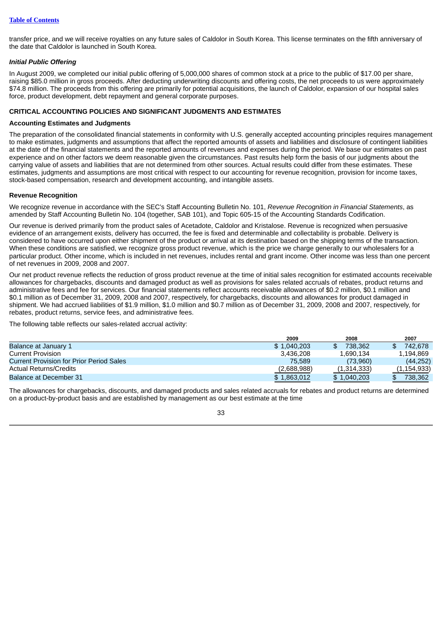transfer price, and we will receive royalties on any future sales of Caldolor in South Korea. This license terminates on the fifth anniversary of the date that Caldolor is launched in South Korea.

# *Initial Public Offering*

In August 2009, we completed our initial public offering of 5,000,000 shares of common stock at a price to the public of \$17.00 per share, raising \$85.0 million in gross proceeds. After deducting underwriting discounts and offering costs, the net proceeds to us were approximately \$74.8 million. The proceeds from this offering are primarily for potential acquisitions, the launch of Caldolor, expansion of our hospital sales force, product development, debt repayment and general corporate purposes.

#### **CRITICAL ACCOUNTING POLICIES AND SIGNIFICANT JUDGMENTS AND ESTIMATES**

#### **Accounting Estimates and Judgments**

The preparation of the consolidated financial statements in conformity with U.S. generally accepted accounting principles requires management to make estimates, judgments and assumptions that affect the reported amounts of assets and liabilities and disclosure of contingent liabilities at the date of the financial statements and the reported amounts of revenues and expenses during the period. We base our estimates on past experience and on other factors we deem reasonable given the circumstances. Past results help form the basis of our judgments about the carrying value of assets and liabilities that are not determined from other sources. Actual results could differ from these estimates. These estimates, judgments and assumptions are most critical with respect to our accounting for revenue recognition, provision for income taxes, stock-based compensation, research and development accounting, and intangible assets.

#### **Revenue Recognition**

We recognize revenue in accordance with the SEC's Staff Accounting Bulletin No. 101, *Revenue Recognition in Financial Statements*, as amended by Staff Accounting Bulletin No. 104 (together, SAB 101), and Topic 605-15 of the Accounting Standards Codification.

Our revenue is derived primarily from the product sales of Acetadote, Caldolor and Kristalose. Revenue is recognized when persuasive evidence of an arrangement exists, delivery has occurred, the fee is fixed and determinable and collectability is probable. Delivery is considered to have occurred upon either shipment of the product or arrival at its destination based on the shipping terms of the transaction. When these conditions are satisfied, we recognize gross product revenue, which is the price we charge generally to our wholesalers for a particular product. Other income, which is included in net revenues, includes rental and grant income. Other income was less than one percent of net revenues in 2009, 2008 and 2007.

Our net product revenue reflects the reduction of gross product revenue at the time of initial sales recognition for estimated accounts receivable allowances for chargebacks, discounts and damaged product as well as provisions for sales related accruals of rebates, product returns and administrative fees and fee for services. Our financial statements reflect accounts receivable allowances of \$0.2 million, \$0.1 million and \$0.1 million as of December 31, 2009, 2008 and 2007, respectively, for chargebacks, discounts and allowances for product damaged in shipment. We had accrued liabilities of \$1.9 million, \$1.0 million and \$0.7 million as of December 31, 2009, 2008 and 2007, respectively, for rebates, product returns, service fees, and administrative fees.

The following table reflects our sales-related accrual activity:

|                                                 | 2009        | 2008           | 2007           |
|-------------------------------------------------|-------------|----------------|----------------|
| Balance at January 1                            | \$1,040,203 | 738.362<br>\$. | 742.678<br>\$. |
| <b>Current Provision</b>                        | 3,436,208   | 1.690.134      | 1,194,869      |
| <b>Current Provision for Prior Period Sales</b> | 75.589      | (73.960)       | (44, 252)      |
| <b>Actual Returns/Credits</b>                   | (2,688,988) | (1,314,333)    | (1,154,933)    |
| Balance at December 31                          | \$1,863,012 | \$1.040.203    | 738.362        |

The allowances for chargebacks, discounts, and damaged products and sales related accruals for rebates and product returns are determined on a product-by-product basis and are established by management as our best estimate at the time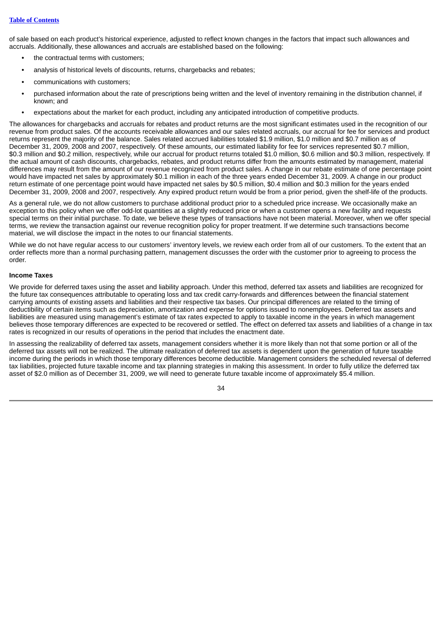of sale based on each product's historical experience, adjusted to reflect known changes in the factors that impact such allowances and accruals. Additionally, these allowances and accruals are established based on the following:

- **•** the contractual terms with customers;
- **•** analysis of historical levels of discounts, returns, chargebacks and rebates;
- **•** communications with customers;
- **•** purchased information about the rate of prescriptions being written and the level of inventory remaining in the distribution channel, if known; and
- **•** expectations about the market for each product, including any anticipated introduction of competitive products.

The allowances for chargebacks and accruals for rebates and product returns are the most significant estimates used in the recognition of our revenue from product sales. Of the accounts receivable allowances and our sales related accruals, our accrual for fee for services and product returns represent the majority of the balance. Sales related accrued liabilities totaled \$1.9 million, \$1.0 million and \$0.7 million as of December 31, 2009, 2008 and 2007, respectively. Of these amounts, our estimated liability for fee for services represented \$0.7 million, \$0.3 million and \$0.2 million, respectively, while our accrual for product returns totaled \$1.0 million, \$0.6 million and \$0.3 million, respectively. If the actual amount of cash discounts, chargebacks, rebates, and product returns differ from the amounts estimated by management, material differences may result from the amount of our revenue recognized from product sales. A change in our rebate estimate of one percentage point would have impacted net sales by approximately \$0.1 million in each of the three years ended December 31, 2009. A change in our product return estimate of one percentage point would have impacted net sales by \$0.5 million, \$0.4 million and \$0.3 million for the years ended December 31, 2009, 2008 and 2007, respectively. Any expired product return would be from a prior period, given the shelf-life of the products.

As a general rule, we do not allow customers to purchase additional product prior to a scheduled price increase. We occasionally make an exception to this policy when we offer odd-lot quantities at a slightly reduced price or when a customer opens a new facility and requests special terms on their initial purchase. To date, we believe these types of transactions have not been material. Moreover, when we offer special terms, we review the transaction against our revenue recognition policy for proper treatment. If we determine such transactions become material, we will disclose the impact in the notes to our financial statements.

While we do not have regular access to our customers' inventory levels, we review each order from all of our customers. To the extent that an order reflects more than a normal purchasing pattern, management discusses the order with the customer prior to agreeing to process the order.

### **Income Taxes**

We provide for deferred taxes using the asset and liability approach. Under this method, deferred tax assets and liabilities are recognized for the future tax consequences attributable to operating loss and tax credit carry-forwards and differences between the financial statement carrying amounts of existing assets and liabilities and their respective tax bases. Our principal differences are related to the timing of deductibility of certain items such as depreciation, amortization and expense for options issued to nonemployees. Deferred tax assets and liabilities are measured using management's estimate of tax rates expected to apply to taxable income in the years in which management believes those temporary differences are expected to be recovered or settled. The effect on deferred tax assets and liabilities of a change in tax rates is recognized in our results of operations in the period that includes the enactment date.

In assessing the realizability of deferred tax assets, management considers whether it is more likely than not that some portion or all of the deferred tax assets will not be realized. The ultimate realization of deferred tax assets is dependent upon the generation of future taxable income during the periods in which those temporary differences become deductible. Management considers the scheduled reversal of deferred tax liabilities, projected future taxable income and tax planning strategies in making this assessment. In order to fully utilize the deferred tax asset of \$2.0 million as of December 31, 2009, we will need to generate future taxable income of approximately \$5.4 million.

 $34$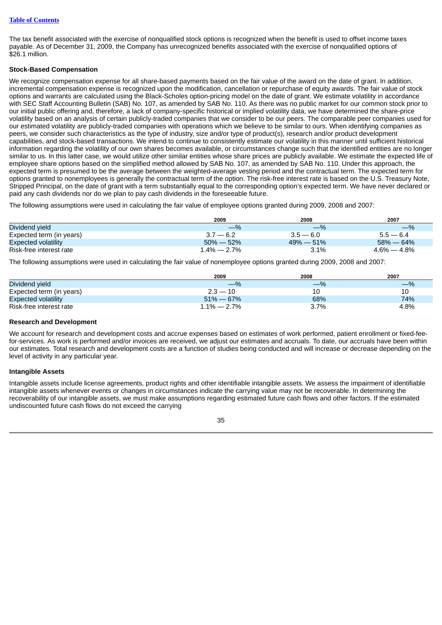The tax benefit associated with the exercise of nonqualified stock options is recognized when the benefit is used to offset income taxes payable. As of December 31, 2009, the Company has unrecognized benefits associated with the exercise of nonqualified options of \$26.1 million.

### **Stock-Based Compensation**

We recognize compensation expense for all share-based payments based on the fair value of the award on the date of grant. In addition, incremental compensation expense is recognized upon the modification, cancellation or repurchase of equity awards. The fair value of stock options and warrants are calculated using the Black-Scholes option-pricing model on the date of grant. We estimate volatility in accordance with SEC Staff Accounting Bulletin (SAB) No. 107, as amended by SAB No. 110. As there was no public market for our common stock prior to our initial public offering and, therefore, a lack of company-specific historical or implied volatility data, we have determined the share-price volatility based on an analysis of certain publicly-traded companies that we consider to be our peers. The comparable peer companies used for our estimated volatility are publicly-traded companies with operations which we believe to be similar to ours. When identifying companies as peers, we consider such characteristics as the type of industry, size and/or type of product(s), research and/or product development capabilities, and stock-based transactions. We intend to continue to consistently estimate our volatility in this manner until sufficient historical information regarding the volatility of our own shares becomes available, or circumstances change such that the identified entities are no longer similar to us. In this latter case, we would utilize other similar entities whose share prices are publicly available. We estimate the expected life of employee share options based on the simplified method allowed by SAB No. 107, as amended by SAB No. 110. Under this approach, the expected term is presumed to be the average between the weighted-average vesting period and the contractual term. The expected term for options granted to nonemployees is generally the contractual term of the option. The risk-free interest rate is based on the U.S. Treasury Note, Stripped Principal, on the date of grant with a term substantially equal to the corresponding option's expected term. We have never declared or paid any cash dividends nor do we plan to pay cash dividends in the foreseeable future.

The following assumptions were used in calculating the fair value of employee options granted during 2009, 2008 and 2007:

|                            | 2009            | 2008          | 2007            |
|----------------------------|-----------------|---------------|-----------------|
| Dividend yield             | $-$ %           | $-$ %         | $-$ %           |
| Expected term (in years)   | $3.7 - 6.2$     | $3.5 - 6.0$   | $5.5 - 6.4$     |
| <b>Expected volatility</b> | $50\% - 52\%$   | $49\% - 51\%$ | $58\% - 64\%$   |
| Risk-free interest rate    | $1.4\% - 2.7\%$ | $3.1\%$       | $4.6\% - 4.8\%$ |

The following assumptions were used in calculating the fair value of nonemployee options granted during 2009, 2008 and 2007:

|                            | 2009            | 2008    | 2007  |
|----------------------------|-----------------|---------|-------|
| Dividend yield             | $-$ %           | $-$ %   | $-$ % |
| Expected term (in years)   | $2.3 - 10$      | 10      | 10    |
| <b>Expected volatility</b> | $51\% - 67\%$   | 68%     | 74%   |
| Risk-free interest rate    | $1.1\% - 2.7\%$ | $3.7\%$ | 4.8%  |

### **Research and Development**

We account for research and development costs and accrue expenses based on estimates of work performed, patient enrollment or fixed-feefor-services. As work is performed and/or invoices are received, we adjust our estimates and accruals. To date, our accruals have been within our estimates. Total research and development costs are a function of studies being conducted and will increase or decrease depending on the level of activity in any particular year.

### **Intangible Assets**

Intangible assets include license agreements, product rights and other identifiable intangible assets. We assess the impairment of identifiable intangible assets whenever events or changes in circumstances indicate the carrying value may not be recoverable. In determining the recoverability of our intangible assets, we must make assumptions regarding estimated future cash flows and other factors. If the estimated undiscounted future cash flows do not exceed the carrying

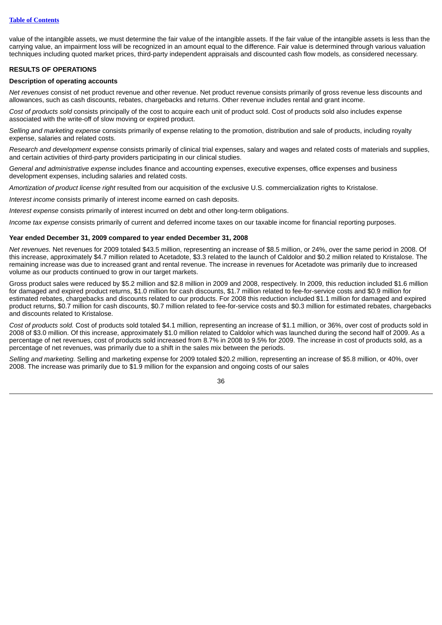value of the intangible assets, we must determine the fair value of the intangible assets. If the fair value of the intangible assets is less than the carrying value, an impairment loss will be recognized in an amount equal to the difference. Fair value is determined through various valuation techniques including quoted market prices, third-party independent appraisals and discounted cash flow models, as considered necessary.

## **RESULTS OF OPERATIONS**

#### **Description of operating accounts**

*Net revenues* consist of net product revenue and other revenue. Net product revenue consists primarily of gross revenue less discounts and allowances, such as cash discounts, rebates, chargebacks and returns. Other revenue includes rental and grant income.

*Cost of products sold* consists principally of the cost to acquire each unit of product sold. Cost of products sold also includes expense associated with the write-off of slow moving or expired product.

*Selling and marketing expense* consists primarily of expense relating to the promotion, distribution and sale of products, including royalty expense, salaries and related costs.

*Research and development expense* consists primarily of clinical trial expenses, salary and wages and related costs of materials and supplies, and certain activities of third-party providers participating in our clinical studies.

*General and administrative expense* includes finance and accounting expenses, executive expenses, office expenses and business development expenses, including salaries and related costs.

*Amortization of product license right* resulted from our acquisition of the exclusive U.S. commercialization rights to Kristalose.

*Interest income* consists primarily of interest income earned on cash deposits.

*Interest expense* consists primarily of interest incurred on debt and other long-term obligations.

*Income tax expense* consists primarily of current and deferred income taxes on our taxable income for financial reporting purposes.

### **Year ended December 31, 2009 compared to year ended December 31, 2008**

*Net revenues.* Net revenues for 2009 totaled \$43.5 million, representing an increase of \$8.5 million, or 24%, over the same period in 2008. Of this increase, approximately \$4.7 million related to Acetadote, \$3.3 related to the launch of Caldolor and \$0.2 million related to Kristalose. The remaining increase was due to increased grant and rental revenue. The increase in revenues for Acetadote was primarily due to increased volume as our products continued to grow in our target markets.

Gross product sales were reduced by \$5.2 million and \$2.8 million in 2009 and 2008, respectively. In 2009, this reduction included \$1.6 million for damaged and expired product returns, \$1.0 million for cash discounts, \$1.7 million related to fee-for-service costs and \$0.9 million for estimated rebates, chargebacks and discounts related to our products. For 2008 this reduction included \$1.1 million for damaged and expired product returns, \$0.7 million for cash discounts, \$0.7 million related to fee-for-service costs and \$0.3 million for estimated rebates, chargebacks and discounts related to Kristalose.

*Cost of products sold.* Cost of products sold totaled \$4.1 million, representing an increase of \$1.1 million, or 36%, over cost of products sold in 2008 of \$3.0 million. Of this increase, approximately \$1.0 million related to Caldolor which was launched during the second half of 2009. As a percentage of net revenues, cost of products sold increased from 8.7% in 2008 to 9.5% for 2009. The increase in cost of products sold, as a percentage of net revenues, was primarily due to a shift in the sales mix between the periods.

*Selling and marketing.* Selling and marketing expense for 2009 totaled \$20.2 million, representing an increase of \$5.8 million, or 40%, over 2008. The increase was primarily due to \$1.9 million for the expansion and ongoing costs of our sales

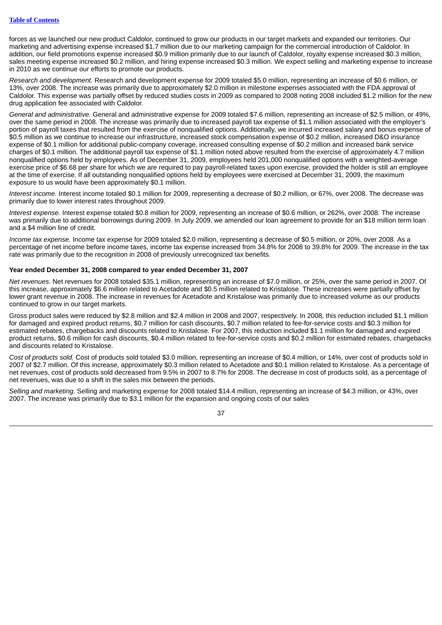forces as we launched our new product Caldolor, continued to grow our products in our target markets and expanded our territories. Our marketing and advertising expense increased \$1.7 million due to our marketing campaign for the commercial introduction of Caldolor. In addition, our field promotions expense increased \$0.9 million primarily due to our launch of Caldolor, royalty expense increased \$0.3 million, sales meeting expense increased \$0.2 million, and hiring expense increased \$0.3 million. We expect selling and marketing expense to increase in 2010 as we continue our efforts to promote our products.

*Research and development.* Research and development expense for 2009 totaled \$5.0 million, representing an increase of \$0.6 million, or 13%, over 2008. The increase was primarily due to approximately \$2.0 million in milestone expenses associated with the FDA approval of Caldolor. This expense was partially offset by reduced studies costs in 2009 as compared to 2008 noting 2008 included \$1.2 million for the new drug application fee associated with Caldolor.

*General and administrative.* General and administrative expense for 2009 totaled \$7.6 million, representing an increase of \$2.5 million, or 49%, over the same period in 2008. The increase was primarily due to increased payroll tax expense of \$1.1 million associated with the employer's portion of payroll taxes that resulted from the exercise of nonqualified options. Additionally, we incurred increased salary and bonus expense of \$0.5 million as we continue to increase our infrastructure, increased stock compensation expense of \$0.2 million, increased D&O insurance expense of \$0.1 million for additional public-company coverage, increased consulting expense of \$0.2 million and increased bank service charges of \$0.1 million. The additional payroll tax expense of \$1.1 million noted above resulted from the exercise of approximately 4.7 million nonqualified options held by employees. As of December 31, 2009, employees held 201,000 nonqualified options with a weighted-average exercise price of \$6.68 per share for which we are required to pay payroll-related taxes upon exercise, provided the holder is still an employee at the time of exercise. If all outstanding nonqualified options held by employees were exercised at December 31, 2009, the maximum exposure to us would have been approximately \$0.1 million.

*Interest income.* Interest income totaled \$0.1 million for 2009, representing a decrease of \$0.2 million, or 67%, over 2008. The decrease was primarily due to lower interest rates throughout 2009.

*Interest expense.* Interest expense totaled \$0.8 million for 2009, representing an increase of \$0.6 million, or 262%, over 2008. The increase was primarily due to additional borrowings during 2009. In July 2009, we amended our loan agreement to provide for an \$18 million term loan and a \$4 million line of credit.

*Income tax expense.* Income tax expense for 2009 totaled \$2.0 million, representing a decrease of \$0.5 million, or 20%, over 2008. As a percentage of net income before income taxes, income tax expense increased from 34.8% for 2008 to 39.8% for 2009. The increase in the tax rate was primarily due to the recognition in 2008 of previously unrecognized tax benefits.

### **Year ended December 31, 2008 compared to year ended December 31, 2007**

*Net revenues.* Net revenues for 2008 totaled \$35.1 million, representing an increase of \$7.0 million, or 25%, over the same period in 2007. Of this increase, approximately \$6.6 million related to Acetadote and \$0.5 million related to Kristalose. These increases were partially offset by lower grant revenue in 2008. The increase in revenues for Acetadote and Kristalose was primarily due to increased volume as our products continued to grow in our target markets.

Gross product sales were reduced by \$2.8 million and \$2.4 million in 2008 and 2007, respectively. In 2008, this reduction included \$1.1 million for damaged and expired product returns, \$0.7 million for cash discounts, \$0.7 million related to fee-for-service costs and \$0.3 million for estimated rebates, chargebacks and discounts related to Kristalose. For 2007, this reduction included \$1.1 million for damaged and expired product returns, \$0.6 million for cash discounts, \$0.4 million related to fee-for-service costs and \$0.2 million for estimated rebates, chargebacks and discounts related to Kristalose.

*Cost of products sold.* Cost of products sold totaled \$3.0 million, representing an increase of \$0.4 million, or 14%, over cost of products sold in 2007 of \$2.7 million. Of this increase, approximately \$0.3 million related to Acetadote and \$0.1 million related to Kristalose. As a percentage of net revenues, cost of products sold decreased from 9.5% in 2007 to 8.7% for 2008. The decrease in cost of products sold, as a percentage of net revenues, was due to a shift in the sales mix between the periods.

*Selling and marketing.* Selling and marketing expense for 2008 totaled \$14.4 million, representing an increase of \$4.3 million, or 43%, over 2007. The increase was primarily due to \$3.1 million for the expansion and ongoing costs of our sales

37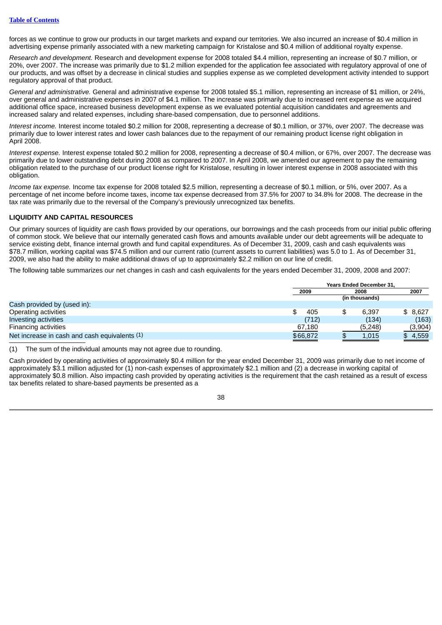forces as we continue to grow our products in our target markets and expand our territories. We also incurred an increase of \$0.4 million in advertising expense primarily associated with a new marketing campaign for Kristalose and \$0.4 million of additional royalty expense.

*Research and development.* Research and development expense for 2008 totaled \$4.4 million, representing an increase of \$0.7 million, or 20%, over 2007. The increase was primarily due to \$1.2 million expended for the application fee associated with regulatory approval of one of our products, and was offset by a decrease in clinical studies and supplies expense as we completed development activity intended to support regulatory approval of that product.

*General and administrative.* General and administrative expense for 2008 totaled \$5.1 million, representing an increase of \$1 million, or 24%, over general and administrative expenses in 2007 of \$4.1 million. The increase was primarily due to increased rent expense as we acquired additional office space, increased business development expense as we evaluated potential acquisition candidates and agreements and increased salary and related expenses, including share-based compensation, due to personnel additions.

*Interest income.* Interest income totaled \$0.2 million for 2008, representing a decrease of \$0.1 million, or 37%, over 2007. The decrease was primarily due to lower interest rates and lower cash balances due to the repayment of our remaining product license right obligation in April 2008.

*Interest expense.* Interest expense totaled \$0.2 million for 2008, representing a decrease of \$0.4 million, or 67%, over 2007. The decrease was primarily due to lower outstanding debt during 2008 as compared to 2007. In April 2008, we amended our agreement to pay the remaining obligation related to the purchase of our product license right for Kristalose, resulting in lower interest expense in 2008 associated with this obligation.

*Income tax expense.* Income tax expense for 2008 totaled \$2.5 million, representing a decrease of \$0.1 million, or 5%, over 2007. As a percentage of net income before income taxes, income tax expense decreased from 37.5% for 2007 to 34.8% for 2008. The decrease in the tax rate was primarily due to the reversal of the Company's previously unrecognized tax benefits.

### **LIQUIDITY AND CAPITAL RESOURCES**

Our primary sources of liquidity are cash flows provided by our operations, our borrowings and the cash proceeds from our initial public offering of common stock. We believe that our internally generated cash flows and amounts available under our debt agreements will be adequate to service existing debt, finance internal growth and fund capital expenditures. As of December 31, 2009, cash and cash equivalents was \$78.7 million, working capital was \$74.5 million and our current ratio (current assets to current liabilities) was 5.0 to 1. As of December 31, 2009, we also had the ability to make additional draws of up to approximately \$2.2 million on our line of credit.

The following table summarizes our net changes in cash and cash equivalents for the years ended December 31, 2009, 2008 and 2007:

|                                               |          | <b>Years Ended December 31.</b> |         |  |
|-----------------------------------------------|----------|---------------------------------|---------|--|
|                                               | 2009     | 2008                            | 2007    |  |
|                                               |          | (in thousands)                  |         |  |
| Cash provided by (used in):                   |          |                                 |         |  |
| Operating activities                          | 405      | 6.397                           | \$8,627 |  |
| Investing activities                          | (712)    | (134)                           | (163)   |  |
| Financing activities                          | 67,180   | (5,248)                         | (3,904) |  |
| Net increase in cash and cash equivalents (1) | \$66,872 | 1,015                           | \$4,559 |  |

(1) The sum of the individual amounts may not agree due to rounding.

Cash provided by operating activities of approximately \$0.4 million for the year ended December 31, 2009 was primarily due to net income of approximately \$3.1 million adjusted for (1) non-cash expenses of approximately \$2.1 million and (2) a decrease in working capital of approximately \$0.8 million. Also impacting cash provided by operating activities is the requirement that the cash retained as a result of excess tax benefits related to share-based payments be presented as a

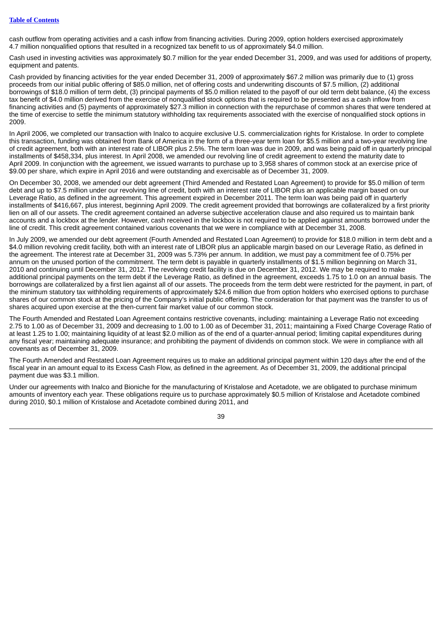cash outflow from operating activities and a cash inflow from financing activities. During 2009, option holders exercised approximately 4.7 million nonqualified options that resulted in a recognized tax benefit to us of approximately \$4.0 million.

Cash used in investing activities was approximately \$0.7 million for the year ended December 31, 2009, and was used for additions of property, equipment and patents.

Cash provided by financing activities for the year ended December 31, 2009 of approximately \$67.2 million was primarily due to (1) gross proceeds from our initial public offering of \$85.0 million, net of offering costs and underwriting discounts of \$7.5 million, (2) additional borrowings of \$18.0 million of term debt, (3) principal payments of \$5.0 million related to the payoff of our old term debt balance, (4) the excess tax benefit of \$4.0 million derived from the exercise of nonqualified stock options that is required to be presented as a cash inflow from financing activities and (5) payments of approximately \$27.3 million in connection with the repurchase of common shares that were tendered at the time of exercise to settle the minimum statutory withholding tax requirements associated with the exercise of nonqualified stock options in 2009.

In April 2006, we completed our transaction with Inalco to acquire exclusive U.S. commercialization rights for Kristalose. In order to complete this transaction, funding was obtained from Bank of America in the form of a three-year term loan for \$5.5 million and a two-year revolving line of credit agreement, both with an interest rate of LIBOR plus 2.5%. The term loan was due in 2009, and was being paid off in quarterly principal installments of \$458,334, plus interest. In April 2008, we amended our revolving line of credit agreement to extend the maturity date to April 2009. In conjunction with the agreement, we issued warrants to purchase up to 3,958 shares of common stock at an exercise price of \$9.00 per share, which expire in April 2016 and were outstanding and exercisable as of December 31, 2009.

On December 30, 2008, we amended our debt agreement (Third Amended and Restated Loan Agreement) to provide for \$5.0 million of term debt and up to \$7.5 million under our revolving line of credit, both with an interest rate of LIBOR plus an applicable margin based on our Leverage Ratio, as defined in the agreement. This agreement expired in December 2011. The term loan was being paid off in quarterly installments of \$416,667, plus interest, beginning April 2009. The credit agreement provided that borrowings are collateralized by a first priority lien on all of our assets. The credit agreement contained an adverse subjective acceleration clause and also required us to maintain bank accounts and a lockbox at the lender. However, cash received in the lockbox is not required to be applied against amounts borrowed under the line of credit. This credit agreement contained various covenants that we were in compliance with at December 31, 2008.

In July 2009, we amended our debt agreement (Fourth Amended and Restated Loan Agreement) to provide for \$18.0 million in term debt and a \$4.0 million revolving credit facility, both with an interest rate of LIBOR plus an applicable margin based on our Leverage Ratio, as defined in the agreement. The interest rate at December 31, 2009 was 5.73% per annum. In addition, we must pay a commitment fee of 0.75% per annum on the unused portion of the commitment. The term debt is payable in quarterly installments of \$1.5 million beginning on March 31, 2010 and continuing until December 31, 2012. The revolving credit facility is due on December 31, 2012. We may be required to make additional principal payments on the term debt if the Leverage Ratio, as defined in the agreement, exceeds 1.75 to 1.0 on an annual basis. The borrowings are collateralized by a first lien against all of our assets. The proceeds from the term debt were restricted for the payment, in part, of the minimum statutory tax withholding requirements of approximately \$24.6 million due from option holders who exercised options to purchase shares of our common stock at the pricing of the Company's initial public offering. The consideration for that payment was the transfer to us of shares acquired upon exercise at the then-current fair market value of our common stock.

The Fourth Amended and Restated Loan Agreement contains restrictive covenants, including: maintaining a Leverage Ratio not exceeding 2.75 to 1.00 as of December 31, 2009 and decreasing to 1.00 to 1.00 as of December 31, 2011; maintaining a Fixed Charge Coverage Ratio of at least 1.25 to 1.00; maintaining liquidity of at least \$2.0 million as of the end of a quarter-annual period; limiting capital expenditures during any fiscal year; maintaining adequate insurance; and prohibiting the payment of dividends on common stock. We were in compliance with all covenants as of December 31, 2009.

The Fourth Amended and Restated Loan Agreement requires us to make an additional principal payment within 120 days after the end of the fiscal year in an amount equal to its Excess Cash Flow, as defined in the agreement. As of December 31, 2009, the additional principal payment due was \$3.1 million.

Under our agreements with Inalco and Bioniche for the manufacturing of Kristalose and Acetadote, we are obligated to purchase minimum amounts of inventory each year. These obligations require us to purchase approximately \$0.5 million of Kristalose and Acetadote combined during 2010, \$0.1 million of Kristalose and Acetadote combined during 2011, and

39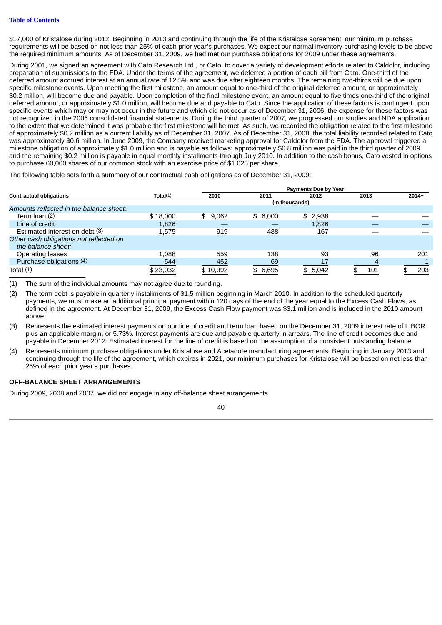\$17,000 of Kristalose during 2012. Beginning in 2013 and continuing through the life of the Kristalose agreement, our minimum purchase requirements will be based on not less than 25% of each prior year's purchases. We expect our normal inventory purchasing levels to be above the required minimum amounts. As of December 31, 2009, we had met our purchase obligations for 2009 under these agreements.

During 2001, we signed an agreement with Cato Research Ltd., or Cato, to cover a variety of development efforts related to Caldolor, including preparation of submissions to the FDA. Under the terms of the agreement, we deferred a portion of each bill from Cato. One-third of the deferred amount accrued interest at an annual rate of 12.5% and was due after eighteen months. The remaining two-thirds will be due upon specific milestone events. Upon meeting the first milestone, an amount equal to one-third of the original deferred amount, or approximately \$0.2 million, will become due and payable. Upon completion of the final milestone event, an amount equal to five times one-third of the original deferred amount, or approximately \$1.0 million, will become due and payable to Cato. Since the application of these factors is contingent upon specific events which may or may not occur in the future and which did not occur as of December 31, 2006, the expense for these factors was not recognized in the 2006 consolidated financial statements. During the third quarter of 2007, we progressed our studies and NDA application to the extent that we determined it was probable the first milestone will be met. As such, we recorded the obligation related to the first milestone of approximately \$0.2 million as a current liability as of December 31, 2007. As of December 31, 2008, the total liability recorded related to Cato was approximately \$0.6 million. In June 2009, the Company received marketing approval for Caldolor from the FDA. The approval triggered a milestone obligation of approximately \$1.0 million and is payable as follows: approximately \$0.8 million was paid in the third quarter of 2009 and the remaining \$0.2 million is payable in equal monthly installments through July 2010. In addition to the cash bonus, Cato vested in options to purchase 60,000 shares of our common stock with an exercise price of \$1.625 per share.

The following table sets forth a summary of our contractual cash obligations as of December 31, 2009:

|                                                               |          |             |         | <b>Payments Due by Year</b> |      |         |
|---------------------------------------------------------------|----------|-------------|---------|-----------------------------|------|---------|
| <b>Contractual obligations</b>                                | Total(1) | 2010        | 2011    | 2012                        | 2013 | $2014+$ |
|                                                               |          |             |         | (in thousands)              |      |         |
| Amounts reflected in the balance sheet:                       |          |             |         |                             |      |         |
| Term Ioan (2)                                                 | \$18,000 | 9,062<br>\$ | \$6,000 | \$2,938                     |      |         |
| Line of credit                                                | 1,826    |             |         | 1,826                       |      |         |
| Estimated interest on debt (3)                                | 1,575    | 919         | 488     | 167                         |      |         |
| Other cash obligations not reflected on<br>the balance sheet: |          |             |         |                             |      |         |
|                                                               | 1,088    | 559         | 138     | 93                          | 96   | 201     |
| Operating leases                                              |          |             |         |                             |      |         |
| Purchase obligations (4)                                      | 544      | 452         | 69      | 17                          | 4    |         |
| Total $(1)$                                                   | \$23,032 | \$10,992    | 6,695   | \$5,042                     | 101  | 203     |

(1) The sum of the individual amounts may not agree due to rounding.

(2) The term debt is payable in quarterly installments of \$1.5 million beginning in March 2010. In addition to the scheduled quarterly payments, we must make an additional principal payment within 120 days of the end of the year equal to the Excess Cash Flows, as defined in the agreement. At December 31, 2009, the Excess Cash Flow payment was \$3.1 million and is included in the 2010 amount above.

(3) Represents the estimated interest payments on our line of credit and term loan based on the December 31, 2009 interest rate of LIBOR plus an applicable margin, or 5.73%. Interest payments are due and payable quarterly in arrears. The line of credit becomes due and payable in December 2012. Estimated interest for the line of credit is based on the assumption of a consistent outstanding balance.

(4) Represents minimum purchase obligations under Kristalose and Acetadote manufacturing agreements. Beginning in January 2013 and continuing through the life of the agreement, which expires in 2021, our minimum purchases for Kristalose will be based on not less than 25% of each prior year's purchases.

## **OFF-BALANCE SHEET ARRANGEMENTS**

During 2009, 2008 and 2007, we did not engage in any off-balance sheet arrangements.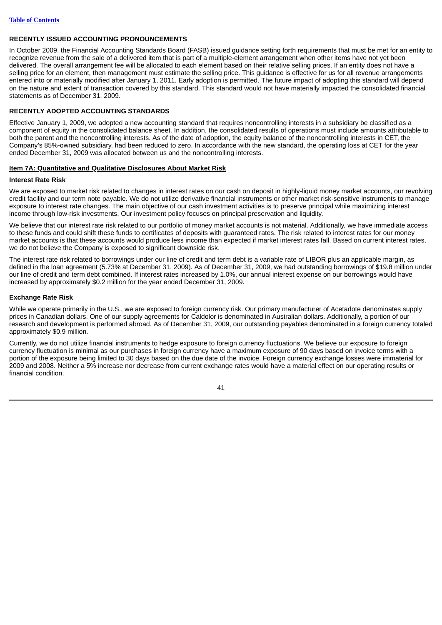# **RECENTLY ISSUED ACCOUNTING PRONOUNCEMENTS**

In October 2009, the Financial Accounting Standards Board (FASB) issued guidance setting forth requirements that must be met for an entity to recognize revenue from the sale of a delivered item that is part of a multiple-element arrangement when other items have not yet been delivered. The overall arrangement fee will be allocated to each element based on their relative selling prices. If an entity does not have a selling price for an element, then management must estimate the selling price. This guidance is effective for us for all revenue arrangements entered into or materially modified after January 1, 2011. Early adoption is permitted. The future impact of adopting this standard will depend on the nature and extent of transaction covered by this standard. This standard would not have materially impacted the consolidated financial statements as of December 31, 2009.

## **RECENTLY ADOPTED ACCOUNTING STANDARDS**

Effective January 1, 2009, we adopted a new accounting standard that requires noncontrolling interests in a subsidiary be classified as a component of equity in the consolidated balance sheet. In addition, the consolidated results of operations must include amounts attributable to both the parent and the noncontrolling interests. As of the date of adoption, the equity balance of the noncontrolling interests in CET, the Company's 85%-owned subsidiary, had been reduced to zero. In accordance with the new standard, the operating loss at CET for the year ended December 31, 2009 was allocated between us and the noncontrolling interests.

## **Item 7A: Quantitative and Qualitative Disclosures About Market Risk**

### **Interest Rate Risk**

We are exposed to market risk related to changes in interest rates on our cash on deposit in highly-liquid money market accounts, our revolving credit facility and our term note payable. We do not utilize derivative financial instruments or other market risk-sensitive instruments to manage exposure to interest rate changes. The main objective of our cash investment activities is to preserve principal while maximizing interest income through low-risk investments. Our investment policy focuses on principal preservation and liquidity.

We believe that our interest rate risk related to our portfolio of money market accounts is not material. Additionally, we have immediate access to these funds and could shift these funds to certificates of deposits with guaranteed rates. The risk related to interest rates for our money market accounts is that these accounts would produce less income than expected if market interest rates fall. Based on current interest rates, we do not believe the Company is exposed to significant downside risk.

The interest rate risk related to borrowings under our line of credit and term debt is a variable rate of LIBOR plus an applicable margin, as defined in the loan agreement (5.73% at December 31, 2009). As of December 31, 2009, we had outstanding borrowings of \$19.8 million under our line of credit and term debt combined. If interest rates increased by 1.0%, our annual interest expense on our borrowings would have increased by approximately \$0.2 million for the year ended December 31, 2009.

## **Exchange Rate Risk**

While we operate primarily in the U.S., we are exposed to foreign currency risk. Our primary manufacturer of Acetadote denominates supply prices in Canadian dollars. One of our supply agreements for Caldolor is denominated in Australian dollars. Additionally, a portion of our research and development is performed abroad. As of December 31, 2009, our outstanding payables denominated in a foreign currency totaled approximately \$0.9 million.

Currently, we do not utilize financial instruments to hedge exposure to foreign currency fluctuations. We believe our exposure to foreign currency fluctuation is minimal as our purchases in foreign currency have a maximum exposure of 90 days based on invoice terms with a portion of the exposure being limited to 30 days based on the due date of the invoice. Foreign currency exchange losses were immaterial for 2009 and 2008. Neither a 5% increase nor decrease from current exchange rates would have a material effect on our operating results or financial condition.

41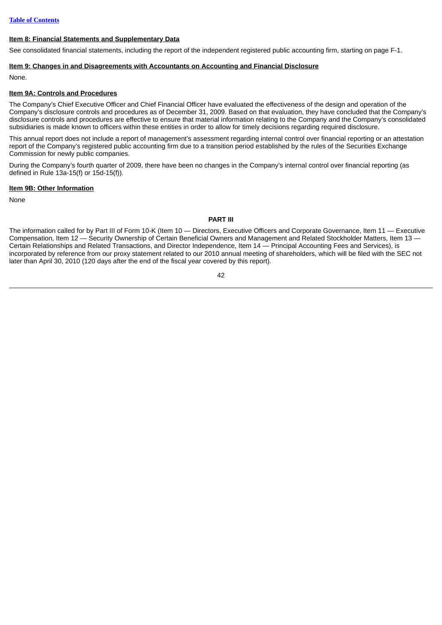## **Item 8: Financial Statements and Supplementary Data**

See consolidated financial statements, including the report of the independent registered public accounting firm, starting on page F-1.

#### **Item 9: Changes in and Disagreements with Accountants on Accounting and Financial Disclosure**

None.

#### **Item 9A: Controls and Procedures**

The Company's Chief Executive Officer and Chief Financial Officer have evaluated the effectiveness of the design and operation of the Company's disclosure controls and procedures as of December 31, 2009. Based on that evaluation, they have concluded that the Company's disclosure controls and procedures are effective to ensure that material information relating to the Company and the Company's consolidated subsidiaries is made known to officers within these entities in order to allow for timely decisions regarding required disclosure.

This annual report does not include a report of management's assessment regarding internal control over financial reporting or an attestation report of the Company's registered public accounting firm due to a transition period established by the rules of the Securities Exchange Commission for newly public companies.

During the Company's fourth quarter of 2009, there have been no changes in the Company's internal control over financial reporting (as defined in Rule 13a-15(f) or 15d-15(f)).

#### **Item 9B: Other Information**

None

#### **PART III**

The information called for by Part III of Form 10-K (Item 10 — Directors, Executive Officers and Corporate Governance, Item 11 — Executive Compensation, Item 12 — Security Ownership of Certain Beneficial Owners and Management and Related Stockholder Matters, Item 13 — Certain Relationships and Related Transactions, and Director Independence, Item 14 — Principal Accounting Fees and Services), is incorporated by reference from our proxy statement related to our 2010 annual meeting of shareholders, which will be filed with the SEC not later than April 30, 2010 (120 days after the end of the fiscal year covered by this report).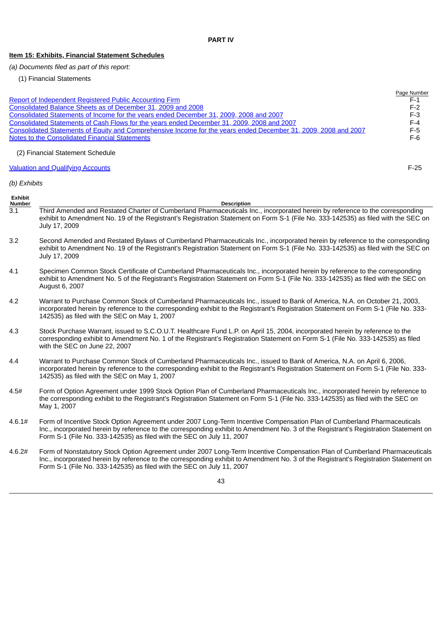### **PART IV**

# **Item 15: Exhibits, Financial Statement Schedules**

*(a) Documents filed as part of this report:*

(1) Financial Statements

|                                                                                                                 | Page Number |
|-----------------------------------------------------------------------------------------------------------------|-------------|
| Report of Independent Registered Public Accounting Firm                                                         | $F-1$       |
| Consolidated Balance Sheets as of December 31, 2009 and 2008                                                    | $F-2$       |
| Consolidated Statements of Income for the years ended December 31, 2009, 2008 and 2007                          | $F-3$       |
| Consolidated Statements of Cash Flows for the years ended December 31, 2009, 2008 and 2007                      | $F-4$       |
| Consolidated Statements of Equity and Comprehensive Income for the years ended December 31, 2009, 2008 and 2007 | $F-5$       |
| <b>Notes to the Consolidated Financial Statements</b>                                                           | $F-6$       |
| (2) Financial Statement Schedule                                                                                |             |
| <b>Valuation and Qualifying Accounts</b>                                                                        | $F-25$      |

### *(b) Exhibits*

| <b>Exhibit</b><br>Number | <b>Description</b>                                                                                                                                                                                                                                                                                                                       |
|--------------------------|------------------------------------------------------------------------------------------------------------------------------------------------------------------------------------------------------------------------------------------------------------------------------------------------------------------------------------------|
| 3.1                      | Third Amended and Restated Charter of Cumberland Pharmaceuticals Inc., incorporated herein by reference to the corresponding<br>exhibit to Amendment No. 19 of the Registrant's Registration Statement on Form S-1 (File No. 333-142535) as filed with the SEC on<br>July 17, 2009                                                       |
| 3.2                      | Second Amended and Restated Bylaws of Cumberland Pharmaceuticals Inc., incorporated herein by reference to the corresponding<br>exhibit to Amendment No. 19 of the Registrant's Registration Statement on Form S-1 (File No. 333-142535) as filed with the SEC on<br>July 17, 2009                                                       |
| 4.1                      | Specimen Common Stock Certificate of Cumberland Pharmaceuticals Inc., incorporated herein by reference to the corresponding<br>exhibit to Amendment No. 5 of the Registrant's Registration Statement on Form S-1 (File No. 333-142535) as filed with the SEC on<br>August 6, 2007                                                        |
| 4.2                      | Warrant to Purchase Common Stock of Cumberland Pharmaceuticals Inc., issued to Bank of America, N.A. on October 21, 2003,<br>incorporated herein by reference to the corresponding exhibit to the Registrant's Registration Statement on Form S-1 (File No. 333-<br>142535) as filed with the SEC on May 1, 2007                         |
| 4.3                      | Stock Purchase Warrant, issued to S.C.O.U.T. Healthcare Fund L.P. on April 15, 2004, incorporated herein by reference to the<br>corresponding exhibit to Amendment No. 1 of the Registrant's Registration Statement on Form S-1 (File No. 333-142535) as filed<br>with the SEC on June 22, 2007                                          |
| 4.4                      | Warrant to Purchase Common Stock of Cumberland Pharmaceuticals Inc., issued to Bank of America, N.A. on April 6, 2006,<br>incorporated herein by reference to the corresponding exhibit to the Registrant's Registration Statement on Form S-1 (File No. 333-<br>142535) as filed with the SEC on May 1, 2007                            |
| 4.5#                     | Form of Option Agreement under 1999 Stock Option Plan of Cumberland Pharmaceuticals Inc., incorporated herein by reference to<br>the corresponding exhibit to the Registrant's Registration Statement on Form S-1 (File No. 333-142535) as filed with the SEC on<br>May 1, 2007                                                          |
| 4.6.1#                   | Form of Incentive Stock Option Agreement under 2007 Long-Term Incentive Compensation Plan of Cumberland Pharmaceuticals<br>Inc., incorporated herein by reference to the corresponding exhibit to Amendment No. 3 of the Registrant's Registration Statement on<br>Form S-1 (File No. 333-142535) as filed with the SEC on July 11, 2007 |

4.6.2# Form of Nonstatutory Stock Option Agreement under 2007 Long-Term Incentive Compensation Plan of Cumberland Pharmaceuticals Inc., incorporated herein by reference to the corresponding exhibit to Amendment No. 3 of the Registrant's Registration Statement on Form S-1 (File No. 333-142535) as filed with the SEC on July 11, 2007

43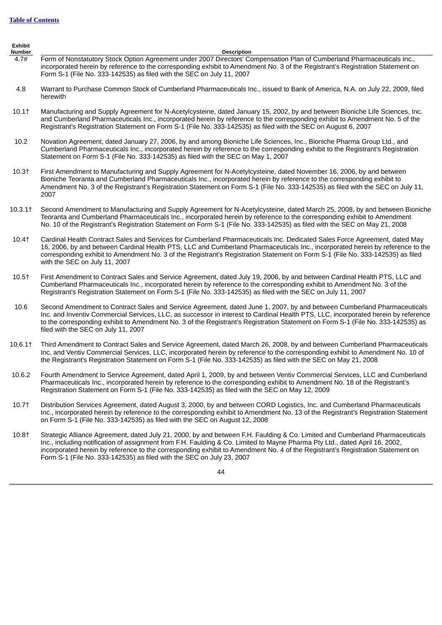| <b>Exhibit</b><br>Number | <b>Description</b>                                                                                                                                                                                                                                                                                                                                                                                                                      |
|--------------------------|-----------------------------------------------------------------------------------------------------------------------------------------------------------------------------------------------------------------------------------------------------------------------------------------------------------------------------------------------------------------------------------------------------------------------------------------|
| 4.7#                     | Form of Nonstatutory Stock Option Agreement under 2007 Directors' Compensation Plan of Cumberland Pharmaceuticals Inc.,<br>incorporated herein by reference to the corresponding exhibit to Amendment No. 3 of the Registrant's Registration Statement on<br>Form S-1 (File No. 333-142535) as filed with the SEC on July 11, 2007                                                                                                      |
| 4.8                      | Warrant to Purchase Common Stock of Cumberland Pharmaceuticals Inc., issued to Bank of America, N.A. on July 22, 2009, filed<br>herewith                                                                                                                                                                                                                                                                                                |
| 10.1 <sup>†</sup>        | Manufacturing and Supply Agreement for N-Acetylcysteine, dated January 15, 2002, by and between Bioniche Life Sciences, Inc.<br>and Cumberland Pharmaceuticals Inc., incorporated herein by reference to the corresponding exhibit to Amendment No. 5 of the<br>Registrant's Registration Statement on Form S-1 (File No. 333-142535) as filed with the SEC on August 6, 2007                                                           |
| 10.2                     | Novation Agreement, dated January 27, 2006, by and among Bioniche Life Sciences, Inc., Bioniche Pharma Group Ltd., and<br>Cumberland Pharmaceuticals Inc., incorporated herein by reference to the corresponding exhibit to the Registrant's Registration<br>Statement on Form S-1 (File No. 333-142535) as filed with the SEC on May 1, 2007                                                                                           |
| 10.3†                    | First Amendment to Manufacturing and Supply Agreement for N-Acetylcysteine, dated November 16, 2006, by and between<br>Bioniche Teoranta and Cumberland Pharmaceuticals Inc., incorporated herein by reference to the corresponding exhibit to<br>Amendment No. 3 of the Registrant's Registration Statement on Form S-1 (File No. 333-142535) as filed with the SEC on July 11,<br>2007                                                |
| 10.3.1†                  | Second Amendment to Manufacturing and Supply Agreement for N-Acetylcysteine, dated March 25, 2008, by and between Bioniche<br>Teoranta and Cumberland Pharmaceuticals Inc., incorporated herein by reference to the corresponding exhibit to Amendment<br>No. 10 of the Registrant's Registration Statement on Form S-1 (File No. 333-142535) as filed with the SEC on May 21, 2008                                                     |
| 10.4†                    | Cardinal Health Contract Sales and Services for Cumberland Pharmaceuticals Inc. Dedicated Sales Force Agreement, dated May<br>16, 2006, by and between Cardinal Health PTS, LLC and Cumberland Pharmaceuticals Inc., incorporated herein by reference to the<br>corresponding exhibit to Amendment No. 3 of the Registrant's Registration Statement on Form S-1 (File No. 333-142535) as filed<br>with the SEC on July 11, 2007         |
| 10.5 <sup>†</sup>        | First Amendment to Contract Sales and Service Agreement, dated July 19, 2006, by and between Cardinal Health PTS, LLC and<br>Cumberland Pharmaceuticals Inc., incorporated herein by reference to the corresponding exhibit to Amendment No. 3 of the<br>Registrant's Registration Statement on Form S-1 (File No. 333-142535) as filed with the SEC on July 11, 2007                                                                   |
| 10.6                     | Second Amendment to Contract Sales and Service Agreement, dated June 1, 2007, by and between Cumberland Pharmaceuticals<br>Inc. and Inventiv Commercial Services, LLC, as successor in interest to Cardinal Health PTS, LLC, incorporated herein by reference<br>to the corresponding exhibit to Amendment No. 3 of the Registrant's Registration Statement on Form S-1 (File No. 333-142535) as<br>filed with the SEC on July 11, 2007 |
| 10.6.1†                  | Third Amendment to Contract Sales and Service Agreement, dated March 26, 2008, by and between Cumberland Pharmaceuticals<br>Inc. and Ventiv Commercial Services, LLC, incorporated herein by reference to the corresponding exhibit to Amendment No. 10 of<br>the Registrant's Registration Statement on Form S-1 (File No. 333-142535) as filed with the SEC on May 21, 2008                                                           |
| 10.6.2                   | Fourth Amendment to Service Agreement, dated April 1, 2009, by and between Ventiv Commercial Services, LLC and Cumberland                                                                                                                                                                                                                                                                                                               |

- Pharmaceuticals Inc., incorporated herein by reference to the corresponding exhibit to Amendment No. 18 of the Registrant's Registration Statement on Form S-1 (File No. 333-142535) as filed with the SEC on May 12, 2009 10.7† Distribution Services Agreement, dated August 3, 2000, by and between CORD Logistics, Inc. and Cumberland Pharmaceuticals
- Inc., incorporated herein by reference to the corresponding exhibit to Amendment No. 13 of the Registrant's Registration Statement on Form S-1 (File No. 333-142535) as filed with the SEC on August 12, 2008 10.8† Strategic Alliance Agreement, dated July 21, 2000, by and between F.H. Faulding & Co. Limited and Cumberland Pharmaceuticals
- Inc., including notification of assignment from F.H. Faulding & Co. Limited to Mayne Pharma Pty Ltd., dated April 16, 2002, incorporated herein by reference to the corresponding exhibit to Amendment No. 4 of the Registrant's Registration Statement on Form S-1 (File No. 333-142535) as filed with the SEC on July 23, 2007

44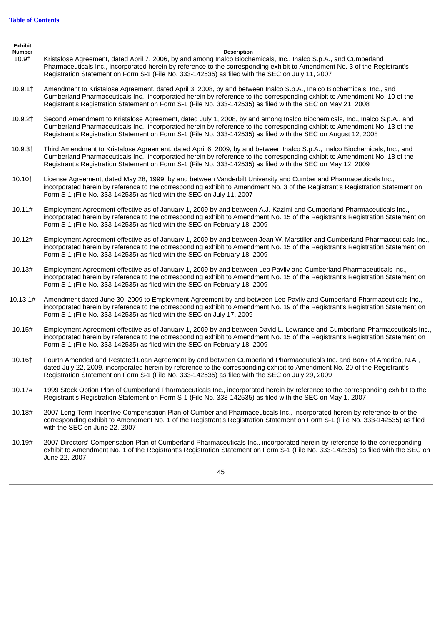| Exhibit<br>Number | <b>Description</b>                                                                                                                                                                                                                                                                                                                                                      |
|-------------------|-------------------------------------------------------------------------------------------------------------------------------------------------------------------------------------------------------------------------------------------------------------------------------------------------------------------------------------------------------------------------|
| 10.9†             | Kristalose Agreement, dated April 7, 2006, by and among Inalco Biochemicals, Inc., Inalco S.p.A., and Cumberland<br>Pharmaceuticals Inc., incorporated herein by reference to the corresponding exhibit to Amendment No. 3 of the Registrant's<br>Registration Statement on Form S-1 (File No. 333-142535) as filed with the SEC on July 11, 2007                       |
| 10.9.1†           | Amendment to Kristalose Agreement, dated April 3, 2008, by and between Inalco S.p.A., Inalco Biochemicals, Inc., and<br>Cumberland Pharmaceuticals Inc., incorporated herein by reference to the corresponding exhibit to Amendment No. 10 of the<br>Registrant's Registration Statement on Form S-1 (File No. 333-142535) as filed with the SEC on May 21, 2008        |
| 10.9.2†           | Second Amendment to Kristalose Agreement, dated July 1, 2008, by and among Inalco Biochemicals, Inc., Inalco S.p.A., and<br>Cumberland Pharmaceuticals Inc., incorporated herein by reference to the corresponding exhibit to Amendment No. 13 of the<br>Registrant's Registration Statement on Form S-1 (File No. 333-142535) as filed with the SEC on August 12, 2008 |
| 10.9.3†           | Third Amendment to Kristalose Agreement, dated April 6, 2009, by and between Inalco S.p.A., Inalco Biochemicals, Inc., and<br>Cumberland Pharmaceuticals Inc., incorporated herein by reference to the corresponding exhibit to Amendment No. 18 of the<br>Registrant's Registration Statement on Form S-1 (File No. 333-142535) as filed with the SEC on May 12, 2009  |
| 10.10†            | License Agreement, dated May 28, 1999, by and between Vanderbilt University and Cumberland Pharmaceuticals Inc.,<br>incorporated herein by reference to the corresponding exhibit to Amendment No. 3 of the Registrant's Registration Statement on<br>Form S-1 (File No. 333-142535) as filed with the SEC on July 11, 2007                                             |
| 10.11#            | Employment Agreement effective as of January 1, 2009 by and between A.J. Kazimi and Cumberland Pharmaceuticals Inc.,<br>incorporated herein by reference to the corresponding exhibit to Amendment No. 15 of the Registrant's Registration Statement on<br>Form S-1 (File No. 333-142535) as filed with the SEC on February 18, 2009                                    |
| 10.12#            | Employment Agreement effective as of January 1, 2009 by and between Jean W. Marstiller and Cumberland Pharmaceuticals Inc.,<br>incorporated herein by reference to the corresponding exhibit to Amendment No. 15 of the Registrant's Registration Statement on<br>Form S-1 (File No. 333-142535) as filed with the SEC on February 18, 2009                             |
| 10.13#            | Employment Agreement effective as of January 1, 2009 by and between Leo Pavliv and Cumberland Pharmaceuticals Inc.,<br>incorporated herein by reference to the corresponding exhibit to Amendment No. 15 of the Registrant's Registration Statement on<br>Form S-1 (File No. 333-142535) as filed with the SEC on February 18, 2009                                     |
| 10.13.1#          | Amendment dated June 30, 2009 to Employment Agreement by and between Leo Pavliv and Cumberland Pharmaceuticals Inc.,<br>incorporated herein by reference to the corresponding exhibit to Amendment No. 19 of the Registrant's Registration Statement on<br>Form S-1 (File No. 333-142535) as filed with the SEC on July 17, 2009                                        |
| 10.15#            | Employment Agreement effective as of January 1, 2009 by and between David L. Lowrance and Cumberland Pharmaceuticals Inc.,<br>incorporated herein by reference to the corresponding exhibit to Amendment No. 15 of the Registrant's Registration Statement on<br>Form S-1 (File No. 333-142535) as filed with the SEC on February 18, 2009                              |
| 10.16†            | Fourth Amended and Restated Loan Agreement by and between Cumberland Pharmaceuticals Inc. and Bank of America, N.A.,<br>dated July 22, 2009, incorporated herein by reference to the corresponding exhibit to Amendment No. 20 of the Registrant's<br>Registration Statement on Form S-1 (File No. 333-142535) as filed with the SEC on July 29, 2009                   |
| 10.17#            | 1999 Stock Option Plan of Cumberland Pharmaceuticals Inc., incorporated herein by reference to the corresponding exhibit to the<br>Registrant's Registration Statement on Form S-1 (File No. 333-142535) as filed with the SEC on May 1, 2007                                                                                                                           |
| 10.18#            | 2007 Long-Term Incentive Compensation Plan of Cumberland Pharmaceuticals Inc., incorporated herein by reference to of the<br>corresponding exhibit to Amendment No. 1 of the Registrant's Registration Statement on Form S-1 (File No. 333-142535) as filed<br>with the SEC on June 22, 2007                                                                            |
| 10.19#            | 2007 Directors' Compensation Plan of Cumberland Pharmaceuticals Inc., incorporated herein by reference to the corresponding<br>exhibit to Amendment No. 1 of the Registrant's Registration Statement on Form S-1 (File No. 333-142535) as filed with the SEC on<br>June 22, 2007                                                                                        |
|                   |                                                                                                                                                                                                                                                                                                                                                                         |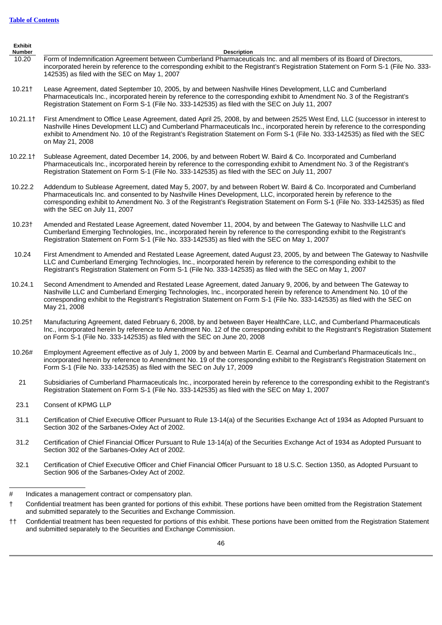|                     | <b>Exhibit</b><br>Number | <b>Description</b>                                                                                                                                                                                                                                                                                                                                                                                               |
|---------------------|--------------------------|------------------------------------------------------------------------------------------------------------------------------------------------------------------------------------------------------------------------------------------------------------------------------------------------------------------------------------------------------------------------------------------------------------------|
|                     | 10.20                    | Form of Indemnification Agreement between Cumberland Pharmaceuticals Inc. and all members of its Board of Directors,<br>incorporated herein by reference to the corresponding exhibit to the Registrant's Registration Statement on Form S-1 (File No. 333-<br>142535) as filed with the SEC on May 1, 2007                                                                                                      |
| 10.21†              |                          | Lease Agreement, dated September 10, 2005, by and between Nashville Hines Development, LLC and Cumberland<br>Pharmaceuticals Inc., incorporated herein by reference to the corresponding exhibit to Amendment No. 3 of the Registrant's<br>Registration Statement on Form S-1 (File No. 333-142535) as filed with the SEC on July 11, 2007                                                                       |
| 10.21.1†            |                          | First Amendment to Office Lease Agreement, dated April 25, 2008, by and between 2525 West End, LLC (successor in interest to<br>Nashville Hines Development LLC) and Cumberland Pharmaceuticals Inc., incorporated herein by reference to the corresponding<br>exhibit to Amendment No. 10 of the Registrant's Registration Statement on Form S-1 (File No. 333-142535) as filed with the SEC<br>on May 21, 2008 |
| 10.22.1†            |                          | Sublease Agreement, dated December 14, 2006, by and between Robert W. Baird & Co. Incorporated and Cumberland<br>Pharmaceuticals Inc., incorporated herein by reference to the corresponding exhibit to Amendment No. 3 of the Registrant's<br>Registration Statement on Form S-1 (File No. 333-142535) as filed with the SEC on July 11, 2007                                                                   |
| 10.22.2             |                          | Addendum to Sublease Agreement, dated May 5, 2007, by and between Robert W. Baird & Co. Incorporated and Cumberland<br>Pharmaceuticals Inc. and consented to by Nashville Hines Development, LLC, incorporated herein by reference to the<br>corresponding exhibit to Amendment No. 3 of the Registrant's Registration Statement on Form S-1 (File No. 333-142535) as filed<br>with the SEC on July 11, 2007     |
|                     | 10.23†                   | Amended and Restated Lease Agreement, dated November 11, 2004, by and between The Gateway to Nashville LLC and<br>Cumberland Emerging Technologies, Inc., incorporated herein by reference to the corresponding exhibit to the Registrant's<br>Registration Statement on Form S-1 (File No. 333-142535) as filed with the SEC on May 1, 2007                                                                     |
| 10.24               |                          | First Amendment to Amended and Restated Lease Agreement, dated August 23, 2005, by and between The Gateway to Nashville<br>LLC and Cumberland Emerging Technologies, Inc., incorporated herein by reference to the corresponding exhibit to the<br>Registrant's Registration Statement on Form S-1 (File No. 333-142535) as filed with the SEC on May 1, 2007                                                    |
| 10.24.1             |                          | Second Amendment to Amended and Restated Lease Agreement, dated January 9, 2006, by and between The Gateway to<br>Nashville LLC and Cumberland Emerging Technologies, Inc., incorporated herein by reference to Amendment No. 10 of the<br>corresponding exhibit to the Registrant's Registration Statement on Form S-1 (File No. 333-142535) as filed with the SEC on<br>May 21, 2008                           |
| 10.25†              |                          | Manufacturing Agreement, dated February 6, 2008, by and between Bayer HealthCare, LLC, and Cumberland Pharmaceuticals<br>Inc., incorporated herein by reference to Amendment No. 12 of the corresponding exhibit to the Registrant's Registration Statement<br>on Form S-1 (File No. 333-142535) as filed with the SEC on June 20, 2008                                                                          |
|                     | 10.26#                   | Employment Agreement effective as of July 1, 2009 by and between Martin E. Cearnal and Cumberland Pharmaceuticals Inc.,<br>incorporated herein by reference to Amendment No. 19 of the corresponding exhibit to the Registrant's Registration Statement on<br>Form S-1 (File No. 333-142535) as filed with the SEC on July 17, 2009                                                                              |
|                     | 21                       | Subsidiaries of Cumberland Pharmaceuticals Inc., incorporated herein by reference to the corresponding exhibit to the Registrant's<br>Registration Statement on Form S-1 (File No. 333-142535) as filed with the SEC on May 1, 2007                                                                                                                                                                              |
|                     | 23.1                     | Consent of KPMG LLP                                                                                                                                                                                                                                                                                                                                                                                              |
|                     | 31.1                     | Certification of Chief Executive Officer Pursuant to Rule 13-14(a) of the Securities Exchange Act of 1934 as Adopted Pursuant to<br>Section 302 of the Sarbanes-Oxley Act of 2002.                                                                                                                                                                                                                               |
|                     | 31.2                     | Certification of Chief Financial Officer Pursuant to Rule 13-14(a) of the Securities Exchange Act of 1934 as Adopted Pursuant to<br>Section 302 of the Sarbanes-Oxley Act of 2002.                                                                                                                                                                                                                               |
|                     | 32.1                     | Certification of Chief Executive Officer and Chief Financial Officer Pursuant to 18 U.S.C. Section 1350, as Adopted Pursuant to<br>Section 906 of the Sarbanes-Oxley Act of 2002.                                                                                                                                                                                                                                |
| #                   |                          | Indicates a management contract or compensatory plan.                                                                                                                                                                                                                                                                                                                                                            |
| t                   |                          | Confidential treatment has been granted for portions of this exhibit. These portions have been omitted from the Registration Statement<br>and submitted separately to the Securities and Exchange Commission.                                                                                                                                                                                                    |
| $^{\dagger\dagger}$ |                          | Confidential treatment has been requested for portions of this exhibit. These portions have been omitted from the Registration Statement<br>and submitted separately to the Securities and Exchange Commission.                                                                                                                                                                                                  |
|                     |                          | 46                                                                                                                                                                                                                                                                                                                                                                                                               |
|                     |                          |                                                                                                                                                                                                                                                                                                                                                                                                                  |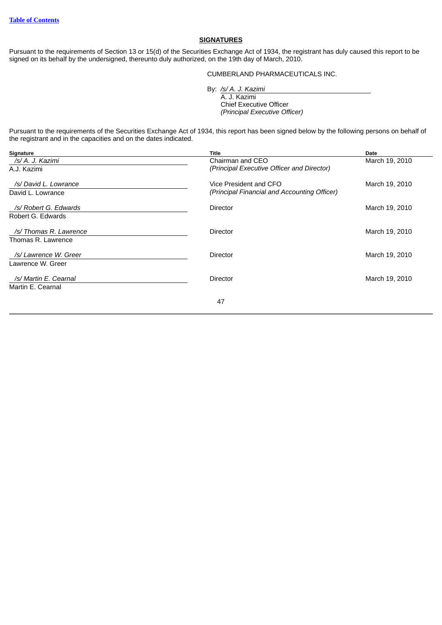## **SIGNATURES**

Pursuant to the requirements of Section 13 or 15(d) of the Securities Exchange Act of 1934, the registrant has duly caused this report to be signed on its behalf by the undersigned, thereunto duly authorized, on the 19th day of March, 2010.

## CUMBERLAND PHARMACEUTICALS INC.

By: */s/ A. J. Kazimi*

A. J. Kazimi Chief Executive Officer *(Principal Executive Officer)*

Pursuant to the requirements of the Securities Exchange Act of 1934, this report has been signed below by the following persons on behalf of the registrant and in the capacities and on the dates indicated.

| Signature              | <b>Title</b>                                 | Date           |
|------------------------|----------------------------------------------|----------------|
| /s/ A. J. Kazimi       | Chairman and CEO                             | March 19, 2010 |
| A.J. Kazimi            | (Principal Executive Officer and Director)   |                |
| /s/ David L. Lowrance  | Vice President and CFO                       | March 19, 2010 |
| David L. Lowrance      | (Principal Financial and Accounting Officer) |                |
| /s/ Robert G. Edwards  | <b>Director</b>                              | March 19, 2010 |
| Robert G. Edwards      |                                              |                |
| /s/ Thomas R. Lawrence | <b>Director</b>                              | March 19, 2010 |
| Thomas R. Lawrence     |                                              |                |
| /s/ Lawrence W. Greer  | <b>Director</b>                              | March 19, 2010 |
| Lawrence W. Greer      |                                              |                |
| /s/ Martin E. Cearnal  | <b>Director</b>                              | March 19, 2010 |
| Martin E. Cearnal      |                                              |                |
|                        | 47                                           |                |
|                        |                                              |                |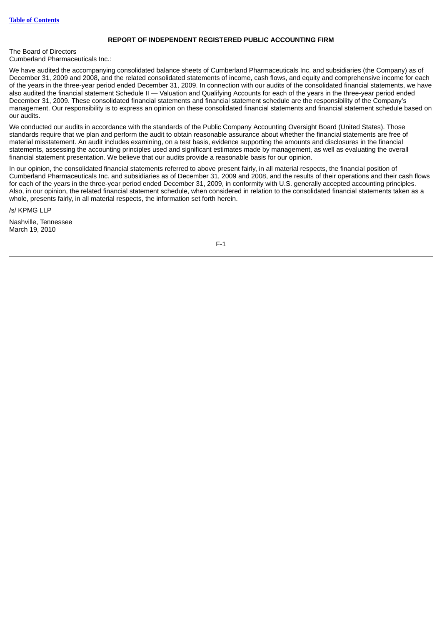### **REPORT OF INDEPENDENT REGISTERED PUBLIC ACCOUNTING FIRM**

<span id="page-50-0"></span>The Board of Directors Cumberland Pharmaceuticals Inc.:

We have audited the accompanying consolidated balance sheets of Cumberland Pharmaceuticals Inc. and subsidiaries (the Company) as of December 31, 2009 and 2008, and the related consolidated statements of income, cash flows, and equity and comprehensive income for each of the years in the three-year period ended December 31, 2009. In connection with our audits of the consolidated financial statements, we have also audited the financial statement Schedule II — Valuation and Qualifying Accounts for each of the years in the three-year period ended December 31, 2009. These consolidated financial statements and financial statement schedule are the responsibility of the Company's management. Our responsibility is to express an opinion on these consolidated financial statements and financial statement schedule based on our audits.

We conducted our audits in accordance with the standards of the Public Company Accounting Oversight Board (United States). Those standards require that we plan and perform the audit to obtain reasonable assurance about whether the financial statements are free of material misstatement. An audit includes examining, on a test basis, evidence supporting the amounts and disclosures in the financial statements, assessing the accounting principles used and significant estimates made by management, as well as evaluating the overall financial statement presentation. We believe that our audits provide a reasonable basis for our opinion.

In our opinion, the consolidated financial statements referred to above present fairly, in all material respects, the financial position of Cumberland Pharmaceuticals Inc. and subsidiaries as of December 31, 2009 and 2008, and the results of their operations and their cash flows for each of the years in the three-year period ended December 31, 2009, in conformity with U.S. generally accepted accounting principles. Also, in our opinion, the related financial statement schedule, when considered in relation to the consolidated financial statements taken as a whole, presents fairly, in all material respects, the information set forth herein.

/s/ KPMG LLP

Nashville, Tennessee March 19, 2010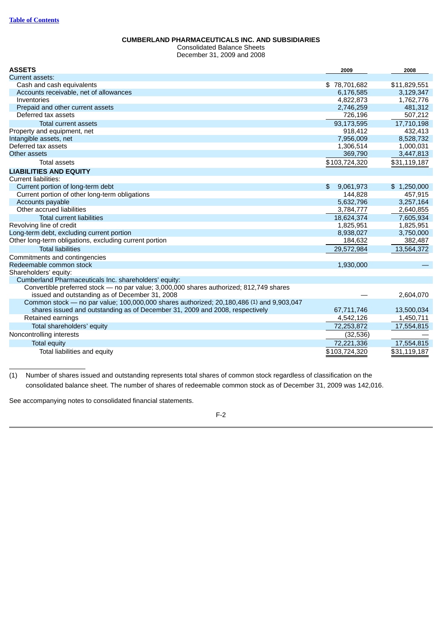Consolidated Balance Sheets

December 31, 2009 and 2008

<span id="page-51-0"></span>

| Current assets:<br>Cash and cash equivalents<br>\$78,701,682<br>Accounts receivable, net of allowances<br>6,176,585<br>4.822.873<br>Inventories<br>Prepaid and other current assets<br>2,746,259<br>Deferred tax assets<br>726,196<br>93,173,595<br><b>Total current assets</b><br>Property and equipment, net<br>918,412<br>Intangible assets, net<br>7,956,009<br>Deferred tax assets<br>1,306,514 | <b>ASSETS</b> | 2009 | 2008         |
|------------------------------------------------------------------------------------------------------------------------------------------------------------------------------------------------------------------------------------------------------------------------------------------------------------------------------------------------------------------------------------------------------|---------------|------|--------------|
|                                                                                                                                                                                                                                                                                                                                                                                                      |               |      |              |
|                                                                                                                                                                                                                                                                                                                                                                                                      |               |      | \$11,829,551 |
|                                                                                                                                                                                                                                                                                                                                                                                                      |               |      | 3,129,347    |
|                                                                                                                                                                                                                                                                                                                                                                                                      |               |      | 1,762,776    |
|                                                                                                                                                                                                                                                                                                                                                                                                      |               |      | 481,312      |
|                                                                                                                                                                                                                                                                                                                                                                                                      |               |      | 507,212      |
|                                                                                                                                                                                                                                                                                                                                                                                                      |               |      | 17,710,198   |
|                                                                                                                                                                                                                                                                                                                                                                                                      |               |      | 432,413      |
|                                                                                                                                                                                                                                                                                                                                                                                                      |               |      | 8,528,732    |
|                                                                                                                                                                                                                                                                                                                                                                                                      |               |      | 1,000,031    |
| Other assets<br>369,790                                                                                                                                                                                                                                                                                                                                                                              |               |      | 3,447,813    |
| \$103,724,320<br><b>Total assets</b>                                                                                                                                                                                                                                                                                                                                                                 |               |      | \$31,119,187 |
| <b>LIABILITIES AND EQUITY</b>                                                                                                                                                                                                                                                                                                                                                                        |               |      |              |
| <b>Current liabilities:</b>                                                                                                                                                                                                                                                                                                                                                                          |               |      |              |
| Current portion of long-term debt<br>\$<br>9,061,973                                                                                                                                                                                                                                                                                                                                                 |               |      | \$1,250,000  |
| 144,828<br>Current portion of other long-term obligations                                                                                                                                                                                                                                                                                                                                            |               |      | 457,915      |
| Accounts payable<br>5,632,796                                                                                                                                                                                                                                                                                                                                                                        |               |      | 3,257,164    |
| Other accrued liabilities<br>3,784,777                                                                                                                                                                                                                                                                                                                                                               |               |      | 2,640,855    |
| 18,624,374<br><b>Total current liabilities</b>                                                                                                                                                                                                                                                                                                                                                       |               |      | 7,605,934    |
| Revolving line of credit<br>1,825,951                                                                                                                                                                                                                                                                                                                                                                |               |      | 1,825,951    |
| Long-term debt, excluding current portion<br>8,938,027                                                                                                                                                                                                                                                                                                                                               |               |      | 3,750,000    |
| Other long-term obligations, excluding current portion<br>184,632                                                                                                                                                                                                                                                                                                                                    |               |      | 382,487      |
| <b>Total liabilities</b><br>29,572,984                                                                                                                                                                                                                                                                                                                                                               |               |      | 13,564,372   |
| Commitments and contingencies                                                                                                                                                                                                                                                                                                                                                                        |               |      |              |
| Redeemable common stock<br>1,930,000                                                                                                                                                                                                                                                                                                                                                                 |               |      |              |
| Shareholders' equity:                                                                                                                                                                                                                                                                                                                                                                                |               |      |              |
| Cumberland Pharmaceuticals Inc. shareholders' equity:                                                                                                                                                                                                                                                                                                                                                |               |      |              |
| Convertible preferred stock - no par value; 3,000,000 shares authorized; 812,749 shares                                                                                                                                                                                                                                                                                                              |               |      |              |
| issued and outstanding as of December 31, 2008                                                                                                                                                                                                                                                                                                                                                       |               |      | 2,604,070    |
| Common stock — no par value; 100,000,000 shares authorized; 20,180,486 (1) and 9,903,047                                                                                                                                                                                                                                                                                                             |               |      |              |
| shares issued and outstanding as of December 31, 2009 and 2008, respectively<br>67,711,746                                                                                                                                                                                                                                                                                                           |               |      | 13,500,034   |
| Retained earnings<br>4,542,126                                                                                                                                                                                                                                                                                                                                                                       |               |      | 1,450,711    |
| Total shareholders' equity<br>72,253,872                                                                                                                                                                                                                                                                                                                                                             |               |      | 17,554,815   |
| Noncontrolling interests<br>(32, 536)                                                                                                                                                                                                                                                                                                                                                                |               |      |              |
| 72,221,336<br><b>Total equity</b>                                                                                                                                                                                                                                                                                                                                                                    |               |      | 17,554,815   |
| \$103,724,320<br>Total liabilities and equity                                                                                                                                                                                                                                                                                                                                                        |               |      | \$31.119.187 |

(1) Number of shares issued and outstanding represents total shares of common stock regardless of classification on the consolidated balance sheet. The number of shares of redeemable common stock as of December 31, 2009 was 142,016.

See accompanying notes to consolidated financial statements.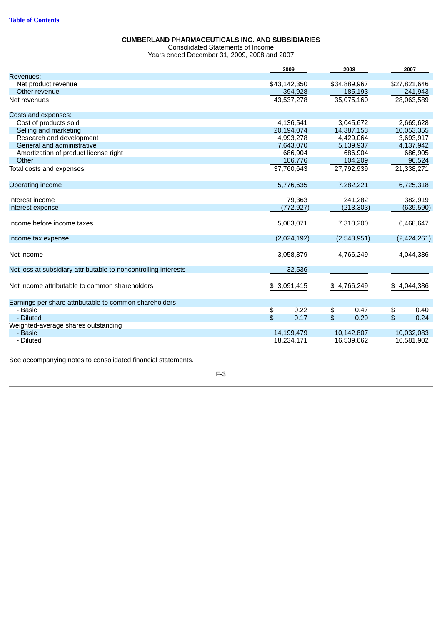Consolidated Statements of Income

Years ended December 31, 2009, 2008 and 2007

<span id="page-52-0"></span>

|                                                                 | 2009         | 2008         | 2007                   |
|-----------------------------------------------------------------|--------------|--------------|------------------------|
| Revenues:                                                       |              |              |                        |
| Net product revenue                                             | \$43,142,350 | \$34,889,967 | \$27,821,646           |
| Other revenue                                                   | 394,928      | 185,193      | 241,943                |
| Net revenues                                                    | 43,537,278   | 35,075,160   | 28,063,589             |
| Costs and expenses:                                             |              |              |                        |
| Cost of products sold                                           | 4,136,541    | 3,045,672    | 2,669,628              |
| Selling and marketing                                           | 20,194,074   | 14,387,153   | 10,053,355             |
| Research and development                                        | 4,993,278    | 4,429,064    | 3,693,917              |
| General and administrative                                      | 7,643,070    | 5,139,937    | 4,137,942              |
| Amortization of product license right                           | 686,904      | 686.904      | 686,905                |
| Other                                                           | 106,776      | 104,209      | 96,524                 |
| Total costs and expenses                                        | 37,760,643   | 27,792,939   | 21,338,271             |
| Operating income                                                | 5,776,635    | 7,282,221    | 6,725,318              |
| Interest income                                                 | 79,363       | 241,282      | 382,919                |
| Interest expense                                                | (772, 927)   | (213, 303)   | (639, 590)             |
| Income before income taxes                                      | 5,083,071    | 7,310,200    | 6,468,647              |
| Income tax expense                                              | (2,024,192)  | (2,543,951)  | (2,424,261)            |
| Net income                                                      | 3,058,879    | 4,766,249    | 4,044,386              |
| Net loss at subsidiary attributable to noncontrolling interests | 32,536       |              |                        |
| Net income attributable to common shareholders                  | \$3,091,415  | \$4,766,249  | \$4,044,386            |
| Earnings per share attributable to common shareholders          |              |              |                        |
| - Basic                                                         | 0.22<br>\$   | \$<br>0.47   | 0.40<br>\$             |
| - Diluted                                                       | \$<br>0.17   | \$<br>0.29   | $\mathfrak{P}$<br>0.24 |
| Weighted-average shares outstanding                             |              |              |                        |
| - Basic                                                         | 14,199,479   | 10,142,807   | 10,032,083             |
| - Diluted                                                       | 18,234,171   | 16,539,662   | 16,581,902             |

See accompanying notes to consolidated financial statements.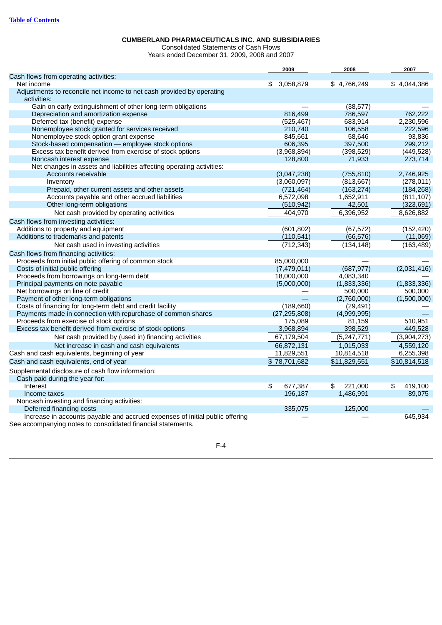Consolidated Statements of Cash Flows

Years ended December 31, 2009, 2008 and 2007

<span id="page-53-0"></span>

|                                                                              | 2009            | 2008          | 2007          |
|------------------------------------------------------------------------------|-----------------|---------------|---------------|
| Cash flows from operating activities:                                        |                 |               |               |
| Net income                                                                   | 3,058,879<br>\$ | \$4,766,249   | \$4,044,386   |
| Adjustments to reconcile net income to net cash provided by operating        |                 |               |               |
| activities:                                                                  |                 |               |               |
| Gain on early extinguishment of other long-term obligations                  |                 | (38, 577)     |               |
| Depreciation and amortization expense                                        | 816,499         | 786,597       | 762,222       |
| Deferred tax (benefit) expense                                               | (525, 467)      | 683,914       | 2,230,596     |
| Nonemployee stock granted for services received                              | 210,740         | 106,558       | 222,596       |
| Nonemployee stock option grant expense                                       | 845,661         | 58,646        | 93,836        |
| Stock-based compensation - employee stock options                            | 606,395         | 397,500       | 299,212       |
| Excess tax benefit derived from exercise of stock options                    | (3,968,894)     | (398, 529)    | (449, 528)    |
| Noncash interest expense                                                     | 128,800         | 71,933        | 273,714       |
| Net changes in assets and liabilities affecting operating activities:        |                 |               |               |
| Accounts receivable                                                          | (3,047,238)     | (755, 810)    | 2,746,925     |
| Inventory                                                                    | (3,060,097)     | (813, 667)    | (278, 011)    |
| Prepaid, other current assets and other assets                               | (721, 464)      | (163, 274)    | (184, 268)    |
| Accounts payable and other accrued liabilities                               | 6,572,098       | 1,652,911     | (811, 107)    |
| Other long-term obligations                                                  | (510, 942)      | 42,501        | (323, 691)    |
| Net cash provided by operating activities                                    | 404,970         | 6,396,952     | 8,626,882     |
| Cash flows from investing activities:                                        |                 |               |               |
| Additions to property and equipment                                          | (601, 802)      | (67, 572)     | (152, 420)    |
| Additions to trademarks and patents                                          | (110, 541)      | (66, 576)     | (11,069)      |
| Net cash used in investing activities                                        | (712, 343)      | (134, 148)    | (163, 489)    |
| Cash flows from financing activities:                                        |                 |               |               |
| Proceeds from initial public offering of common stock                        | 85,000,000      |               |               |
| Costs of initial public offering                                             | (7,479,011)     | (687, 977)    | (2,031,416)   |
| Proceeds from borrowings on long-term debt                                   | 18,000,000      | 4,083,340     |               |
| Principal payments on note payable                                           | (5,000,000)     | (1,833,336)   | (1,833,336)   |
| Net borrowings on line of credit                                             |                 | 500,000       | 500.000       |
| Payment of other long-term obligations                                       |                 | (2,760,000)   | (1,500,000)   |
| Costs of financing for long-term debt and credit facility                    | (189, 660)      | (29, 491)     |               |
| Payments made in connection with repurchase of common shares                 | (27, 295, 808)  | (4,999,995)   |               |
| Proceeds from exercise of stock options                                      | 175.089         | 81,159        | 510,951       |
| Excess tax benefit derived from exercise of stock options                    | 3,968,894       | 398,529       | 449,528       |
| Net cash provided by (used in) financing activities                          | 67,179,504      | (5, 247, 771) | (3,904,273)   |
| Net increase in cash and cash equivalents                                    | 66,872,131      | 1,015,033     | 4,559,120     |
| Cash and cash equivalents, beginning of year                                 | 11,829,551      | 10,814,518    | 6,255,398     |
| Cash and cash equivalents, end of year                                       | \$78,701,682    | \$11,829,551  | \$10,814,518  |
| Supplemental disclosure of cash flow information:                            |                 |               |               |
| Cash paid during the year for:                                               |                 |               |               |
| Interest                                                                     | \$<br>677,387   | 221,000<br>\$ | 419,100<br>\$ |
| Income taxes                                                                 | 196,187         | 1,486,991     | 89,075        |
| Noncash investing and financing activities:                                  |                 |               |               |
| Deferred financing costs                                                     | 335,075         | 125,000       |               |
| Increase in accounts payable and accrued expenses of initial public offering |                 |               | 645,934       |
|                                                                              |                 |               |               |

See accompanying notes to consolidated financial statements.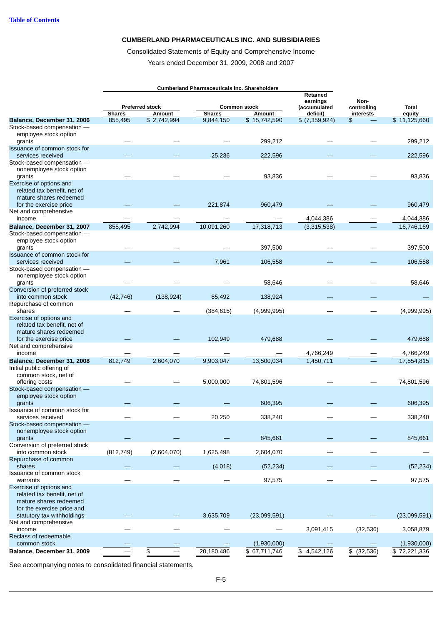Consolidated Statements of Equity and Comprehensive Income

Years ended December 31, 2009, 2008 and 2007

<span id="page-54-0"></span>

|                                                                                                                |               | <b>Preferred stock</b> |               | <b>Common stock</b> | Retained<br>earnings<br>(accumulated | Non-<br>controlling | <b>Total</b> |
|----------------------------------------------------------------------------------------------------------------|---------------|------------------------|---------------|---------------------|--------------------------------------|---------------------|--------------|
|                                                                                                                | <b>Shares</b> | Amount                 | <b>Shares</b> | Amount              | deficit)                             | interests           | equity       |
| Balance, December 31, 2006                                                                                     | 855,495       | \$2,742,994            | 9,844,150     | \$15,742,590        | $$$ (7,359,924)                      | \$                  | \$11,125,660 |
| Stock-based compensation -<br>employee stock option                                                            |               |                        |               |                     |                                      |                     |              |
| grants<br>Issuance of common stock for                                                                         |               |                        |               | 299,212             |                                      |                     | 299,212      |
| services received<br>Stock-based compensation -                                                                |               |                        | 25,236        | 222,596             |                                      |                     | 222,596      |
| nonemployee stock option<br>grants                                                                             |               |                        |               | 93,836              |                                      |                     | 93,836       |
| Exercise of options and<br>related tax benefit, net of<br>mature shares redeemed                               |               |                        |               |                     |                                      |                     |              |
| for the exercise price<br>Net and comprehensive                                                                |               |                        | 221,874       | 960,479             |                                      |                     | 960,479      |
| income                                                                                                         |               |                        |               |                     | 4,044,386                            |                     | 4,044,386    |
| Balance, December 31, 2007                                                                                     | 855,495       | 2,742,994              | 10,091,260    | 17,318,713          | (3,315,538)                          |                     | 16,746,169   |
| Stock-based compensation -<br>employee stock option<br>grants                                                  |               |                        |               | 397,500             |                                      |                     | 397,500      |
| Issuance of common stock for                                                                                   |               |                        |               |                     |                                      |                     |              |
| services received<br>Stock-based compensation -                                                                |               |                        | 7,961         | 106,558             |                                      |                     | 106,558      |
| nonemployee stock option<br>grants                                                                             |               |                        |               | 58,646              |                                      |                     | 58,646       |
| Conversion of preferred stock<br>into common stock                                                             | (42, 746)     | (138, 924)             | 85,492        | 138,924             |                                      |                     |              |
| Repurchase of common<br>shares                                                                                 |               |                        | (384, 615)    | (4,999,995)         |                                      |                     | (4,999,995)  |
| Exercise of options and<br>related tax benefit, net of<br>mature shares redeemed                               |               |                        |               |                     |                                      |                     |              |
| for the exercise price<br>Net and comprehensive                                                                |               |                        | 102,949       | 479,688             |                                      |                     | 479,688      |
| income                                                                                                         |               |                        |               |                     | 4,766,249                            |                     | 4,766,249    |
| Balance, December 31, 2008<br>Initial public offering of<br>common stock, net of                               | 812,749       | 2,604,070              | 9,903,047     | 13,500,034          | 1,450,711                            |                     | 17,554,815   |
| offering costs<br>Stock-based compensation -                                                                   |               |                        | 5,000,000     | 74,801,596          |                                      |                     | 74,801,596   |
| employee stock option<br>grants                                                                                |               |                        |               | 606,395             |                                      |                     | 606,395      |
| Issuance of common stock for<br>services received                                                              |               |                        | 20,250        | 338,240             |                                      |                     | 338,240      |
| Stock-based compensation -<br>nonemployee stock option<br>grants                                               |               |                        |               | 845,661             |                                      |                     | 845,661      |
| Conversion of preferred stock<br>into common stock                                                             | (812, 749)    | (2,604,070)            | 1,625,498     | 2,604,070           |                                      |                     |              |
| Repurchase of common<br>shares                                                                                 |               |                        | (4,018)       | (52, 234)           |                                      |                     | (52, 234)    |
| Issuance of common stock<br>warrants                                                                           |               |                        |               | 97,575              |                                      |                     | 97,575       |
| Exercise of options and<br>related tax benefit, net of<br>mature shares redeemed<br>for the exercise price and |               |                        |               |                     |                                      |                     |              |
| statutory tax withholdings<br>Net and comprehensive                                                            |               |                        | 3,635,709     | (23,099,591)        |                                      |                     | (23,099,591) |
| income<br>Reclass of redeemable                                                                                |               |                        |               |                     | 3,091,415                            | (32, 536)           | 3,058,879    |
| common stock                                                                                                   |               |                        |               | (1,930,000)         |                                      |                     | (1,930,000)  |
| Balance, December 31, 2009                                                                                     |               | \$                     | 20,180,486    | \$67,711,746        | \$4,542,126                          | \$ (32,536)         | \$72,221,336 |

**Cumberland Pharmaceuticals Inc. Shareholders**

See accompanying notes to consolidated financial statements.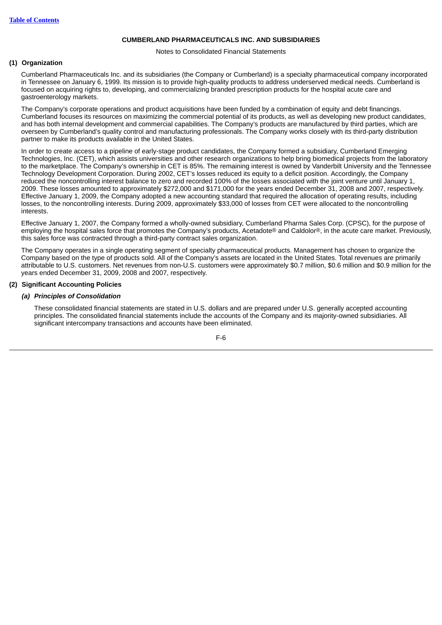#### Notes to Consolidated Financial Statements

## <span id="page-55-0"></span>**(1) Organization**

Cumberland Pharmaceuticals Inc. and its subsidiaries (the Company or Cumberland) is a specialty pharmaceutical company incorporated in Tennessee on January 6, 1999. Its mission is to provide high-quality products to address underserved medical needs. Cumberland is focused on acquiring rights to, developing, and commercializing branded prescription products for the hospital acute care and gastroenterology markets.

The Company's corporate operations and product acquisitions have been funded by a combination of equity and debt financings. Cumberland focuses its resources on maximizing the commercial potential of its products, as well as developing new product candidates, and has both internal development and commercial capabilities. The Company's products are manufactured by third parties, which are overseen by Cumberland's quality control and manufacturing professionals. The Company works closely with its third-party distribution partner to make its products available in the United States.

In order to create access to a pipeline of early-stage product candidates, the Company formed a subsidiary, Cumberland Emerging Technologies, Inc. (CET), which assists universities and other research organizations to help bring biomedical projects from the laboratory to the marketplace. The Company's ownership in CET is 85%. The remaining interest is owned by Vanderbilt University and the Tennessee Technology Development Corporation. During 2002, CET's losses reduced its equity to a deficit position. Accordingly, the Company reduced the noncontrolling interest balance to zero and recorded 100% of the losses associated with the joint venture until January 1, 2009. These losses amounted to approximately \$272,000 and \$171,000 for the years ended December 31, 2008 and 2007, respectively. Effective January 1, 2009, the Company adopted a new accounting standard that required the allocation of operating results, including losses, to the noncontrolling interests. During 2009, approximately \$33,000 of losses from CET were allocated to the noncontrolling interests.

Effective January 1, 2007, the Company formed a wholly-owned subsidiary, Cumberland Pharma Sales Corp. (CPSC), for the purpose of employing the hospital sales force that promotes the Company's products, Acetadote® and Caldolor®, in the acute care market. Previously, this sales force was contracted through a third-party contract sales organization.

The Company operates in a single operating segment of specialty pharmaceutical products. Management has chosen to organize the Company based on the type of products sold. All of the Company's assets are located in the United States. Total revenues are primarily attributable to U.S. customers. Net revenues from non-U.S. customers were approximately \$0.7 million, \$0.6 million and \$0.9 million for the years ended December 31, 2009, 2008 and 2007, respectively.

## **(2) Significant Accounting Policies**

## *(a) Principles of Consolidation*

These consolidated financial statements are stated in U.S. dollars and are prepared under U.S. generally accepted accounting principles. The consolidated financial statements include the accounts of the Company and its majority-owned subsidiaries. All significant intercompany transactions and accounts have been eliminated.

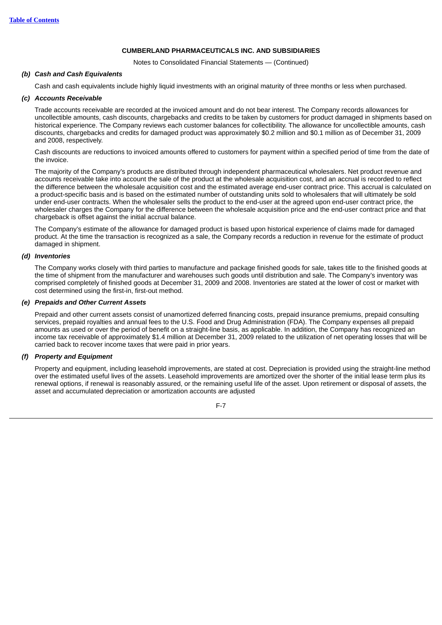Notes to Consolidated Financial Statements — (Continued)

### *(b) Cash and Cash Equivalents*

Cash and cash equivalents include highly liquid investments with an original maturity of three months or less when purchased.

## *(c) Accounts Receivable*

Trade accounts receivable are recorded at the invoiced amount and do not bear interest. The Company records allowances for uncollectible amounts, cash discounts, chargebacks and credits to be taken by customers for product damaged in shipments based on historical experience. The Company reviews each customer balances for collectibility. The allowance for uncollectible amounts, cash discounts, chargebacks and credits for damaged product was approximately \$0.2 million and \$0.1 million as of December 31, 2009 and 2008, respectively.

Cash discounts are reductions to invoiced amounts offered to customers for payment within a specified period of time from the date of the invoice.

The majority of the Company's products are distributed through independent pharmaceutical wholesalers. Net product revenue and accounts receivable take into account the sale of the product at the wholesale acquisition cost, and an accrual is recorded to reflect the difference between the wholesale acquisition cost and the estimated average end-user contract price. This accrual is calculated on a product-specific basis and is based on the estimated number of outstanding units sold to wholesalers that will ultimately be sold under end-user contracts. When the wholesaler sells the product to the end-user at the agreed upon end-user contract price, the wholesaler charges the Company for the difference between the wholesale acquisition price and the end-user contract price and that chargeback is offset against the initial accrual balance.

The Company's estimate of the allowance for damaged product is based upon historical experience of claims made for damaged product. At the time the transaction is recognized as a sale, the Company records a reduction in revenue for the estimate of product damaged in shipment.

### *(d) Inventories*

The Company works closely with third parties to manufacture and package finished goods for sale, takes title to the finished goods at the time of shipment from the manufacturer and warehouses such goods until distribution and sale. The Company's inventory was comprised completely of finished goods at December 31, 2009 and 2008. Inventories are stated at the lower of cost or market with cost determined using the first-in, first-out method.

## *(e) Prepaids and Other Current Assets*

Prepaid and other current assets consist of unamortized deferred financing costs, prepaid insurance premiums, prepaid consulting services, prepaid royalties and annual fees to the U.S. Food and Drug Administration (FDA). The Company expenses all prepaid amounts as used or over the period of benefit on a straight-line basis, as applicable. In addition, the Company has recognized an income tax receivable of approximately \$1.4 million at December 31, 2009 related to the utilization of net operating losses that will be carried back to recover income taxes that were paid in prior years.

## *(f) Property and Equipment*

Property and equipment, including leasehold improvements, are stated at cost. Depreciation is provided using the straight-line method over the estimated useful lives of the assets. Leasehold improvements are amortized over the shorter of the initial lease term plus its renewal options, if renewal is reasonably assured, or the remaining useful life of the asset. Upon retirement or disposal of assets, the asset and accumulated depreciation or amortization accounts are adjusted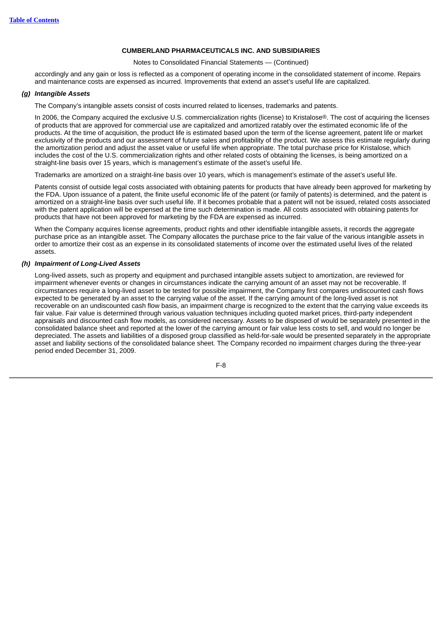Notes to Consolidated Financial Statements — (Continued)

accordingly and any gain or loss is reflected as a component of operating income in the consolidated statement of income. Repairs and maintenance costs are expensed as incurred. Improvements that extend an asset's useful life are capitalized.

### *(g) Intangible Assets*

The Company's intangible assets consist of costs incurred related to licenses, trademarks and patents.

In 2006, the Company acquired the exclusive U.S. commercialization rights (license) to Kristalose®. The cost of acquiring the licenses of products that are approved for commercial use are capitalized and amortized ratably over the estimated economic life of the products. At the time of acquisition, the product life is estimated based upon the term of the license agreement, patent life or market exclusivity of the products and our assessment of future sales and profitability of the product. We assess this estimate regularly during the amortization period and adjust the asset value or useful life when appropriate. The total purchase price for Kristalose, which includes the cost of the U.S. commercialization rights and other related costs of obtaining the licenses, is being amortized on a straight-line basis over 15 years, which is management's estimate of the asset's useful life.

Trademarks are amortized on a straight-line basis over 10 years, which is management's estimate of the asset's useful life.

Patents consist of outside legal costs associated with obtaining patents for products that have already been approved for marketing by the FDA. Upon issuance of a patent, the finite useful economic life of the patent (or family of patents) is determined, and the patent is amortized on a straight-line basis over such useful life. If it becomes probable that a patent will not be issued, related costs associated with the patent application will be expensed at the time such determination is made. All costs associated with obtaining patents for products that have not been approved for marketing by the FDA are expensed as incurred.

When the Company acquires license agreements, product rights and other identifiable intangible assets, it records the aggregate purchase price as an intangible asset. The Company allocates the purchase price to the fair value of the various intangible assets in order to amortize their cost as an expense in its consolidated statements of income over the estimated useful lives of the related assets.

### *(h) Impairment of Long-Lived Assets*

Long-lived assets, such as property and equipment and purchased intangible assets subject to amortization, are reviewed for impairment whenever events or changes in circumstances indicate the carrying amount of an asset may not be recoverable. If circumstances require a long-lived asset to be tested for possible impairment, the Company first compares undiscounted cash flows expected to be generated by an asset to the carrying value of the asset. If the carrying amount of the long-lived asset is not recoverable on an undiscounted cash flow basis, an impairment charge is recognized to the extent that the carrying value exceeds its fair value. Fair value is determined through various valuation techniques including quoted market prices, third-party independent appraisals and discounted cash flow models, as considered necessary. Assets to be disposed of would be separately presented in the consolidated balance sheet and reported at the lower of the carrying amount or fair value less costs to sell, and would no longer be depreciated. The assets and liabilities of a disposed group classified as held-for-sale would be presented separately in the appropriate asset and liability sections of the consolidated balance sheet. The Company recorded no impairment charges during the three-year period ended December 31, 2009.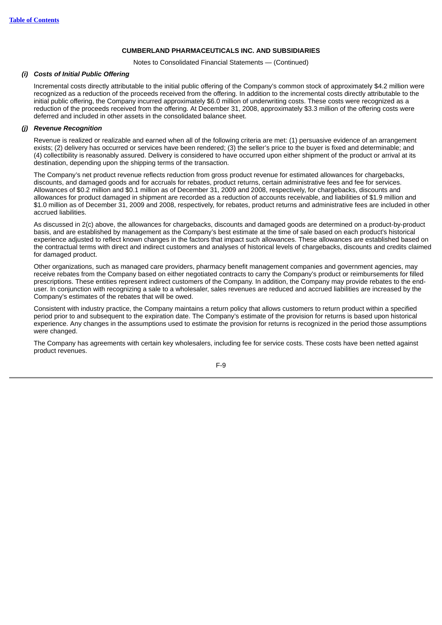Notes to Consolidated Financial Statements — (Continued)

### *(i) Costs of Initial Public Offering*

Incremental costs directly attributable to the initial public offering of the Company's common stock of approximately \$4.2 million were recognized as a reduction of the proceeds received from the offering. In addition to the incremental costs directly attributable to the initial public offering, the Company incurred approximately \$6.0 million of underwriting costs. These costs were recognized as a reduction of the proceeds received from the offering. At December 31, 2008, approximately \$3.3 million of the offering costs were deferred and included in other assets in the consolidated balance sheet.

### *(j) Revenue Recognition*

Revenue is realized or realizable and earned when all of the following criteria are met: (1) persuasive evidence of an arrangement exists; (2) delivery has occurred or services have been rendered; (3) the seller's price to the buyer is fixed and determinable; and (4) collectibility is reasonably assured. Delivery is considered to have occurred upon either shipment of the product or arrival at its destination, depending upon the shipping terms of the transaction.

The Company's net product revenue reflects reduction from gross product revenue for estimated allowances for chargebacks, discounts, and damaged goods and for accruals for rebates, product returns, certain administrative fees and fee for services. Allowances of \$0.2 million and \$0.1 million as of December 31, 2009 and 2008, respectively, for chargebacks, discounts and allowances for product damaged in shipment are recorded as a reduction of accounts receivable, and liabilities of \$1.9 million and \$1.0 million as of December 31, 2009 and 2008, respectively, for rebates, product returns and administrative fees are included in other accrued liabilities.

As discussed in 2(c) above, the allowances for chargebacks, discounts and damaged goods are determined on a product-by-product basis, and are established by management as the Company's best estimate at the time of sale based on each product's historical experience adjusted to reflect known changes in the factors that impact such allowances. These allowances are established based on the contractual terms with direct and indirect customers and analyses of historical levels of chargebacks, discounts and credits claimed for damaged product.

Other organizations, such as managed care providers, pharmacy benefit management companies and government agencies, may receive rebates from the Company based on either negotiated contracts to carry the Company's product or reimbursements for filled prescriptions. These entities represent indirect customers of the Company. In addition, the Company may provide rebates to the enduser. In conjunction with recognizing a sale to a wholesaler, sales revenues are reduced and accrued liabilities are increased by the Company's estimates of the rebates that will be owed.

Consistent with industry practice, the Company maintains a return policy that allows customers to return product within a specified period prior to and subsequent to the expiration date. The Company's estimate of the provision for returns is based upon historical experience. Any changes in the assumptions used to estimate the provision for returns is recognized in the period those assumptions were changed.

The Company has agreements with certain key wholesalers, including fee for service costs. These costs have been netted against product revenues.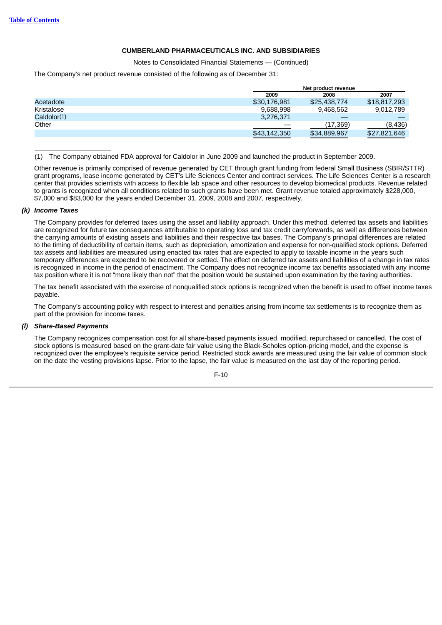Notes to Consolidated Financial Statements — (Continued)

The Company's net product revenue consisted of the following as of December 31:

|             |              | Net product revenue |              |  |
|-------------|--------------|---------------------|--------------|--|
|             | 2009         | 2008                | 2007         |  |
| Acetadote   | \$30,176,981 | \$25,438,774        | \$18,817,293 |  |
| Kristalose  | 9,688,998    | 9,468,562           | 9,012,789    |  |
| Caldolor(1) | 3,276,371    |                     |              |  |
| Other       |              | (17, 369)           | (8,436)      |  |
|             | \$43,142,350 | \$34,889,967        | \$27,821,646 |  |

(1) The Company obtained FDA approval for Caldolor in June 2009 and launched the product in September 2009.

Other revenue is primarily comprised of revenue generated by CET through grant funding from federal Small Business (SBIR/STTR) grant programs, lease income generated by CET's Life Sciences Center and contract services. The Life Sciences Center is a research center that provides scientists with access to flexible lab space and other resources to develop biomedical products. Revenue related to grants is recognized when all conditions related to such grants have been met. Grant revenue totaled approximately \$228,000, \$7,000 and \$83,000 for the years ended December 31, 2009, 2008 and 2007, respectively.

#### *(k) Income Taxes*

The Company provides for deferred taxes using the asset and liability approach. Under this method, deferred tax assets and liabilities are recognized for future tax consequences attributable to operating loss and tax credit carryforwards, as well as differences between the carrying amounts of existing assets and liabilities and their respective tax bases. The Company's principal differences are related to the timing of deductibility of certain items, such as depreciation, amortization and expense for non-qualified stock options. Deferred tax assets and liabilities are measured using enacted tax rates that are expected to apply to taxable income in the years such temporary differences are expected to be recovered or settled. The effect on deferred tax assets and liabilities of a change in tax rates is recognized in income in the period of enactment. The Company does not recognize income tax benefits associated with any income tax position where it is not "more likely than not" that the position would be sustained upon examination by the taxing authorities.

The tax benefit associated with the exercise of nonqualified stock options is recognized when the benefit is used to offset income taxes payable.

The Company's accounting policy with respect to interest and penalties arising from income tax settlements is to recognize them as part of the provision for income taxes.

### *(l) Share-Based Payments*

The Company recognizes compensation cost for all share-based payments issued, modified, repurchased or cancelled. The cost of stock options is measured based on the grant-date fair value using the Black-Scholes option-pricing model, and the expense is recognized over the employee's requisite service period. Restricted stock awards are measured using the fair value of common stock on the date the vesting provisions lapse. Prior to the lapse, the fair value is measured on the last day of the reporting period.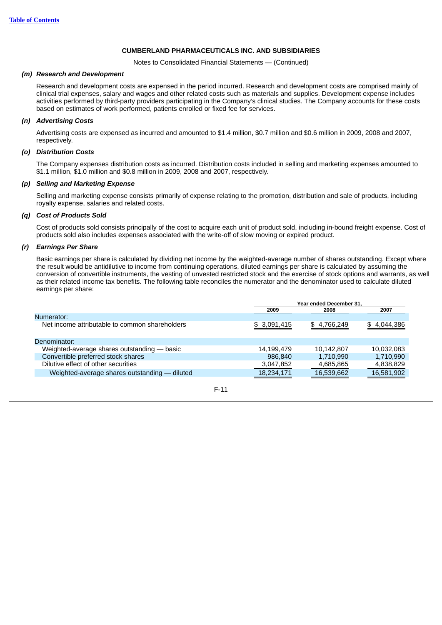Notes to Consolidated Financial Statements — (Continued)

## *(m) Research and Development*

Research and development costs are expensed in the period incurred. Research and development costs are comprised mainly of clinical trial expenses, salary and wages and other related costs such as materials and supplies. Development expense includes activities performed by third-party providers participating in the Company's clinical studies. The Company accounts for these costs based on estimates of work performed, patients enrolled or fixed fee for services.

### *(n) Advertising Costs*

Advertising costs are expensed as incurred and amounted to \$1.4 million, \$0.7 million and \$0.6 million in 2009, 2008 and 2007, respectively.

#### *(o) Distribution Costs*

The Company expenses distribution costs as incurred. Distribution costs included in selling and marketing expenses amounted to \$1.1 million, \$1.0 million and \$0.8 million in 2009, 2008 and 2007, respectively.

#### *(p) Selling and Marketing Expense*

Selling and marketing expense consists primarily of expense relating to the promotion, distribution and sale of products, including royalty expense, salaries and related costs.

## *(q) Cost of Products Sold*

Cost of products sold consists principally of the cost to acquire each unit of product sold, including in-bound freight expense. Cost of products sold also includes expenses associated with the write-off of slow moving or expired product.

### *(r) Earnings Per Share*

Basic earnings per share is calculated by dividing net income by the weighted-average number of shares outstanding. Except where the result would be antidilutive to income from continuing operations, diluted earnings per share is calculated by assuming the conversion of convertible instruments, the vesting of unvested restricted stock and the exercise of stock options and warrants, as well as their related income tax benefits. The following table reconciles the numerator and the denominator used to calculate diluted earnings per share:

|                                                | <b>Year ended December 31.</b> |             |             |
|------------------------------------------------|--------------------------------|-------------|-------------|
|                                                | 2009                           | 2008        | 2007        |
| Numerator:                                     |                                |             |             |
| Net income attributable to common shareholders | \$3,091,415                    | \$4,766,249 | \$4,044,386 |
| Denominator:                                   |                                |             |             |
| Weighted-average shares outstanding — basic    | 14.199.479                     | 10.142.807  | 10.032.083  |
| Convertible preferred stock shares             | 986.840                        | 1,710,990   | 1,710,990   |
| Dilutive effect of other securities            | 3,047,852                      | 4,685,865   | 4,838,829   |
| Weighted-average shares outstanding — diluted  | 18,234,171                     | 16,539,662  | 16,581,902  |

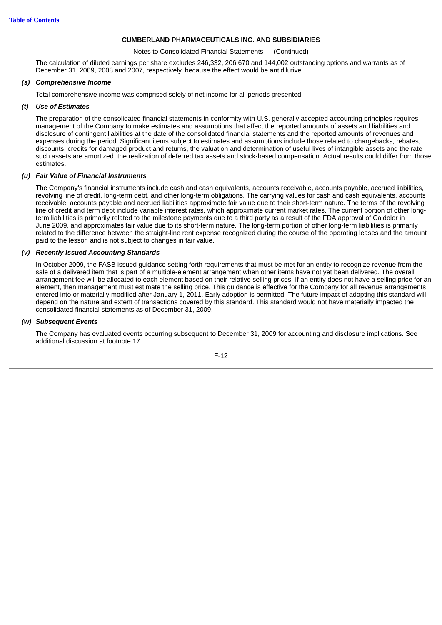## Notes to Consolidated Financial Statements — (Continued)

The calculation of diluted earnings per share excludes 246,332, 206,670 and 144,002 outstanding options and warrants as of December 31, 2009, 2008 and 2007, respectively, because the effect would be antidilutive.

### *(s) Comprehensive Income*

Total comprehensive income was comprised solely of net income for all periods presented.

#### *(t) Use of Estimates*

The preparation of the consolidated financial statements in conformity with U.S. generally accepted accounting principles requires management of the Company to make estimates and assumptions that affect the reported amounts of assets and liabilities and disclosure of contingent liabilities at the date of the consolidated financial statements and the reported amounts of revenues and expenses during the period. Significant items subject to estimates and assumptions include those related to chargebacks, rebates, discounts, credits for damaged product and returns, the valuation and determination of useful lives of intangible assets and the rate such assets are amortized, the realization of deferred tax assets and stock-based compensation. Actual results could differ from those estimates.

# *(u) Fair Value of Financial Instruments*

The Company's financial instruments include cash and cash equivalents, accounts receivable, accounts payable, accrued liabilities, revolving line of credit, long-term debt, and other long-term obligations. The carrying values for cash and cash equivalents, accounts receivable, accounts payable and accrued liabilities approximate fair value due to their short-term nature. The terms of the revolving line of credit and term debt include variable interest rates, which approximate current market rates. The current portion of other longterm liabilities is primarily related to the milestone payments due to a third party as a result of the FDA approval of Caldolor in June 2009, and approximates fair value due to its short-term nature. The long-term portion of other long-term liabilities is primarily related to the difference between the straight-line rent expense recognized during the course of the operating leases and the amount paid to the lessor, and is not subject to changes in fair value.

#### *(v) Recently Issued Accounting Standards*

In October 2009, the FASB issued guidance setting forth requirements that must be met for an entity to recognize revenue from the sale of a delivered item that is part of a multiple-element arrangement when other items have not yet been delivered. The overall arrangement fee will be allocated to each element based on their relative selling prices. If an entity does not have a selling price for an element, then management must estimate the selling price. This guidance is effective for the Company for all revenue arrangements entered into or materially modified after January 1, 2011. Early adoption is permitted. The future impact of adopting this standard will depend on the nature and extent of transactions covered by this standard. This standard would not have materially impacted the consolidated financial statements as of December 31, 2009.

#### *(w) Subsequent Events*

The Company has evaluated events occurring subsequent to December 31, 2009 for accounting and disclosure implications. See additional discussion at footnote 17.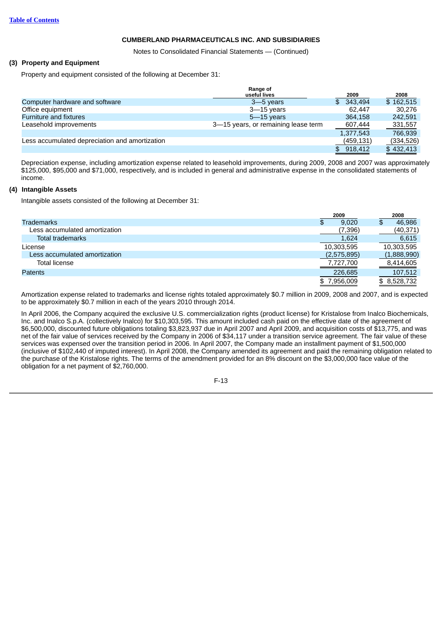Notes to Consolidated Financial Statements — (Continued)

## **(3) Property and Equipment**

Property and equipment consisted of the following at December 31:

|                                                | Range of                            |               |           |
|------------------------------------------------|-------------------------------------|---------------|-----------|
|                                                | useful lives                        | 2009          | 2008      |
| Computer hardware and software                 | $3 - 5$ years                       | 343.494<br>\$ | \$162.515 |
| Office equipment                               | $3 - 15$ years                      | 62.447        | 30.276    |
| <b>Furniture and fixtures</b>                  | $5 - 15$ years                      | 364.158       | 242,591   |
| Leasehold improvements                         | 3–15 years, or remaining lease term | 607,444       | 331,557   |
|                                                |                                     | 1,377,543     | 766.939   |
| Less accumulated depreciation and amortization |                                     | (459, 131)    | (334,526) |
|                                                |                                     | \$918.412     | \$432,413 |

Depreciation expense, including amortization expense related to leasehold improvements, during 2009, 2008 and 2007 was approximately \$125,000, \$95,000 and \$71,000, respectively, and is included in general and administrative expense in the consolidated statements of income.

#### **(4) Intangible Assets**

Intangible assets consisted of the following at December 31:

|                               | 2009        | 2008        |
|-------------------------------|-------------|-------------|
| <b>Trademarks</b>             | 9.020<br>\$ | 46.986      |
| Less accumulated amortization | (7,396)     | (40, 371)   |
| <b>Total trademarks</b>       | 1,624       | 6,615       |
| License                       | 10,303,595  | 10,303,595  |
| Less accumulated amortization | (2,575,895) | (1,888,990) |
| <b>Total license</b>          | 7,727,700   | 8,414,605   |
| <b>Patents</b>                | 226,685     | 107,512     |
|                               | \$7,956,009 | \$8,528,732 |

Amortization expense related to trademarks and license rights totaled approximately \$0.7 million in 2009, 2008 and 2007, and is expected to be approximately \$0.7 million in each of the years 2010 through 2014.

In April 2006, the Company acquired the exclusive U.S. commercialization rights (product license) for Kristalose from Inalco Biochemicals, Inc. and Inalco S.p.A. (collectively Inalco) for \$10,303,595. This amount included cash paid on the effective date of the agreement of \$6,500,000, discounted future obligations totaling \$3,823,937 due in April 2007 and April 2009, and acquisition costs of \$13,775, and was net of the fair value of services received by the Company in 2006 of \$34,117 under a transition service agreement. The fair value of these services was expensed over the transition period in 2006. In April 2007, the Company made an installment payment of \$1,500,000 (inclusive of \$102,440 of imputed interest). In April 2008, the Company amended its agreement and paid the remaining obligation related to the purchase of the Kristalose rights. The terms of the amendment provided for an 8% discount on the \$3,000,000 face value of the obligation for a net payment of \$2,760,000.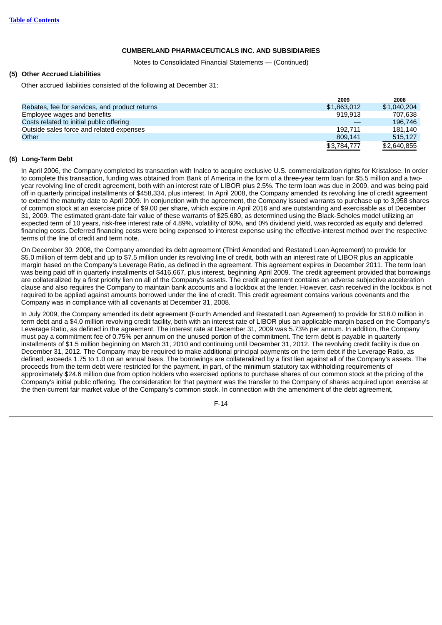Notes to Consolidated Financial Statements — (Continued)

## **(5) Other Accrued Liabilities**

Other accrued liabilities consisted of the following at December 31:

|                                                | 2009        | 2008        |
|------------------------------------------------|-------------|-------------|
| Rebates, fee for services, and product returns | \$1,863,012 | \$1,040,204 |
| Employee wages and benefits                    | 919.913     | 707.638     |
| Costs related to initial public offering       |             | 196,746     |
| Outside sales force and related expenses       | 192.711     | 181.140     |
| Other                                          | 809.141     | 515.127     |
|                                                | \$3,784,777 | \$2,640,855 |

## **(6) Long-Term Debt**

In April 2006, the Company completed its transaction with Inalco to acquire exclusive U.S. commercialization rights for Kristalose. In order to complete this transaction, funding was obtained from Bank of America in the form of a three-year term loan for \$5.5 million and a twoyear revolving line of credit agreement, both with an interest rate of LIBOR plus 2.5%. The term loan was due in 2009, and was being paid off in quarterly principal installments of \$458,334, plus interest. In April 2008, the Company amended its revolving line of credit agreement to extend the maturity date to April 2009. In conjunction with the agreement, the Company issued warrants to purchase up to 3,958 shares of common stock at an exercise price of \$9.00 per share, which expire in April 2016 and are outstanding and exercisable as of December 31, 2009. The estimated grant-date fair value of these warrants of \$25,680, as determined using the Black-Scholes model utilizing an expected term of 10 years, risk-free interest rate of 4.89%, volatility of 60%, and 0% dividend yield, was recorded as equity and deferred financing costs. Deferred financing costs were being expensed to interest expense using the effective-interest method over the respective terms of the line of credit and term note.

On December 30, 2008, the Company amended its debt agreement (Third Amended and Restated Loan Agreement) to provide for \$5.0 million of term debt and up to \$7.5 million under its revolving line of credit, both with an interest rate of LIBOR plus an applicable margin based on the Company's Leverage Ratio, as defined in the agreement. This agreement expires in December 2011. The term loan was being paid off in quarterly installments of \$416,667, plus interest, beginning April 2009. The credit agreement provided that borrowings are collateralized by a first priority lien on all of the Company's assets. The credit agreement contains an adverse subjective acceleration clause and also requires the Company to maintain bank accounts and a lockbox at the lender. However, cash received in the lockbox is not required to be applied against amounts borrowed under the line of credit. This credit agreement contains various covenants and the Company was in compliance with all covenants at December 31, 2008.

In July 2009, the Company amended its debt agreement (Fourth Amended and Restated Loan Agreement) to provide for \$18.0 million in term debt and a \$4.0 million revolving credit facility, both with an interest rate of LIBOR plus an applicable margin based on the Company's Leverage Ratio, as defined in the agreement. The interest rate at December 31, 2009 was 5.73% per annum. In addition, the Company must pay a commitment fee of 0.75% per annum on the unused portion of the commitment. The term debt is payable in quarterly installments of \$1.5 million beginning on March 31, 2010 and continuing until December 31, 2012. The revolving credit facility is due on December 31, 2012. The Company may be required to make additional principal payments on the term debt if the Leverage Ratio, as defined, exceeds 1.75 to 1.0 on an annual basis. The borrowings are collateralized by a first lien against all of the Company's assets. The proceeds from the term debt were restricted for the payment, in part, of the minimum statutory tax withholding requirements of approximately \$24.6 million due from option holders who exercised options to purchase shares of our common stock at the pricing of the Company's initial public offering. The consideration for that payment was the transfer to the Company of shares acquired upon exercise at the then-current fair market value of the Company's common stock. In connection with the amendment of the debt agreement,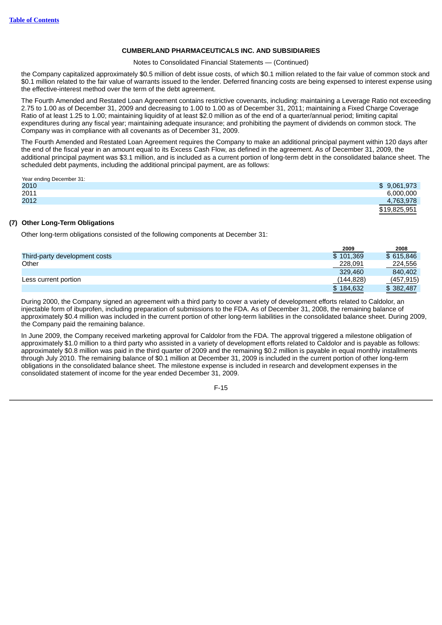Notes to Consolidated Financial Statements — (Continued)

the Company capitalized approximately \$0.5 million of debt issue costs, of which \$0.1 million related to the fair value of common stock and \$0.1 million related to the fair value of warrants issued to the lender. Deferred financing costs are being expensed to interest expense using the effective-interest method over the term of the debt agreement.

The Fourth Amended and Restated Loan Agreement contains restrictive covenants, including: maintaining a Leverage Ratio not exceeding 2.75 to 1.00 as of December 31, 2009 and decreasing to 1.00 to 1.00 as of December 31, 2011; maintaining a Fixed Charge Coverage Ratio of at least 1.25 to 1.00; maintaining liquidity of at least \$2.0 million as of the end of a quarter/annual period; limiting capital expenditures during any fiscal year; maintaining adequate insurance; and prohibiting the payment of dividends on common stock. The Company was in compliance with all covenants as of December 31, 2009.

The Fourth Amended and Restated Loan Agreement requires the Company to make an additional principal payment within 120 days after the end of the fiscal year in an amount equal to its Excess Cash Flow, as defined in the agreement. As of December 31, 2009, the additional principal payment was \$3.1 million, and is included as a current portion of long-term debt in the consolidated balance sheet. The scheduled debt payments, including the additional principal payment, are as follows:

Year ending December 31:

| .<br>. |              |
|--------|--------------|
| 2010   | \$9,061,973  |
| 2011   | 6,000,000    |
| 2012   | 4,763,978    |
|        | \$19,825,951 |

# **(7) Other Long-Term Obligations**

Other long-term obligations consisted of the following components at December 31:

|                               | 2009      | 2008       |
|-------------------------------|-----------|------------|
| Third-party development costs | \$101.369 | \$615.846  |
| Other                         | 228.091   | 224.556    |
|                               | 329,460   | 840,402    |
| Less current portion          | (144,828) | (457, 915) |
|                               | \$184,632 | \$382,487  |

During 2000, the Company signed an agreement with a third party to cover a variety of development efforts related to Caldolor, an injectable form of ibuprofen, including preparation of submissions to the FDA. As of December 31, 2008, the remaining balance of approximately \$0.4 million was included in the current portion of other long-term liabilities in the consolidated balance sheet. During 2009, the Company paid the remaining balance.

In June 2009, the Company received marketing approval for Caldolor from the FDA. The approval triggered a milestone obligation of approximately \$1.0 million to a third party who assisted in a variety of development efforts related to Caldolor and is payable as follows: approximately \$0.8 million was paid in the third quarter of 2009 and the remaining \$0.2 million is payable in equal monthly installments through July 2010. The remaining balance of \$0.1 million at December 31, 2009 is included in the current portion of other long-term obligations in the consolidated balance sheet. The milestone expense is included in research and development expenses in the consolidated statement of income for the year ended December 31, 2009.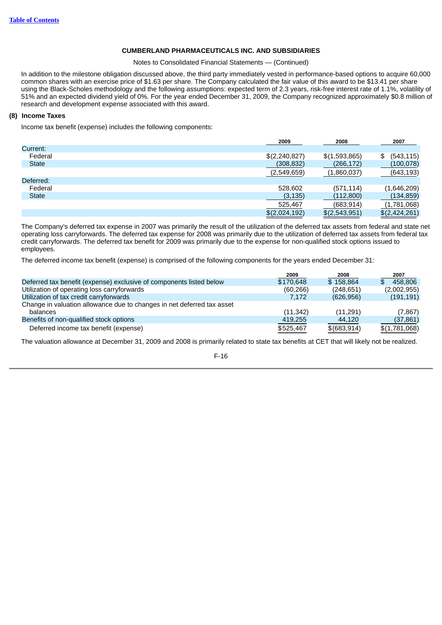Notes to Consolidated Financial Statements — (Continued)

In addition to the milestone obligation discussed above, the third party immediately vested in performance-based options to acquire 60,000 common shares with an exercise price of \$1.63 per share. The Company calculated the fair value of this award to be \$13.41 per share using the Black-Scholes methodology and the following assumptions: expected term of 2.3 years, risk-free interest rate of 1.1%, volatility of 51% and an expected dividend yield of 0%. For the year ended December 31, 2009, the Company recognized approximately \$0.8 million of research and development expense associated with this award.

### **(8) Income Taxes**

Income tax benefit (expense) includes the following components:

|              | 2009          | 2008          | 2007             |
|--------------|---------------|---------------|------------------|
| Current:     |               |               |                  |
| Federal      | \$(2,240,827) | \$(1,593,865) | \$<br>(543, 115) |
| <b>State</b> | (308, 832)    | (266, 172)    | (100, 078)       |
|              | (2,549,659)   | (1,860,037)   | (643, 193)       |
| Deferred:    |               |               |                  |
| Federal      | 528.602       | (571, 114)    | (1,646,209)      |
| <b>State</b> | (3, 135)      | (112,800)     | (134, 859)       |
|              | 525,467       | (683, 914)    | (1,781,068)      |
|              | \$(2,024,192) | \$(2,543,951) | \$(2,424,261)    |

The Company's deferred tax expense in 2007 was primarily the result of the utilization of the deferred tax assets from federal and state net operating loss carryforwards. The deferred tax expense for 2008 was primarily due to the utilization of deferred tax assets from federal tax credit carryforwards. The deferred tax benefit for 2009 was primarily due to the expense for non-qualified stock options issued to employees.

The deferred income tax benefit (expense) is comprised of the following components for the years ended December 31:

|                                                                        | 2009      | 2008        | 2007          |
|------------------------------------------------------------------------|-----------|-------------|---------------|
| Deferred tax benefit (expense) exclusive of components listed below    | \$170.648 | \$158.864   | 458.806       |
| Utilization of operating loss carryforwards                            | (60, 266) | (248, 651)  | (2,002,955)   |
| Utilization of tax credit carryforwards                                | 7.172     | (626, 956)  | (191, 191)    |
| Change in valuation allowance due to changes in net deferred tax asset |           |             |               |
| balances                                                               | (11, 342) | (11,291)    | (7, 867)      |
| Benefits of non-qualified stock options                                | 419,255   | 44,120      | (37, 861)     |
| Deferred income tax benefit (expense)                                  | \$525,467 | \$(683,914) | \$(1,781,068) |

The valuation allowance at December 31, 2009 and 2008 is primarily related to state tax benefits at CET that will likely not be realized.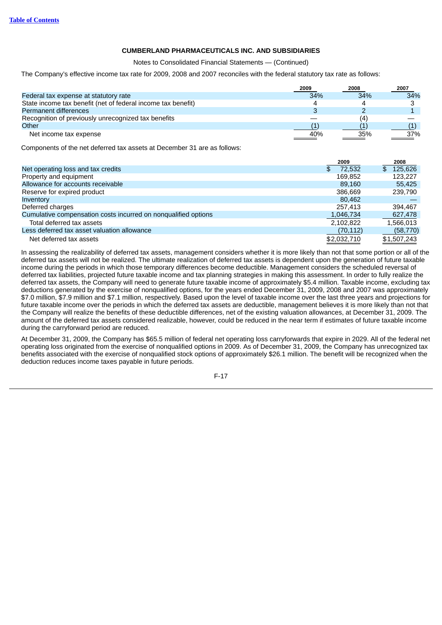Notes to Consolidated Financial Statements — (Continued)

The Company's effective income tax rate for 2009, 2008 and 2007 reconciles with the federal statutory tax rate as follows:

|                                                              | 2009 | 2008 | 2007 |
|--------------------------------------------------------------|------|------|------|
| Federal tax expense at statutory rate                        | 34%  | 34%  | 34%  |
| State income tax benefit (net of federal income tax benefit) |      |      |      |
| Permanent differences                                        |      |      |      |
| Recognition of previously unrecognized tax benefits          |      | (4   |      |
| <b>Other</b>                                                 |      |      |      |
| Net income tax expense                                       | 40%  | 35%  | 37%  |

Components of the net deferred tax assets at December 31 are as follows:

|                                                                | 2009         | 2008        |
|----------------------------------------------------------------|--------------|-------------|
| Net operating loss and tax credits                             | 72.532<br>\$ | \$125,626   |
| Property and equipment                                         | 169.852      | 123.227     |
| Allowance for accounts receivable                              | 89.160       | 55.425      |
| Reserve for expired product                                    | 386,669      | 239,790     |
| Inventory                                                      | 80.462       |             |
| Deferred charges                                               | 257.413      | 394.467     |
| Cumulative compensation costs incurred on nonqualified options | 1,046,734    | 627,478     |
| Total deferred tax assets                                      | 2,102,822    | 1,566,013   |
| Less deferred tax asset valuation allowance                    | (70, 112)    | (58, 770)   |
| Net deferred tax assets                                        | \$2,032,710  | \$1,507,243 |

In assessing the realizability of deferred tax assets, management considers whether it is more likely than not that some portion or all of the deferred tax assets will not be realized. The ultimate realization of deferred tax assets is dependent upon the generation of future taxable income during the periods in which those temporary differences become deductible. Management considers the scheduled reversal of deferred tax liabilities, projected future taxable income and tax planning strategies in making this assessment. In order to fully realize the deferred tax assets, the Company will need to generate future taxable income of approximately \$5.4 million. Taxable income, excluding tax deductions generated by the exercise of nonqualified options, for the years ended December 31, 2009, 2008 and 2007 was approximately \$7.0 million, \$7.9 million and \$7.1 million, respectively. Based upon the level of taxable income over the last three years and projections for future taxable income over the periods in which the deferred tax assets are deductible, management believes it is more likely than not that the Company will realize the benefits of these deductible differences, net of the existing valuation allowances, at December 31, 2009. The amount of the deferred tax assets considered realizable, however, could be reduced in the near term if estimates of future taxable income during the carryforward period are reduced.

At December 31, 2009, the Company has \$65.5 million of federal net operating loss carryforwards that expire in 2029. All of the federal net operating loss originated from the exercise of nonqualified options in 2009. As of December 31, 2009, the Company has unrecognized tax benefits associated with the exercise of nonqualified stock options of approximately \$26.1 million. The benefit will be recognized when the deduction reduces income taxes payable in future periods.

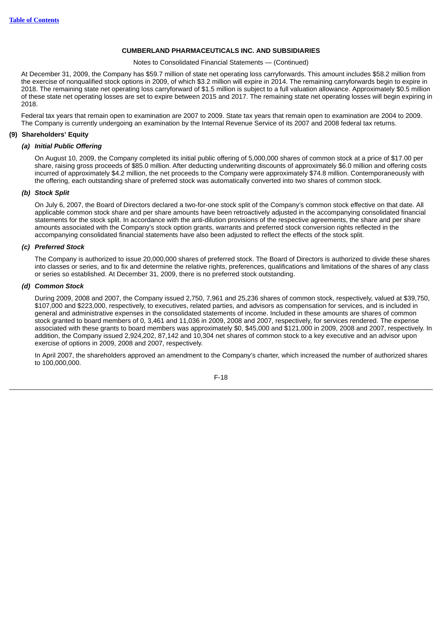Notes to Consolidated Financial Statements — (Continued)

At December 31, 2009, the Company has \$59.7 million of state net operating loss carryforwards. This amount includes \$58.2 million from the exercise of nonqualified stock options in 2009, of which \$3.2 million will expire in 2014. The remaining carryforwards begin to expire in 2018. The remaining state net operating loss carryforward of \$1.5 million is subject to a full valuation allowance. Approximately \$0.5 million of these state net operating losses are set to expire between 2015 and 2017. The remaining state net operating losses will begin expiring in 2018.

Federal tax years that remain open to examination are 2007 to 2009. State tax years that remain open to examination are 2004 to 2009. The Company is currently undergoing an examination by the Internal Revenue Service of its 2007 and 2008 federal tax returns.

### **(9) Shareholders' Equity**

### *(a) Initial Public Offering*

On August 10, 2009, the Company completed its initial public offering of 5,000,000 shares of common stock at a price of \$17.00 per share, raising gross proceeds of \$85.0 million. After deducting underwriting discounts of approximately \$6.0 million and offering costs incurred of approximately \$4.2 million, the net proceeds to the Company were approximately \$74.8 million. Contemporaneously with the offering, each outstanding share of preferred stock was automatically converted into two shares of common stock.

#### *(b) Stock Split*

On July 6, 2007, the Board of Directors declared a two-for-one stock split of the Company's common stock effective on that date. All applicable common stock share and per share amounts have been retroactively adjusted in the accompanying consolidated financial statements for the stock split. In accordance with the anti-dilution provisions of the respective agreements, the share and per share amounts associated with the Company's stock option grants, warrants and preferred stock conversion rights reflected in the accompanying consolidated financial statements have also been adjusted to reflect the effects of the stock split.

#### *(c) Preferred Stock*

The Company is authorized to issue 20,000,000 shares of preferred stock. The Board of Directors is authorized to divide these shares into classes or series, and to fix and determine the relative rights, preferences, qualifications and limitations of the shares of any class or series so established. At December 31, 2009, there is no preferred stock outstanding.

### *(d) Common Stock*

During 2009, 2008 and 2007, the Company issued 2,750, 7,961 and 25,236 shares of common stock, respectively, valued at \$39,750, \$107,000 and \$223,000, respectively, to executives, related parties, and advisors as compensation for services, and is included in general and administrative expenses in the consolidated statements of income. Included in these amounts are shares of common stock granted to board members of 0, 3,461 and 11,036 in 2009, 2008 and 2007, respectively, for services rendered. The expense associated with these grants to board members was approximately \$0, \$45,000 and \$121,000 in 2009, 2008 and 2007, respectively. In addition, the Company issued 2,924,202, 87,142 and 10,304 net shares of common stock to a key executive and an advisor upon exercise of options in 2009, 2008 and 2007, respectively.

In April 2007, the shareholders approved an amendment to the Company's charter, which increased the number of authorized shares to 100,000,000.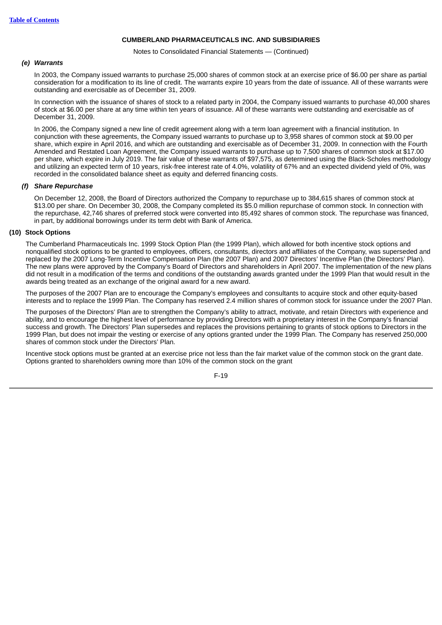Notes to Consolidated Financial Statements — (Continued)

## *(e) Warrants*

In 2003, the Company issued warrants to purchase 25,000 shares of common stock at an exercise price of \$6.00 per share as partial consideration for a modification to its line of credit. The warrants expire 10 years from the date of issuance. All of these warrants were outstanding and exercisable as of December 31, 2009.

In connection with the issuance of shares of stock to a related party in 2004, the Company issued warrants to purchase 40,000 shares of stock at \$6.00 per share at any time within ten years of issuance. All of these warrants were outstanding and exercisable as of December 31, 2009.

In 2006, the Company signed a new line of credit agreement along with a term loan agreement with a financial institution. In conjunction with these agreements, the Company issued warrants to purchase up to 3,958 shares of common stock at \$9.00 per share, which expire in April 2016, and which are outstanding and exercisable as of December 31, 2009. In connection with the Fourth Amended and Restated Loan Agreement, the Company issued warrants to purchase up to 7,500 shares of common stock at \$17.00 per share, which expire in July 2019. The fair value of these warrants of \$97,575, as determined using the Black-Scholes methodology and utilizing an expected term of 10 years, risk-free interest rate of 4.0%, volatility of 67% and an expected dividend yield of 0%, was recorded in the consolidated balance sheet as equity and deferred financing costs.

### *(f) Share Repurchase*

On December 12, 2008, the Board of Directors authorized the Company to repurchase up to 384,615 shares of common stock at \$13.00 per share. On December 30, 2008, the Company completed its \$5.0 million repurchase of common stock. In connection with the repurchase, 42,746 shares of preferred stock were converted into 85,492 shares of common stock. The repurchase was financed, in part, by additional borrowings under its term debt with Bank of America.

#### **(10) Stock Options**

The Cumberland Pharmaceuticals Inc. 1999 Stock Option Plan (the 1999 Plan), which allowed for both incentive stock options and nonqualified stock options to be granted to employees, officers, consultants, directors and affiliates of the Company, was superseded and replaced by the 2007 Long-Term Incentive Compensation Plan (the 2007 Plan) and 2007 Directors' Incentive Plan (the Directors' Plan). The new plans were approved by the Company's Board of Directors and shareholders in April 2007. The implementation of the new plans did not result in a modification of the terms and conditions of the outstanding awards granted under the 1999 Plan that would result in the awards being treated as an exchange of the original award for a new award.

The purposes of the 2007 Plan are to encourage the Company's employees and consultants to acquire stock and other equity-based interests and to replace the 1999 Plan. The Company has reserved 2.4 million shares of common stock for issuance under the 2007 Plan.

The purposes of the Directors' Plan are to strengthen the Company's ability to attract, motivate, and retain Directors with experience and ability, and to encourage the highest level of performance by providing Directors with a proprietary interest in the Company's financial success and growth. The Directors' Plan supersedes and replaces the provisions pertaining to grants of stock options to Directors in the 1999 Plan, but does not impair the vesting or exercise of any options granted under the 1999 Plan. The Company has reserved 250,000 shares of common stock under the Directors' Plan.

Incentive stock options must be granted at an exercise price not less than the fair market value of the common stock on the grant date. Options granted to shareholders owning more than 10% of the common stock on the grant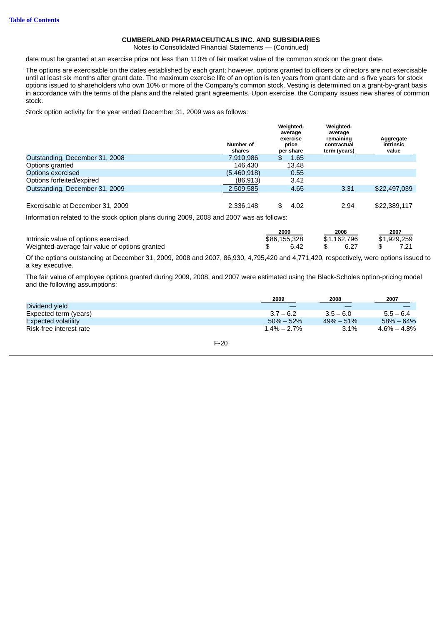Notes to Consolidated Financial Statements — (Continued)

date must be granted at an exercise price not less than 110% of fair market value of the common stock on the grant date.

The options are exercisable on the dates established by each grant; however, options granted to officers or directors are not exercisable until at least six months after grant date. The maximum exercise life of an option is ten years from grant date and is five years for stock options issued to shareholders who own 10% or more of the Company's common stock. Vesting is determined on a grant-by-grant basis in accordance with the terms of the plans and the related grant agreements. Upon exercise, the Company issues new shares of common stock.

Stock option activity for the year ended December 31, 2009 was as follows:

|                                  | Number of<br>shares | Weighted-<br>average<br>exercise<br>price<br>per share | Weighted-<br>average<br>remaining<br>contractual<br>term (years) | Aggregate<br>intrinsic<br>value |
|----------------------------------|---------------------|--------------------------------------------------------|------------------------------------------------------------------|---------------------------------|
| Outstanding, December 31, 2008   | 7.910.986           | 1.65<br>\$                                             |                                                                  |                                 |
| Options granted                  | 146.430             | 13.48                                                  |                                                                  |                                 |
| Options exercised                | (5,460,918)         | 0.55                                                   |                                                                  |                                 |
| Options forfeited/expired        | (86, 913)           | 3.42                                                   |                                                                  |                                 |
| Outstanding, December 31, 2009   | 2,509,585           | 4.65                                                   | 3.31                                                             | \$22,497,039                    |
| Exercisable at December 31, 2009 | 2.336.148           | 4.02<br>\$                                             | 2.94                                                             | \$22,389,117                    |

Information related to the stock option plans during 2009, 2008 and 2007 was as follows:

|                                                | 2009         |      | 2008        |      | 2007        |  |
|------------------------------------------------|--------------|------|-------------|------|-------------|--|
| Intrinsic value of options exercised           | \$86,155,328 |      | \$1,162,796 |      | \$1,929,259 |  |
| Weighted-average fair value of options granted |              | 6.42 |             | 6.27 |             |  |

Of the options outstanding at December 31, 2009, 2008 and 2007, 86,930, 4,795,420 and 4,771,420, respectively, were options issued to a key executive.

The fair value of employee options granted during 2009, 2008, and 2007 were estimated using the Black-Scholes option-pricing model and the following assumptions:

|                         | 2009            | 2008          | 2007            |
|-------------------------|-----------------|---------------|-----------------|
| Dividend yield          |                 |               |                 |
| Expected term (years)   | $37 - 62$       | $3.5 - 6.0$   | $5.5 - 6.4$     |
| Expected volatility     | $50\% - 52\%$   | $49\% - 51\%$ | $58\% - 64\%$   |
| Risk-free interest rate | $1.4\% - 2.7\%$ | $3.1\%$       | $4.6\% - 4.8\%$ |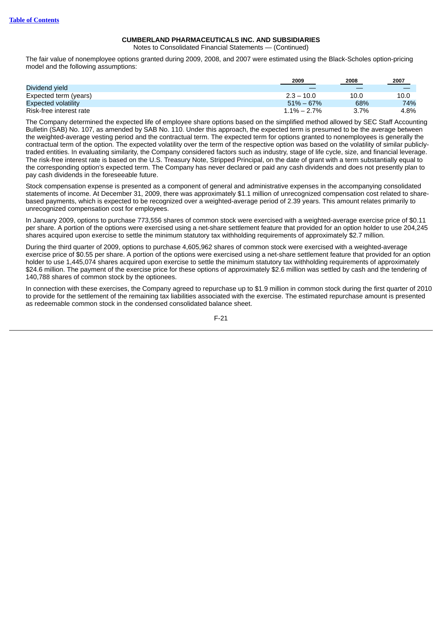Notes to Consolidated Financial Statements — (Continued)

The fair value of nonemployee options granted during 2009, 2008, and 2007 were estimated using the Black-Scholes option-pricing model and the following assumptions:

|                         | 2009            | 2008 | 2007 |
|-------------------------|-----------------|------|------|
| Dividend yield          |                 |      |      |
| Expected term (years)   | $2.3 - 10.0$    | 10.0 | 10.0 |
| Expected volatility     | $51\% - 67\%$   | 68%  | 74%  |
| Risk-free interest rate | $1.1\% - 2.7\%$ | 3.7% | 4.8% |

The Company determined the expected life of employee share options based on the simplified method allowed by SEC Staff Accounting Bulletin (SAB) No. 107, as amended by SAB No. 110. Under this approach, the expected term is presumed to be the average between the weighted-average vesting period and the contractual term. The expected term for options granted to nonemployees is generally the contractual term of the option. The expected volatility over the term of the respective option was based on the volatility of similar publiclytraded entities. In evaluating similarity, the Company considered factors such as industry, stage of life cycle, size, and financial leverage. The risk-free interest rate is based on the U.S. Treasury Note, Stripped Principal, on the date of grant with a term substantially equal to the corresponding option's expected term. The Company has never declared or paid any cash dividends and does not presently plan to pay cash dividends in the foreseeable future.

Stock compensation expense is presented as a component of general and administrative expenses in the accompanying consolidated statements of income. At December 31, 2009, there was approximately \$1.1 million of unrecognized compensation cost related to sharebased payments, which is expected to be recognized over a weighted-average period of 2.39 years. This amount relates primarily to unrecognized compensation cost for employees.

In January 2009, options to purchase 773,556 shares of common stock were exercised with a weighted-average exercise price of \$0.11 per share. A portion of the options were exercised using a net-share settlement feature that provided for an option holder to use 204,245 shares acquired upon exercise to settle the minimum statutory tax withholding requirements of approximately \$2.7 million.

During the third quarter of 2009, options to purchase 4,605,962 shares of common stock were exercised with a weighted-average exercise price of \$0.55 per share. A portion of the options were exercised using a net-share settlement feature that provided for an option holder to use 1,445,074 shares acquired upon exercise to settle the minimum statutory tax withholding requirements of approximately \$24.6 million. The payment of the exercise price for these options of approximately \$2.6 million was settled by cash and the tendering of 140,788 shares of common stock by the optionees.

In connection with these exercises, the Company agreed to repurchase up to \$1.9 million in common stock during the first quarter of 2010 to provide for the settlement of the remaining tax liabilities associated with the exercise. The estimated repurchase amount is presented as redeemable common stock in the condensed consolidated balance sheet.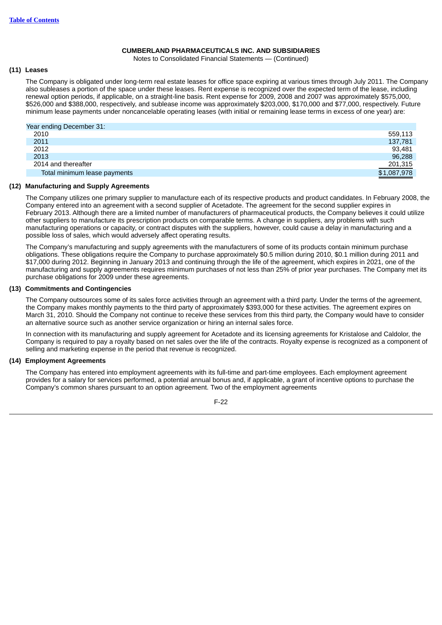Notes to Consolidated Financial Statements — (Continued)

#### **(11) Leases**

The Company is obligated under long-term real estate leases for office space expiring at various times through July 2011. The Company also subleases a portion of the space under these leases. Rent expense is recognized over the expected term of the lease, including renewal option periods, if applicable, on a straight-line basis. Rent expense for 2009, 2008 and 2007 was approximately \$575,000, \$526,000 and \$388,000, respectively, and sublease income was approximately \$203,000, \$170,000 and \$77,000, respectively. Future minimum lease payments under noncancelable operating leases (with initial or remaining lease terms in excess of one year) are:

| Year ending December 31:     |             |
|------------------------------|-------------|
| 2010                         | 559.113     |
| 2011                         | 137,781     |
| 2012                         | 93,481      |
| 2013                         | 96,288      |
| 2014 and thereafter          | 201,315     |
| Total minimum lease payments | \$1,087,978 |

#### **(12) Manufacturing and Supply Agreements**

The Company utilizes one primary supplier to manufacture each of its respective products and product candidates. In February 2008, the Company entered into an agreement with a second supplier of Acetadote. The agreement for the second supplier expires in February 2013. Although there are a limited number of manufacturers of pharmaceutical products, the Company believes it could utilize other suppliers to manufacture its prescription products on comparable terms. A change in suppliers, any problems with such manufacturing operations or capacity, or contract disputes with the suppliers, however, could cause a delay in manufacturing and a possible loss of sales, which would adversely affect operating results.

The Company's manufacturing and supply agreements with the manufacturers of some of its products contain minimum purchase obligations. These obligations require the Company to purchase approximately \$0.5 million during 2010, \$0.1 million during 2011 and \$17,000 during 2012. Beginning in January 2013 and continuing through the life of the agreement, which expires in 2021, one of the manufacturing and supply agreements requires minimum purchases of not less than 25% of prior year purchases. The Company met its purchase obligations for 2009 under these agreements.

### **(13) Commitments and Contingencies**

The Company outsources some of its sales force activities through an agreement with a third party. Under the terms of the agreement, the Company makes monthly payments to the third party of approximately \$393,000 for these activities. The agreement expires on March 31, 2010. Should the Company not continue to receive these services from this third party, the Company would have to consider an alternative source such as another service organization or hiring an internal sales force.

In connection with its manufacturing and supply agreement for Acetadote and its licensing agreements for Kristalose and Caldolor, the Company is required to pay a royalty based on net sales over the life of the contracts. Royalty expense is recognized as a component of selling and marketing expense in the period that revenue is recognized.

#### **(14) Employment Agreements**

The Company has entered into employment agreements with its full-time and part-time employees. Each employment agreement provides for a salary for services performed, a potential annual bonus and, if applicable, a grant of incentive options to purchase the Company's common shares pursuant to an option agreement. Two of the employment agreements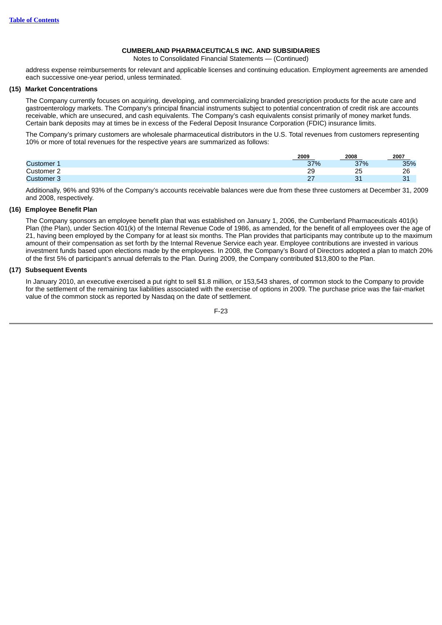# **CUMBERLAND PHARMACEUTICALS INC. AND SUBSIDIARIES**

Notes to Consolidated Financial Statements — (Continued)

address expense reimbursements for relevant and applicable licenses and continuing education. Employment agreements are amended each successive one-year period, unless terminated.

#### **(15) Market Concentrations**

The Company currently focuses on acquiring, developing, and commercializing branded prescription products for the acute care and gastroenterology markets. The Company's principal financial instruments subject to potential concentration of credit risk are accounts receivable, which are unsecured, and cash equivalents. The Company's cash equivalents consist primarily of money market funds. Certain bank deposits may at times be in excess of the Federal Deposit Insurance Corporation (FDIC) insurance limits.

The Company's primary customers are wholesale pharmaceutical distributors in the U.S. Total revenues from customers representing 10% or more of total revenues for the respective years are summarized as follows:

|                 | 2009             | 2008        | 2007         |
|-----------------|------------------|-------------|--------------|
| <b>Tustomer</b> | 37%              | 37%         | 35%          |
| `⊔stomer ∠      | 29               | つに<br>ںے    | 26           |
| <b>Stomer</b>   | $\sim$<br>$\sim$ | $\sim$<br>ັ | $\sim$<br>ັບ |

Additionally, 96% and 93% of the Company's accounts receivable balances were due from these three customers at December 31, 2009 and 2008, respectively.

### **(16) Employee Benefit Plan**

The Company sponsors an employee benefit plan that was established on January 1, 2006, the Cumberland Pharmaceuticals 401(k) Plan (the Plan), under Section 401(k) of the Internal Revenue Code of 1986, as amended, for the benefit of all employees over the age of 21, having been employed by the Company for at least six months. The Plan provides that participants may contribute up to the maximum amount of their compensation as set forth by the Internal Revenue Service each year. Employee contributions are invested in various investment funds based upon elections made by the employees. In 2008, the Company's Board of Directors adopted a plan to match 20% of the first 5% of participant's annual deferrals to the Plan. During 2009, the Company contributed \$13,800 to the Plan.

### **(17) Subsequent Events**

In January 2010, an executive exercised a put right to sell \$1.8 million, or 153,543 shares, of common stock to the Company to provide for the settlement of the remaining tax liabilities associated with the exercise of options in 2009. The purchase price was the fair-market value of the common stock as reported by Nasdaq on the date of settlement.

$$
F-23
$$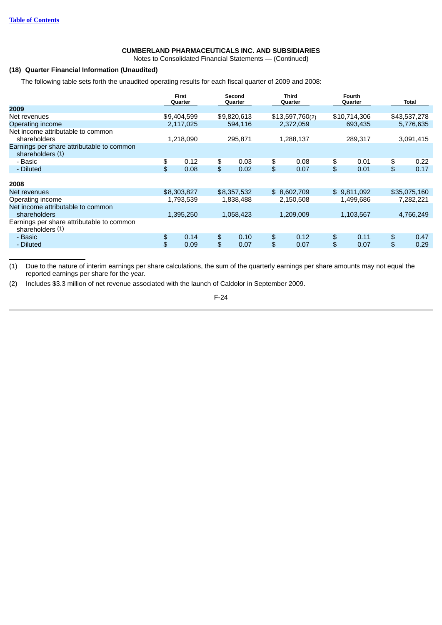# **CUMBERLAND PHARMACEUTICALS INC. AND SUBSIDIARIES**

Notes to Consolidated Financial Statements — (Continued)

# **(18) Quarter Financial Information (Unaudited)**

The following table sets forth the unaudited operating results for each fiscal quarter of 2009 and 2008:

|                                                               | <b>First</b><br><b>Quarter</b> | Second<br><b>Quarter</b> | <b>Third</b><br><b>Quarter</b> | Fourth<br><b>Quarter</b> | <b>Total</b> |
|---------------------------------------------------------------|--------------------------------|--------------------------|--------------------------------|--------------------------|--------------|
| 2009                                                          |                                |                          |                                |                          |              |
| Net revenues                                                  | \$9,404,599                    | \$9,820,613              | \$13,597,760(2)                | \$10,714,306             | \$43,537,278 |
| Operating income                                              | 2.117.025                      | 594.116                  | 2.372.059                      | 693.435                  | 5,776,635    |
| Net income attributable to common                             |                                |                          |                                |                          |              |
| shareholders                                                  | 1,218,090                      | 295,871                  | 1,288,137                      | 289,317                  | 3,091,415    |
| Earnings per share attributable to common<br>shareholders (1) |                                |                          |                                |                          |              |
| - Basic                                                       | \$<br>0.12                     | \$<br>0.03               | \$<br>0.08                     | \$<br>0.01               | \$<br>0.22   |
| - Diluted                                                     | \$<br>0.08                     | \$<br>0.02               | \$<br>0.07                     | \$<br>0.01               | \$<br>0.17   |
| 2008                                                          |                                |                          |                                |                          |              |
| Net revenues                                                  | \$8,303,827                    | \$8,357,532              | \$8,602,709                    | \$9,811,092              | \$35,075,160 |
| Operating income                                              | 1,793,539                      | 1,838,488                | 2,150,508                      | 1,499,686                | 7,282,221    |
| Net income attributable to common<br>shareholders             | 1,395,250                      | 1,058,423                | 1,209,009                      | 1,103,567                | 4,766,249    |
| Earnings per share attributable to common<br>shareholders (1) |                                |                          |                                |                          |              |
| - Basic                                                       | \$<br>0.14                     | \$<br>0.10               | \$<br>0.12                     | \$<br>0.11               | \$<br>0.47   |
| - Diluted                                                     | \$<br>0.09                     | \$<br>0.07               | \$<br>0.07                     | \$<br>0.07               | \$<br>0.29   |

(1) Due to the nature of interim earnings per share calculations, the sum of the quarterly earnings per share amounts may not equal the reported earnings per share for the year.

(2) Includes \$3.3 million of net revenue associated with the launch of Caldolor in September 2009.

F-24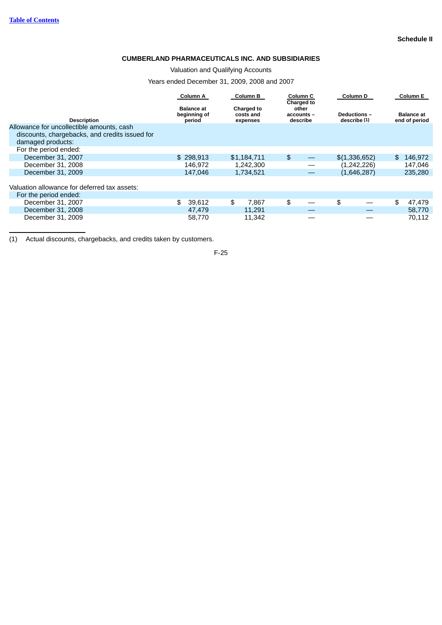# **CUMBERLAND PHARMACEUTICALS INC. AND SUBSIDIARIES**

Valuation and Qualifying Accounts

Years ended December 31, 2009, 2008 and 2007

|                                                                                                                  | Column A                                    | <b>Column B</b>                     | Column <sub>C</sub><br>Charged to | Column D                    | <b>Column E</b>                    |
|------------------------------------------------------------------------------------------------------------------|---------------------------------------------|-------------------------------------|-----------------------------------|-----------------------------|------------------------------------|
| <b>Description</b>                                                                                               | <b>Balance</b> at<br>beginning of<br>period | Charged to<br>costs and<br>expenses | other<br>accounts -<br>describe   | Deductions-<br>describe (1) | <b>Balance at</b><br>end of period |
| Allowance for uncollectible amounts, cash<br>discounts, chargebacks, and credits issued for<br>damaged products: |                                             |                                     |                                   |                             |                                    |
| For the period ended:                                                                                            |                                             |                                     |                                   |                             |                                    |
| December 31, 2007                                                                                                | \$298.913                                   | \$1,184,711                         | \$                                | \$(1,336,652)               | 146,972<br>\$                      |
| December 31, 2008                                                                                                | 146.972                                     | 1.242.300                           |                                   | (1,242,226)                 | 147,046                            |
| December 31, 2009                                                                                                | 147.046                                     | 1,734,521                           |                                   | (1,646,287)                 | 235,280                            |
| Valuation allowance for deferred tax assets:                                                                     |                                             |                                     |                                   |                             |                                    |
| For the period ended:                                                                                            |                                             |                                     |                                   |                             |                                    |
| December 31, 2007                                                                                                | 39,612<br>\$                                | 7.867<br>\$                         | \$                                | \$                          | 47,479<br>\$                       |
| December 31, 2008                                                                                                | 47,479                                      | 11,291                              |                                   |                             | 58,770                             |
| December 31, 2009                                                                                                | 58.770                                      | 11.342                              |                                   |                             | 70.112                             |

(1) Actual discounts, chargebacks, and credits taken by customers.

F-25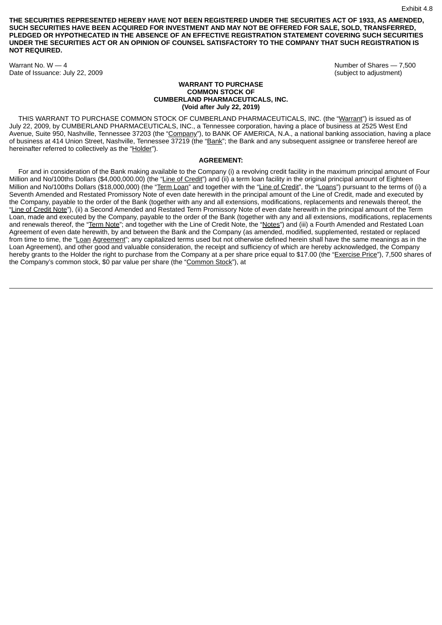**THE SECURITIES REPRESENTED HEREBY HAVE NOT BEEN REGISTERED UNDER THE SECURITIES ACT OF 1933, AS AMENDED, SUCH SECURITIES HAVE BEEN ACQUIRED FOR INVESTMENT AND MAY NOT BE OFFERED FOR SALE, SOLD, TRANSFERRED, PLEDGED OR HYPOTHECATED IN THE ABSENCE OF AN EFFECTIVE REGISTRATION STATEMENT COVERING SUCH SECURITIES UNDER THE SECURITIES ACT OR AN OPINION OF COUNSEL SATISFACTORY TO THE COMPANY THAT SUCH REGISTRATION IS NOT REQUIRED.**

Warrant No. W — 4 Number of Shares — 7,500<br>Date of Issuance: July 22, 2009 **Multiple and Shares — 7,500** (subject to adjustment) Date of Issuance: July 22, 2009

### **WARRANT TO PURCHASE COMMON STOCK OF CUMBERLAND PHARMACEUTICALS, INC. (Void after July 22, 2019)**

THIS WARRANT TO PURCHASE COMMON STOCK OF CUMBERLAND PHARMACEUTICALS, INC. (the "Warrant") is issued as of July 22, 2009, by CUMBERLAND PHARMACEUTICALS, INC., a Tennessee corporation, having a place of business at 2525 West End Avenue, Suite 950, Nashville, Tennessee 37203 (the "Company"), to BANK OF AMERICA, N.A., a national banking association, having a place of business at 414 Union Street, Nashville, Tennessee 37219 (the "Bank"; the Bank and any subsequent assignee or transferee hereof are hereinafter referred to collectively as the "Holder").

### **AGREEMENT:**

For and in consideration of the Bank making available to the Company (i) a revolving credit facility in the maximum principal amount of Four Million and No/100ths Dollars (\$4,000,000.00) (the "Line of Credit") and (ii) a term loan facility in the original principal amount of Eighteen Million and No/100ths Dollars (\$18,000,000) (the "Term Loan" and together with the "Line of Credit", the "Loans") pursuant to the terms of (i) a Seventh Amended and Restated Promissory Note of even date herewith in the principal amount of the Line of Credit, made and executed by the Company, payable to the order of the Bank (together with any and all extensions, modifications, replacements and renewals thereof, the "Line of Credit Note"), (ii) a Second Amended and Restated Term Promissory Note of even date herewith in the principal amount of the Term Loan, made and executed by the Company, payable to the order of the Bank (together with any and all extensions, modifications, replacements and renewals thereof, the "Term Note"; and together with the Line of Credit Note, the "Notes") and (iii) a Fourth Amended and Restated Loan Agreement of even date herewith, by and between the Bank and the Company (as amended, modified, supplemented, restated or replaced from time to time, the "Loan Agreement"; any capitalized terms used but not otherwise defined herein shall have the same meanings as in the Loan Agreement), and other good and valuable consideration, the receipt and sufficiency of which are hereby acknowledged, the Company hereby grants to the Holder the right to purchase from the Company at a per share price equal to \$17.00 (the "Exercise Price"), 7.500 shares of the Company's common stock, \$0 par value per share (the "Common Stock"), at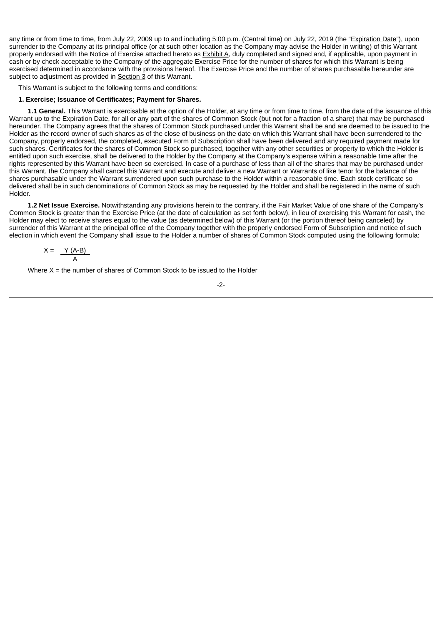any time or from time to time, from July 22, 2009 up to and including 5:00 p.m. (Central time) on July 22, 2019 (the "Expiration Date"), upon surrender to the Company at its principal office (or at such other location as the Company may advise the Holder in writing) of this Warrant properly endorsed with the Notice of Exercise attached hereto as Exhibit A, duly completed and signed and, if applicable, upon payment in cash or by check acceptable to the Company of the aggregate Exercise Price for the number of shares for which this Warrant is being exercised determined in accordance with the provisions hereof. The Exercise Price and the number of shares purchasable hereunder are subject to adjustment as provided in **Section 3** of this Warrant.

This Warrant is subject to the following terms and conditions:

#### **1. Exercise; Issuance of Certificates; Payment for Shares.**

**1.1 General.** This Warrant is exercisable at the option of the Holder, at any time or from time to time, from the date of the issuance of this Warrant up to the Expiration Date, for all or any part of the shares of Common Stock (but not for a fraction of a share) that may be purchased hereunder. The Company agrees that the shares of Common Stock purchased under this Warrant shall be and are deemed to be issued to the Holder as the record owner of such shares as of the close of business on the date on which this Warrant shall have been surrendered to the Company, properly endorsed, the completed, executed Form of Subscription shall have been delivered and any required payment made for such shares. Certificates for the shares of Common Stock so purchased, together with any other securities or property to which the Holder is entitled upon such exercise, shall be delivered to the Holder by the Company at the Company's expense within a reasonable time after the rights represented by this Warrant have been so exercised. In case of a purchase of less than all of the shares that may be purchased under this Warrant, the Company shall cancel this Warrant and execute and deliver a new Warrant or Warrants of like tenor for the balance of the shares purchasable under the Warrant surrendered upon such purchase to the Holder within a reasonable time. Each stock certificate so delivered shall be in such denominations of Common Stock as may be requested by the Holder and shall be registered in the name of such Holder.

**1.2 Net Issue Exercise.** Notwithstanding any provisions herein to the contrary, if the Fair Market Value of one share of the Company's Common Stock is greater than the Exercise Price (at the date of calculation as set forth below), in lieu of exercising this Warrant for cash, the Holder may elect to receive shares equal to the value (as determined below) of this Warrant (or the portion thereof being canceled) by surrender of this Warrant at the principal office of the Company together with the properly endorsed Form of Subscription and notice of such election in which event the Company shall issue to the Holder a number of shares of Common Stock computed using the following formula:

$$
X = \frac{Y (A-B)}{A}
$$

Where  $X =$  the number of shares of Common Stock to be issued to the Holder

-2-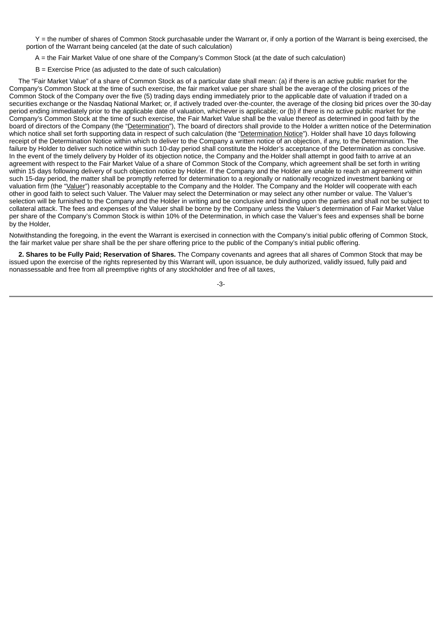Y = the number of shares of Common Stock purchasable under the Warrant or, if only a portion of the Warrant is being exercised, the portion of the Warrant being canceled (at the date of such calculation)

A = the Fair Market Value of one share of the Company's Common Stock (at the date of such calculation)

B = Exercise Price (as adjusted to the date of such calculation)

The "Fair Market Value" of a share of Common Stock as of a particular date shall mean: (a) if there is an active public market for the Company's Common Stock at the time of such exercise, the fair market value per share shall be the average of the closing prices of the Common Stock of the Company over the five (5) trading days ending immediately prior to the applicable date of valuation if traded on a securities exchange or the Nasdaq National Market; or, if actively traded over-the-counter, the average of the closing bid prices over the 30-day period ending immediately prior to the applicable date of valuation, whichever is applicable; or (b) if there is no active public market for the Company's Common Stock at the time of such exercise, the Fair Market Value shall be the value thereof as determined in good faith by the board of directors of the Company (the "Determination"), The board of directors shall provide to the Holder a written notice of the Determination which notice shall set forth supporting data in respect of such calculation (the "Determination Notice"). Holder shall have 10 days following receipt of the Determination Notice within which to deliver to the Company a written notice of an objection, if any, to the Determination. The failure by Holder to deliver such notice within such 10-day period shall constitute the Holder's acceptance of the Determination as conclusive. In the event of the timely delivery by Holder of its objection notice, the Company and the.Holder shall attempt in good faith to arrive at an agreement with respect to the Fair Market Value of a share of Common Stock of the Company, which agreement shall be set forth in writing within 15 days following delivery of such objection notice by Holder. If the Company and the Holder are unable to reach an agreement within such 15-day period, the matter shall be promptly referred for determination to a regionally or nationally recognized investment banking or valuation firm (the "Valuer") reasonably acceptable to the Company and the Holder. The Company and the Holder will cooperate with each other in good faith to select such Valuer. The Valuer may select the Determination or may select any other number or value. The Valuer's selection will be furnished to the Company and the Holder in writing and be conclusive and binding upon the parties and shall not be subject to collateral attack. The fees and expenses of the Valuer shall be borne by the Company unless the Valuer's determination of Fair Market Value per share of the Company's Common Stock is within 10% of the Determination, in which case the Valuer's fees and expenses shall be borne by the Holder,

Notwithstanding the foregoing, in the event the Warrant is exercised in connection with the Company's initial public offering of Common Stock, the fair market value per share shall be the per share offering price to the public of the Company's initial public offering.

**2. Shares to be Fully Paid; Reservation of Shares.** The Company covenants and agrees that all shares of Common Stock that may be issued upon the exercise of the rights represented by this Warrant will, upon issuance, be duly authorized, validly issued, fully paid and nonassessable and free from all preemptive rights of any stockholder and free of all taxes,

-3-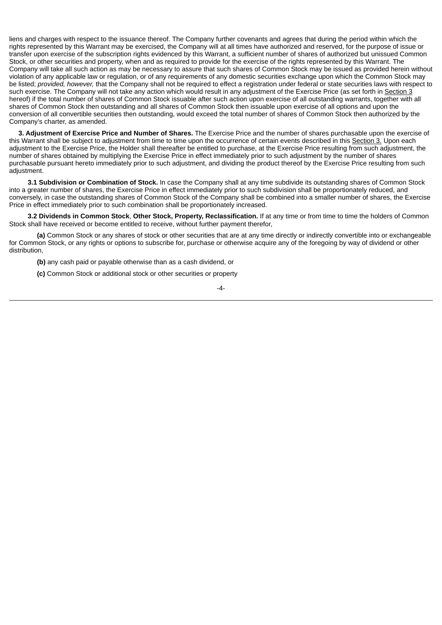liens and charges with respect to the issuance thereof. The Company further covenants and agrees that during the period within which the rights represented by this Warrant may be exercised, the Company will at all times have authorized and reserved, for the purpose of issue or transfer upon exercise of the subscription rights evidenced by this Warrant, a sufficient number of shares of authorized but unissued Common Stock, or other securities and property, when and as required to provide for the exercise of the rights represented by this Warrant. The Company will take all such action as may be necessary to assure that such shares of Common Stock may be issued as provided herein without violation of any applicable law or regulation, or of any requirements of any domestic securities exchange upon which the Common Stock may be listed; *provided, however,* that the Company shall not be required to effect a registration under federal or state securities laws with respect to such exercise. The Company will not take any action which would result in any adjustment of the Exercise Price (as set forth in Section 3 hereof) if the total number of shares of Common Stock issuable after such action upon exercise of all outstanding warrants, together with all shares of Common Stock then outstanding and all shares of Common Stock then issuable upon exercise of all options and upon the conversion of all convertible securities then outstanding, would exceed the total number of shares of Common Stock then authorized by the Company's charter, as amended.

**3. Adjustment of Exercise Price and Number of Shares.** The Exercise Price and the number of shares purchasable upon the exercise of this Warrant shall be subject to adjustment from time to time upon the occurrence of certain events described in this Section 3. Upon each adjustment to the Exercise Price, the Holder shall thereafter be entitled to purchase, at the Exercise Price resulting from such adjustment, the number of shares obtained by multiplying the Exercise Price in effect immediately prior to such adjustment by the number of shares purchasable pursuant hereto immediately prior to such adjustment, and dividing the product thereof by the Exercise Price resulting from such adjustment.

**3.1 Subdivision or Combination of Stock.** In case the Company shall at any time subdivide its outstanding shares of Common Stock into a greater number of shares, the Exercise Price in effect immediately prior to such subdivision shall be proportionately reduced, and conversely, in case the outstanding shares of Common Stock of the Company shall be combined into a smaller number of shares, the Exercise Price in effect immediately prior to such combination shall be proportionately increased.

**3.2 Dividends in Common Stock**, **Other Stock, Property, Reclassification.** If at any time or from time to time the holders of Common Stock shall have received or become entitled to receive, without further payment therefor,

**(a)** Common Stock or any shares of stock or other securities that are at any time directly or indirectly convertible into or exchangeable for Common Stock, or any rights or options to subscribe for, purchase or otherwise acquire any of the foregoing by way of dividend or other distribution,

**(b)** any cash paid or payable otherwise than as a cash dividend, or

**(c)** Common Stock or additional stock or other securities or property

-4-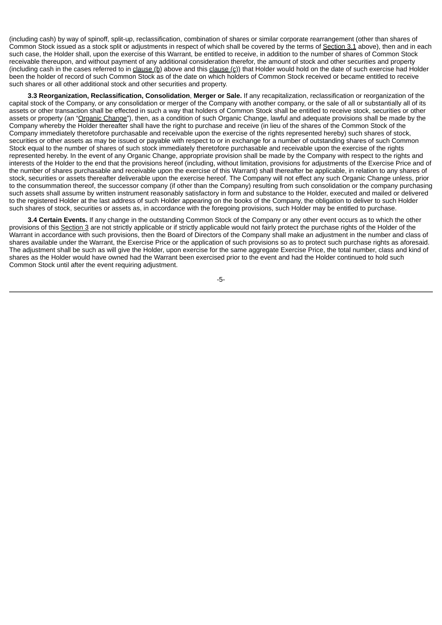(including cash) by way of spinoff, split-up, reclassification, combination of shares or similar corporate rearrangement (other than shares of Common Stock issued as a stock split or adjustments in respect of which shall be covered by the terms of Section 3.1 above), then and in each such case, the Holder shall, upon the exercise of this Warrant, be entitled to receive, in addition to the number of shares of Common Stock receivable thereupon, and without payment of any additional consideration therefor, the amount of stock and other securities and property (including cash in the cases referred to in clause (b) above and this clause (c)) that Holder would hold on the date of such exercise had Holder been the holder of record of such Common Stock as of the date on which holders of Common Stock received or became entitled to receive such shares or all other additional stock and other securities and property.

**3.3 Reorganization, Reclassification, Consolidation**, **Merger or Sale.** If any recapitalization, reclassification or reorganization of the capital stock of the Company, or any consolidation or merger of the Company with another company, or the sale of all or substantially all of its assets or other transaction shall be effected in such a way that holders of Common Stock shall be entitled to receive stock, securities or other assets or property (an "Organic Change"), then, as a condition of such Organic Change, lawful and adequate provisions shall be made by the Company whereby the Holder thereafter shall have the right to purchase and receive (in lieu of the shares of the Common Stock of the Company immediately theretofore purchasable and receivable upon the exercise of the rights represented hereby) such shares of stock, securities or other assets as may be issued or payable with respect to or in exchange for a number of outstanding shares of such Common Stock equal to the number of shares of such stock immediately theretofore purchasable and receivable upon the exercise of the rights represented hereby. In the event of any Organic Change, appropriate provision shall be made by the Company with respect to the rights and interests of the Holder to the end that the provisions hereof (including, without limitation, provisions for adjustments of the Exercise Price and of the number of shares purchasable and receivable upon the exercise of this Warrant) shall thereafter be applicable, in relation to any shares of stock, securities or assets thereafter deliverable upon the exercise hereof. The Company will not effect any such Organic Change unless, prior to the consummation thereof, the successor company (if other than the Company) resulting from such consolidation or the company purchasing such assets shall assume by written instrument reasonably satisfactory in form and substance to the Holder, executed and mailed or delivered to the registered Holder at the last address of such Holder appearing on the books of the Company, the obligation to deliver to such Holder such shares of stock, securities or assets as, in accordance with the foregoing provisions, such Holder may be entitled to purchase.

**3.4 Certain Events.** If any change in the outstanding Common Stock of the Company or any other event occurs as to which the other provisions of this Section 3 are not strictly applicable or if strictly applicable would not fairly protect the purchase rights of the Holder of the Warrant in accordance with such provisions, then the Board of Directors of the Company shall make an adjustment in the number and class of shares available under the Warrant, the Exercise Price or the application of such provisions so as to protect such purchase rights as aforesaid. The adjustment shall be such as will give the Holder, upon exercise for the same aggregate Exercise Price, the total number, class and kind of shares as the Holder would have owned had the Warrant been exercised prior to the event and had the Holder continued to hold such Common Stock until after the event requiring adjustment.

-5-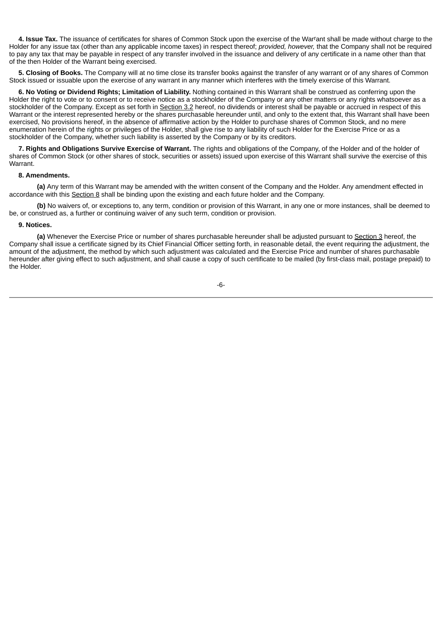**4. Issue Tax.** The issuance of certificates for shares of Common Stock upon the exercise of the Warrant shall be made without charge to the Holder for any issue tax (other than any applicable income taxes) in respect thereof; *provided, however,* that the Company shall not be required to pay any tax that may be payable in respect of any transfer involved in the issuance and delivery of any certificate in a name other than that of the then Holder of the Warrant being exercised.

**5. Closing of Books.** The Company will at no time close its transfer books against the transfer of any warrant or of any shares of Common Stock issued or issuable upon the exercise of any warrant in any manner which interferes with the timely exercise of this Warrant.

**6. No Voting or Dividend Rights; Limitation of Liability.** Nothing contained in this Warrant shall be construed as conferring upon the Holder the right to vote or to consent or to receive notice as a stockholder of the Company or any other matters or any rights whatsoever as a stockholder of the Company. Except as set forth in Section 3.2 hereof, no dividends or interest shall be payable or accrued in respect of this Warrant or the interest represented hereby or the shares purchasable hereunder until, and only to the extent that, this Warrant shall have been exercised, No provisions hereof, in the absence of affirmative action by the Holder to purchase shares of Common Stock, and no mere enumeration herein of the rights or privileges of the Holder, shall give rise to any liability of such Holder for the Exercise Price or as a stockholder of the Company, whether such liability is asserted by the Company or by its creditors.

**7. Rights and Obligations Survive Exercise of Warrant.** The rights and obligations of the Company, of the Holder and of the holder of shares of Common Stock (or other shares of stock, securities or assets) issued upon exercise of this Warrant shall survive the exercise of this Warrant.

# **8. Amendments.**

**(a)** Any term of this Warrant may be amended with the written consent of the Company and the Holder. Any amendment effected in accordance with this Section 8 shall be binding upon the existing and each future holder and the Company.

**(b)** No waivers of, or exceptions to, any term, condition or provision of this Warrant, in any one or more instances, shall be deemed to be, or construed as, a further or continuing waiver of any such term, condition or provision.

#### **9. Notices.**

**(a)** Whenever the Exercise Price or number of shares purchasable hereunder shall be adjusted pursuant to Section 3 hereof, the Company shall issue a certificate signed by its Chief Financial Officer setting forth, in reasonable detail, the event requiring the adjustment, the amount of the adjustment, the method by which such adjustment was calculated and the Exercise Price and number of shares purchasable hereunder after giving effect to such adjustment, and shall cause a copy of such certificate to be mailed (by first-class mail, postage prepaid) to the Holder.

#### -6-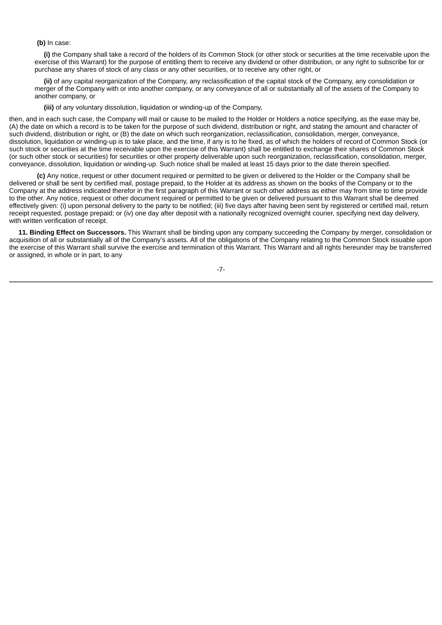#### **(b)** In case:

**(i)** the Company shall take a record of the holders of its Common Stock (or other stock or securities at the time receivable upon the exercise of this Warrant) for the purpose of entitling them to receive any dividend or other distribution, or any right to subscribe for or purchase any shares of stock of any class or any other securities, or to receive any other right, or

**(ii)** of any capital reorganization of the Company, any reclassification of the capital stock of the Company, any consolidation or merger of the Company with or into another company, or any conveyance of all or substantially all of the assets of the Company to another company, or

**(iii)** of any voluntary dissolution, liquidation or winding-up of the Company,

then, and in each such case, the Company will mail or cause to be mailed to the Holder or Holders a notice specifying, as the ease may be, (A) the date on which a record is to be taken for the purpose of such dividend, distribution or right, and stating the amount and character of such dividend, distribution or right, or (B) the date on which such reorganization, reclassification, consolidation, merger, conveyance, dissolution, liquidation or winding-up is to take place, and the time, if any is to he fixed, as of which the holders of record of Common Stock (or such stock or securities at the time receivable upon the exercise of this Warrant) shall be entitled to exchange their shares of Common Stock (or such other stock or securities) for securities or other property deliverable upon such reorganization, reclassification, consolidation, merger, conveyance, dissolution, liquidation or winding-up. Such notice shall be mailed at least 15 days prior to the date therein specified.

**(c)** Any notice, request or other document required or permitted to be given or delivered to the Holder or the Company shall be delivered or shall be sent by certified mail, postage prepaid, to the Holder at its address as shown on the books of the Company or to the Company at the address indicated therefor in the first paragraph of this Warrant or such other address as either may from time to time provide to the other. Any notice, request or other document required or permitted to be given or delivered pursuant to this Warrant shall be deemed effectively given: (i) upon personal delivery to the party to be notified; (iii) five days after having been sent by registered or certified mail, return receipt requested, postage prepaid; or (iv) one day after deposit with a nationally recognized overnight courier, specifying next day delivery, with written verification of receipt.

**11. Binding Effect on Successors.** This Warrant shall be binding upon any company succeeding the Company by merger, consolidation or acquisition of all or substantially all of the Company's assets. All of the obligations of the Company relating to the Common Stock issuable upon the exercise of this Warrant shall survive the exercise and termination of this Warrant. This Warrant and all rights hereunder may be transferred or assigned, in whole or in part, to any

-7-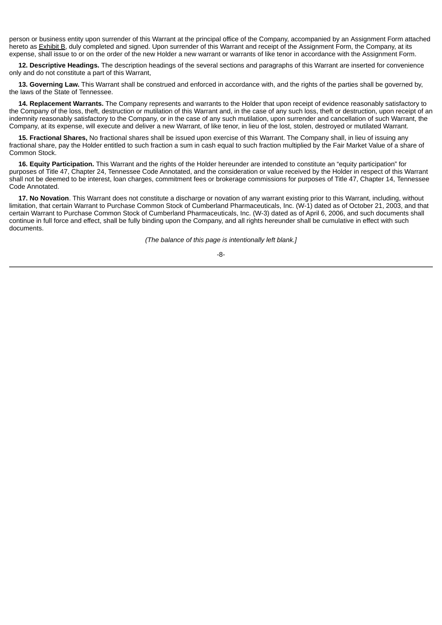person or business entity upon surrender of this Warrant at the principal office of the Company, accompanied by an Assignment Form attached hereto as Exhibit B, duly completed and signed. Upon surrender of this Warrant and receipt of the Assignment Form, the Company, at its expense, shall issue to or on the order of the new Holder a new warrant or warrants of like tenor in accordance with the Assignment Form.

**12. Descriptive Headings.** The description headings of the several sections and paragraphs of this Warrant are inserted for convenience only and do not constitute a part of this Warrant,

**13. Governing Law.** This Warrant shall be construed and enforced in accordance with, and the rights of the parties shall be governed by, the laws of the State of Tennessee.

**14. Replacement Warrants.** The Company represents and warrants to the Holder that upon receipt of evidence reasonably satisfactory to the Company of the loss, theft, destruction or mutilation of this Warrant and, in the case of any such loss, theft or destruction, upon receipt of an indemnity reasonably satisfactory to the Company, or in the case of any such mutilation, upon surrender and cancellation of such Warrant, the Company, at its expense, will execute and deliver a new Warrant, of like tenor, in lieu of the lost, stolen, destroyed or mutilated Warrant.

**15. Fractional Shares,** No fractional shares shall be issued upon exercise of this Warrant. The Company shall, in lieu of issuing any fractional share, pay the Holder entitled to such fraction a sum in cash equal to such fraction multiplied by the Fair Market Value of a share of Common Stock.

**16. Equity Participation.** This Warrant and the rights of the Holder hereunder are intended to constitute an "equity participation" for purposes of Title 47, Chapter 24, Tennessee Code Annotated, and the consideration or value received by the Holder in respect of this Warrant shall not be deemed to be interest, loan charges, commitment fees or brokerage commissions for purposes of Title 47, Chapter 14, Tennessee Code Annotated.

**17. No Novation**. This Warrant does not constitute a discharge or novation of any warrant existing prior to this Warrant, including, without limitation, that certain Warrant to Purchase Common Stock of Cumberland Pharmaceuticals, Inc. (W-1) dated as of October 21, 2003, and that certain Warrant to Purchase Common Stock of Cumberland Pharmaceuticals, Inc. (W-3) dated as of April 6, 2006, and such documents shall continue in full force and effect, shall be fully binding upon the Company, and all rights hereunder shall be cumulative in effect with such documents.

*(The balance of this page is intentionally left blank.]*

#### -8-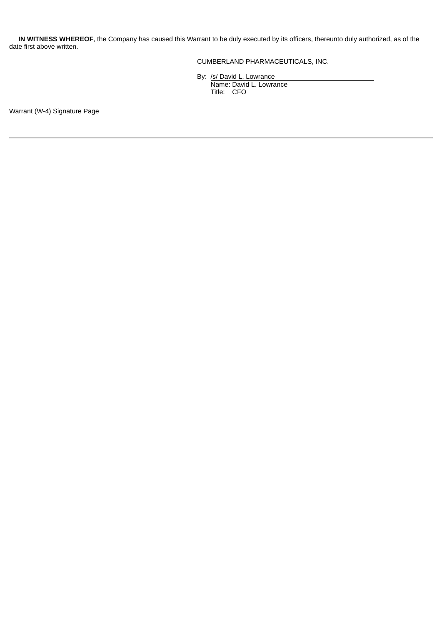**IN WITNESS WHEREOF**, the Company has caused this Warrant to be duly executed by its officers, thereunto duly authorized, as of the date first above written.

# CUMBERLAND PHARMACEUTICALS, INC.

By: /s/ David L. Lowrance Name: David L. Lowrance Title: CFO

Warrant (W-4) Signature Page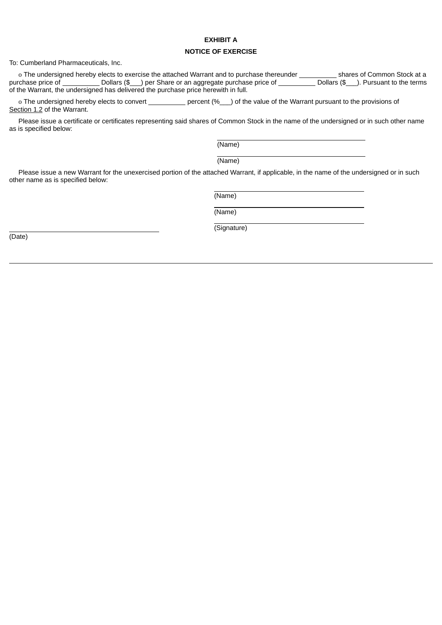# **EXHIBIT A**

#### **NOTICE OF EXERCISE**

To: Cumberland Pharmaceuticals, Inc.

o The undersigned hereby elects to exercise the attached Warrant and to purchase thereunder \_\_\_\_\_\_\_\_\_\_\_\_ shares of Common Stock at a purchase price of \_\_\_\_\_\_\_\_\_\_\_\_Dollars (\$\_\_\_) per Share or an aggregate purchase price of \_\_\_\_\_\_\_\_\_\_\_\_Dollars (\$\_\_\_). Pursuant to the terms of the Warrant, the undersigned has delivered the purchase price herewith in full.

o The undersigned hereby elects to convert \_\_\_\_\_\_\_\_\_\_\_ percent (%\_\_) of the value of the Warrant pursuant to the provisions of Section 1.2 of the Warrant.

Please issue a certificate or certificates representing said shares of Common Stock in the name of the undersigned or in such other name as is specified below:

(Name)

(Name)

Please issue a new Warrant for the unexercised portion of the attached Warrant, if applicable, in the name of the undersigned or in such other name as is specified below:

(Name)

(Name)

(Signature)

(Date)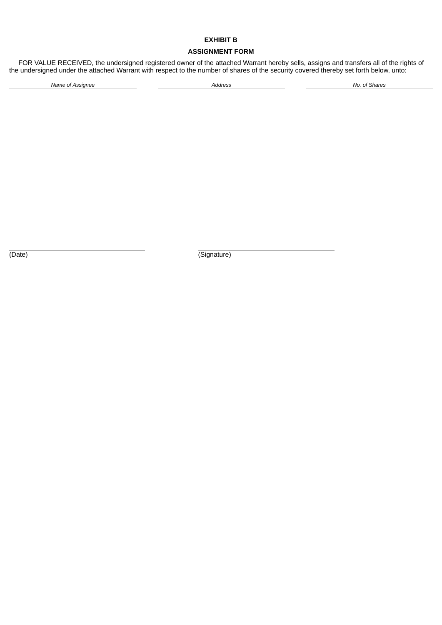# **EXHIBIT B**

### **ASSIGNMENT FORM**

FOR VALUE RECEIVED, the undersigned registered owner of the attached Warrant hereby sells, assigns and transfers all of the rights of the undersigned under the attached Warrant with respect to the number of shares of the security covered thereby set forth below, unto:

(Date) (Signature)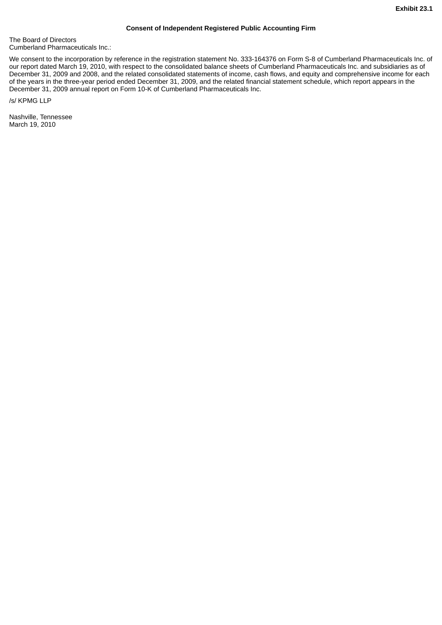# **Consent of Independent Registered Public Accounting Firm**

The Board of Directors Cumberland Pharmaceuticals Inc.:

We consent to the incorporation by reference in the registration statement No. 333-164376 on Form S-8 of Cumberland Pharmaceuticals Inc. of our report dated March 19, 2010, with respect to the consolidated balance sheets of Cumberland Pharmaceuticals Inc. and subsidiaries as of December 31, 2009 and 2008, and the related consolidated statements of income, cash flows, and equity and comprehensive income for each of the years in the three-year period ended December 31, 2009, and the related financial statement schedule, which report appears in the December 31, 2009 annual report on Form 10-K of Cumberland Pharmaceuticals Inc.

/s/ KPMG LLP

Nashville, Tennessee March 19, 2010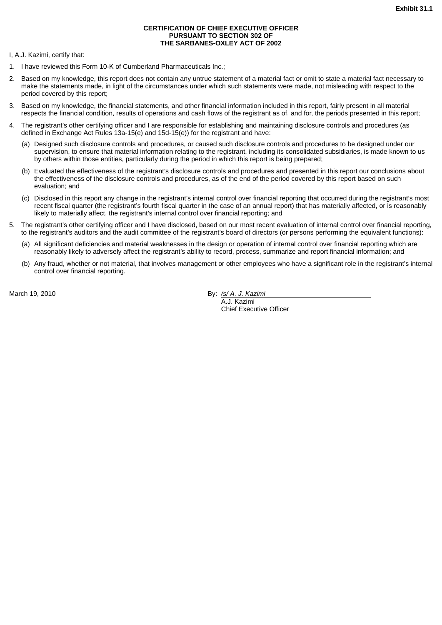### **CERTIFICATION OF CHIEF EXECUTIVE OFFICER PURSUANT TO SECTION 302 OF THE SARBANES-OXLEY ACT OF 2002**

I, A.J. Kazimi, certify that:

- 1. I have reviewed this Form 10-K of Cumberland Pharmaceuticals Inc.;
- 2. Based on my knowledge, this report does not contain any untrue statement of a material fact or omit to state a material fact necessary to make the statements made, in light of the circumstances under which such statements were made, not misleading with respect to the period covered by this report;
- 3. Based on my knowledge, the financial statements, and other financial information included in this report, fairly present in all material respects the financial condition, results of operations and cash flows of the registrant as of, and for, the periods presented in this report;
- 4. The registrant's other certifying officer and I are responsible for establishing and maintaining disclosure controls and procedures (as defined in Exchange Act Rules 13a-15(e) and 15d-15(e)) for the registrant and have:
	- (a) Designed such disclosure controls and procedures, or caused such disclosure controls and procedures to be designed under our supervision, to ensure that material information relating to the registrant, including its consolidated subsidiaries, is made known to us by others within those entities, particularly during the period in which this report is being prepared;
	- (b) Evaluated the effectiveness of the registrant's disclosure controls and procedures and presented in this report our conclusions about the effectiveness of the disclosure controls and procedures, as of the end of the period covered by this report based on such evaluation; and
	- (c) Disclosed in this report any change in the registrant's internal control over financial reporting that occurred during the registrant's most recent fiscal quarter (the registrant's fourth fiscal quarter in the case of an annual report) that has materially affected, or is reasonably likely to materially affect, the registrant's internal control over financial reporting; and
- 5. The registrant's other certifying officer and I have disclosed, based on our most recent evaluation of internal control over financial reporting, to the registrant's auditors and the audit committee of the registrant's board of directors (or persons performing the equivalent functions):
	- (a) All significant deficiencies and material weaknesses in the design or operation of internal control over financial reporting which are reasonably likely to adversely affect the registrant's ability to record, process, summarize and report financial information; and
	- (b) Any fraud, whether or not material, that involves management or other employees who have a significant role in the registrant's internal control over financial reporting.

March 19, 2010 By: */s/ A. J. Kazimi*

A.J. Kazimi Chief Executive Officer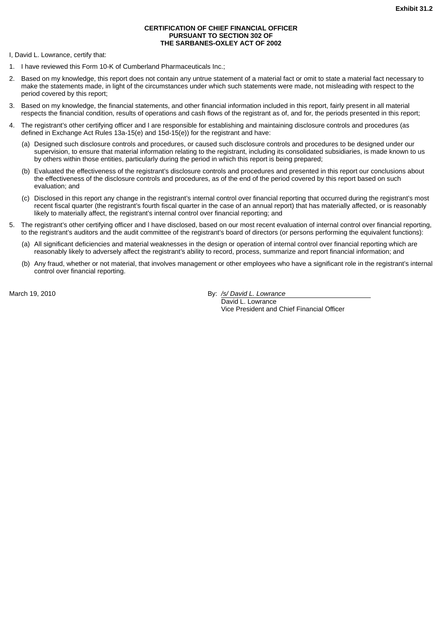### **CERTIFICATION OF CHIEF FINANCIAL OFFICER PURSUANT TO SECTION 302 OF THE SARBANES-OXLEY ACT OF 2002**

I, David L. Lowrance, certify that:

- 1. I have reviewed this Form 10-K of Cumberland Pharmaceuticals Inc.;
- 2. Based on my knowledge, this report does not contain any untrue statement of a material fact or omit to state a material fact necessary to make the statements made, in light of the circumstances under which such statements were made, not misleading with respect to the period covered by this report;
- 3. Based on my knowledge, the financial statements, and other financial information included in this report, fairly present in all material respects the financial condition, results of operations and cash flows of the registrant as of, and for, the periods presented in this report;
- 4. The registrant's other certifying officer and I are responsible for establishing and maintaining disclosure controls and procedures (as defined in Exchange Act Rules 13a-15(e) and 15d-15(e)) for the registrant and have:
	- (a) Designed such disclosure controls and procedures, or caused such disclosure controls and procedures to be designed under our supervision, to ensure that material information relating to the registrant, including its consolidated subsidiaries, is made known to us by others within those entities, particularly during the period in which this report is being prepared;
	- (b) Evaluated the effectiveness of the registrant's disclosure controls and procedures and presented in this report our conclusions about the effectiveness of the disclosure controls and procedures, as of the end of the period covered by this report based on such evaluation; and
	- (c) Disclosed in this report any change in the registrant's internal control over financial reporting that occurred during the registrant's most recent fiscal quarter (the registrant's fourth fiscal quarter in the case of an annual report) that has materially affected, or is reasonably likely to materially affect, the registrant's internal control over financial reporting; and
- 5. The registrant's other certifying officer and I have disclosed, based on our most recent evaluation of internal control over financial reporting, to the registrant's auditors and the audit committee of the registrant's board of directors (or persons performing the equivalent functions):
	- (a) All significant deficiencies and material weaknesses in the design or operation of internal control over financial reporting which are reasonably likely to adversely affect the registrant's ability to record, process, summarize and report financial information; and
	- (b) Any fraud, whether or not material, that involves management or other employees who have a significant role in the registrant's internal control over financial reporting.

March 19, 2010 By: */s/ David L. Lowrance*

David L. Lowrance Vice President and Chief Financial Officer